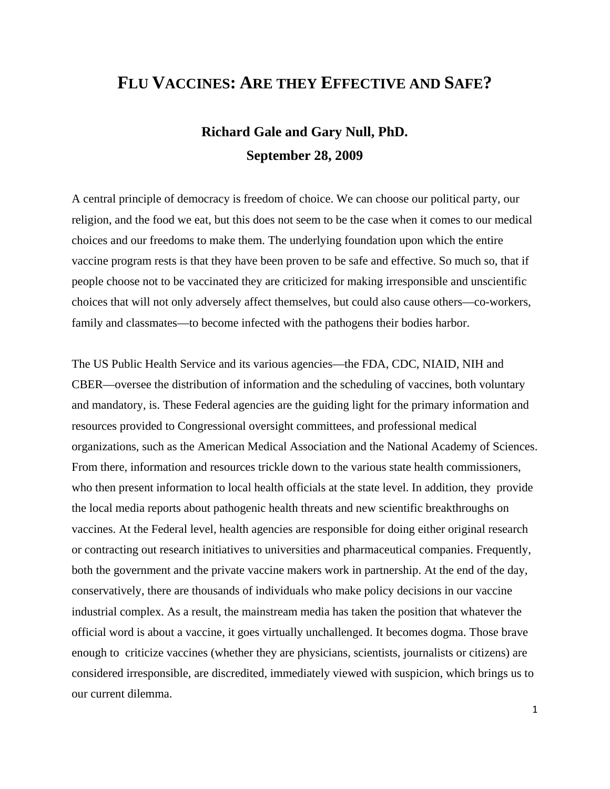# **FLU VACCINES: ARE THEY EFFECTIVE AND SAFE?**

# **Richard Gale and Gary Null, PhD. September 28, 2009**

A central principle of democracy is freedom of choice. We can choose our political party, our religion, and the food we eat, but this does not seem to be the case when it comes to our medical choices and our freedoms to make them. The underlying foundation upon which the entire vaccine program rests is that they have been proven to be safe and effective. So much so, that if people choose not to be vaccinated they are criticized for making irresponsible and unscientific choices that will not only adversely affect themselves, but could also cause others—co-workers, family and classmates—to become infected with the pathogens their bodies harbor.

The US Public Health Service and its various agencies—the FDA, CDC, NIAID, NIH and CBER—oversee the distribution of information and the scheduling of vaccines, both voluntary and mandatory, is. These Federal agencies are the guiding light for the primary information and resources provided to Congressional oversight committees, and professional medical organizations, such as the American Medical Association and the National Academy of Sciences. From there, information and resources trickle down to the various state health commissioners, who then present information to local health officials at the state level. In addition, they provide the local media reports about pathogenic health threats and new scientific breakthroughs on vaccines. At the Federal level, health agencies are responsible for doing either original research or contracting out research initiatives to universities and pharmaceutical companies. Frequently, both the government and the private vaccine makers work in partnership. At the end of the day, conservatively, there are thousands of individuals who make policy decisions in our vaccine industrial complex. As a result, the mainstream media has taken the position that whatever the official word is about a vaccine, it goes virtually unchallenged. It becomes dogma. Those brave enough to criticize vaccines (whether they are physicians, scientists, journalists or citizens) are considered irresponsible, are discredited, immediately viewed with suspicion, which brings us to our current dilemma.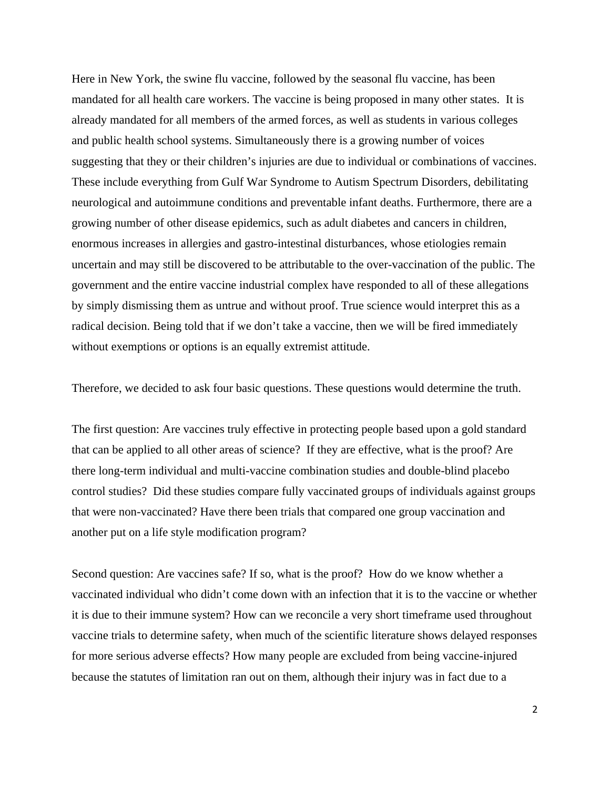Here in New York, the swine flu vaccine, followed by the seasonal flu vaccine, has been mandated for all health care workers. The vaccine is being proposed in many other states. It is already mandated for all members of the armed forces, as well as students in various colleges and public health school systems. Simultaneously there is a growing number of voices suggesting that they or their children's injuries are due to individual or combinations of vaccines. These include everything from Gulf War Syndrome to Autism Spectrum Disorders, debilitating neurological and autoimmune conditions and preventable infant deaths. Furthermore, there are a growing number of other disease epidemics, such as adult diabetes and cancers in children, enormous increases in allergies and gastro-intestinal disturbances, whose etiologies remain uncertain and may still be discovered to be attributable to the over-vaccination of the public. The government and the entire vaccine industrial complex have responded to all of these allegations by simply dismissing them as untrue and without proof. True science would interpret this as a radical decision. Being told that if we don't take a vaccine, then we will be fired immediately without exemptions or options is an equally extremist attitude.

Therefore, we decided to ask four basic questions. These questions would determine the truth.

The first question: Are vaccines truly effective in protecting people based upon a gold standard that can be applied to all other areas of science? If they are effective, what is the proof? Are there long-term individual and multi-vaccine combination studies and double-blind placebo control studies? Did these studies compare fully vaccinated groups of individuals against groups that were non-vaccinated? Have there been trials that compared one group vaccination and another put on a life style modification program?

Second question: Are vaccines safe? If so, what is the proof? How do we know whether a vaccinated individual who didn't come down with an infection that it is to the vaccine or whether it is due to their immune system? How can we reconcile a very short timeframe used throughout vaccine trials to determine safety, when much of the scientific literature shows delayed responses for more serious adverse effects? How many people are excluded from being vaccine-injured because the statutes of limitation ran out on them, although their injury was in fact due to a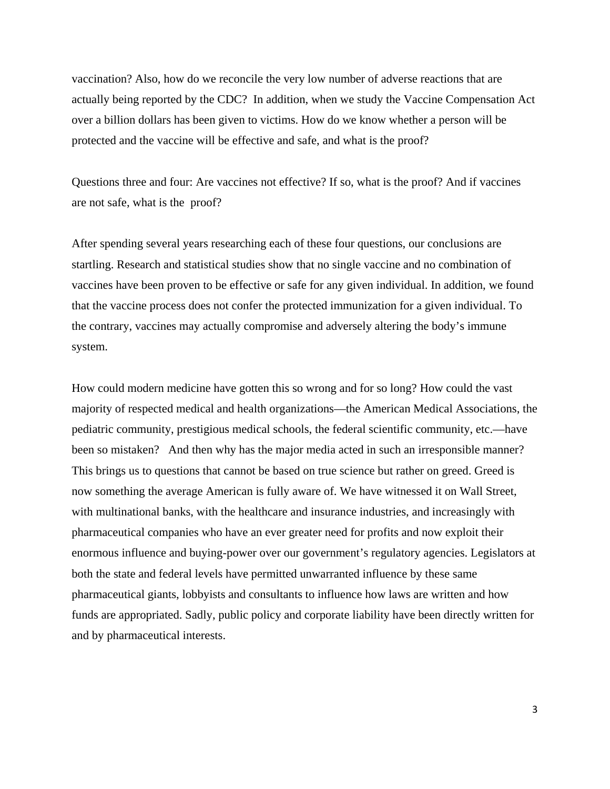vaccination? Also, how do we reconcile the very low number of adverse reactions that are actually being reported by the CDC? In addition, when we study the Vaccine Compensation Act over a billion dollars has been given to victims. How do we know whether a person will be protected and the vaccine will be effective and safe, and what is the proof?

Questions three and four: Are vaccines not effective? If so, what is the proof? And if vaccines are not safe, what is the proof?

After spending several years researching each of these four questions, our conclusions are startling. Research and statistical studies show that no single vaccine and no combination of vaccines have been proven to be effective or safe for any given individual. In addition, we found that the vaccine process does not confer the protected immunization for a given individual. To the contrary, vaccines may actually compromise and adversely altering the body's immune system.

How could modern medicine have gotten this so wrong and for so long? How could the vast majority of respected medical and health organizations—the American Medical Associations, the pediatric community, prestigious medical schools, the federal scientific community, etc.—have been so mistaken? And then why has the major media acted in such an irresponsible manner? This brings us to questions that cannot be based on true science but rather on greed. Greed is now something the average American is fully aware of. We have witnessed it on Wall Street, with multinational banks, with the healthcare and insurance industries, and increasingly with pharmaceutical companies who have an ever greater need for profits and now exploit their enormous influence and buying-power over our government's regulatory agencies. Legislators at both the state and federal levels have permitted unwarranted influence by these same pharmaceutical giants, lobbyists and consultants to influence how laws are written and how funds are appropriated. Sadly, public policy and corporate liability have been directly written for and by pharmaceutical interests.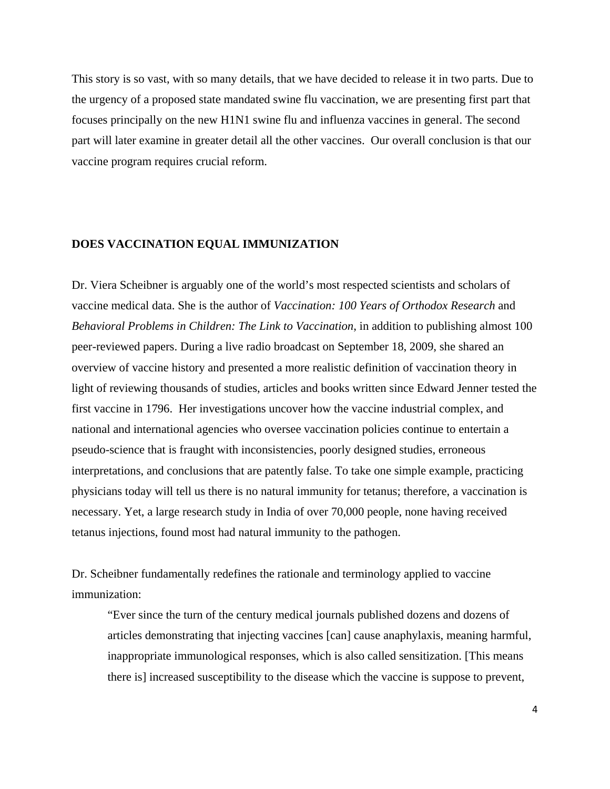This story is so vast, with so many details, that we have decided to release it in two parts. Due to the urgency of a proposed state mandated swine flu vaccination, we are presenting first part that focuses principally on the new H1N1 swine flu and influenza vaccines in general. The second part will later examine in greater detail all the other vaccines. Our overall conclusion is that our vaccine program requires crucial reform.

## **DOES VACCINATION EQUAL IMMUNIZATION**

Dr. Viera Scheibner is arguably one of the world's most respected scientists and scholars of vaccine medical data. She is the author of *Vaccination: 100 Years of Orthodox Research* and *Behavioral Problems in Children: The Link to Vaccination*, in addition to publishing almost 100 peer-reviewed papers. During a live radio broadcast on September 18, 2009, she shared an overview of vaccine history and presented a more realistic definition of vaccination theory in light of reviewing thousands of studies, articles and books written since Edward Jenner tested the first vaccine in 1796. Her investigations uncover how the vaccine industrial complex, and national and international agencies who oversee vaccination policies continue to entertain a pseudo-science that is fraught with inconsistencies, poorly designed studies, erroneous interpretations, and conclusions that are patently false. To take one simple example, practicing physicians today will tell us there is no natural immunity for tetanus; therefore, a vaccination is necessary. Yet, a large research study in India of over 70,000 people, none having received tetanus injections, found most had natural immunity to the pathogen.

Dr. Scheibner fundamentally redefines the rationale and terminology applied to vaccine immunization:

"Ever since the turn of the century medical journals published dozens and dozens of articles demonstrating that injecting vaccines [can] cause anaphylaxis, meaning harmful, inappropriate immunological responses, which is also called sensitization. [This means there is] increased susceptibility to the disease which the vaccine is suppose to prevent,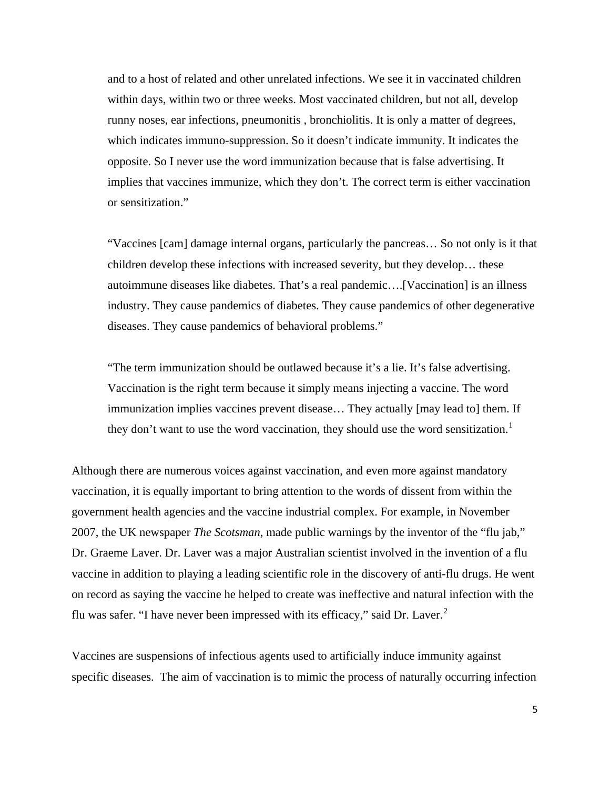and to a host of related and other unrelated infections. We see it in vaccinated children within days, within two or three weeks. Most vaccinated children, but not all, develop runny noses, ear infections, pneumonitis , bronchiolitis. It is only a matter of degrees, which indicates immuno-suppression. So it doesn't indicate immunity. It indicates the opposite. So I never use the word immunization because that is false advertising. It implies that vaccines immunize, which they don't. The correct term is either vaccination or sensitization."

"Vaccines [cam] damage internal organs, particularly the pancreas… So not only is it that children develop these infections with increased severity, but they develop… these autoimmune diseases like diabetes. That's a real pandemic….[Vaccination] is an illness industry. They cause pandemics of diabetes. They cause pandemics of other degenerative diseases. They cause pandemics of behavioral problems."

"The term immunization should be outlawed because it's a lie. It's false advertising. Vaccination is the right term because it simply means injecting a vaccine. The word immunization implies vaccines prevent disease… They actually [may lead to] them. If they don't want to use the word vaccination, they should use the word sensitization.<sup>[1](#page-80-0)</sup>

Although there are numerous voices against vaccination, and even more against mandatory vaccination, it is equally important to bring attention to the words of dissent from within the government health agencies and the vaccine industrial complex. For example, in November 2007, the UK newspaper *The Scotsman*, made public warnings by the inventor of the "flu jab," Dr. Graeme Laver. Dr. Laver was a major Australian scientist involved in the invention of a flu vaccine in addition to playing a leading scientific role in the discovery of anti-flu drugs. He went on record as saying the vaccine he helped to create was ineffective and natural infection with the flu was safer. "I have never been impressed with its efficacy," said Dr. Laver.<sup>[2](#page-80-1)</sup>

Vaccines are suspensions of infectious agents used to artificially induce immunity against specific diseases. The aim of vaccination is to mimic the process of naturally occurring infection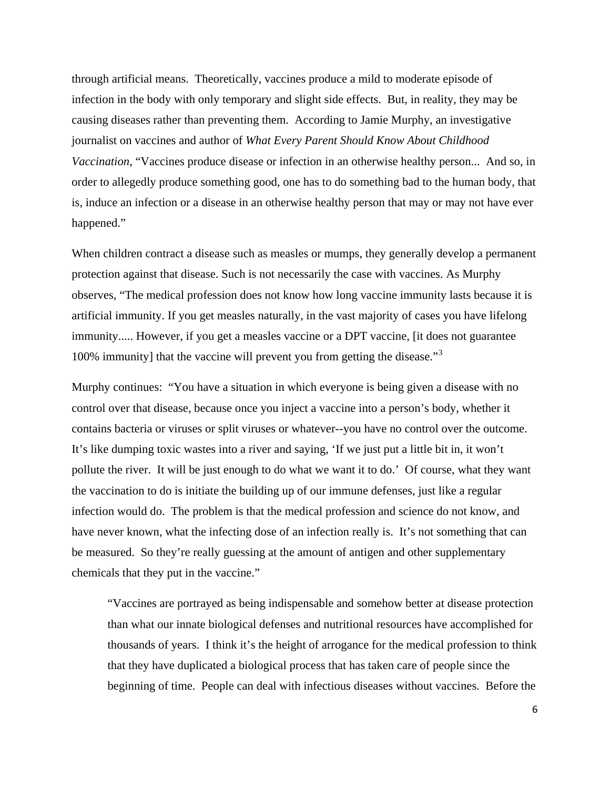through artificial means. Theoretically, vaccines produce a mild to moderate episode of infection in the body with only temporary and slight side effects. But, in reality, they may be causing diseases rather than preventing them. According to Jamie Murphy, an investigative journalist on vaccines and author of *What Every Parent Should Know About Childhood Vaccination*, "Vaccines produce disease or infection in an otherwise healthy person... And so, in order to allegedly produce something good, one has to do something bad to the human body, that is, induce an infection or a disease in an otherwise healthy person that may or may not have ever happened."

When children contract a disease such as measles or mumps, they generally develop a permanent protection against that disease. Such is not necessarily the case with vaccines. As Murphy observes, "The medical profession does not know how long vaccine immunity lasts because it is artificial immunity. If you get measles naturally, in the vast majority of cases you have lifelong immunity..... However, if you get a measles vaccine or a DPT vaccine, [it does not guarantee 100% immunity] that the vaccine will prevent you from getting the disease."[3](#page-80-1)

Murphy continues: "You have a situation in which everyone is being given a disease with no control over that disease, because once you inject a vaccine into a person's body, whether it contains bacteria or viruses or split viruses or whatever--you have no control over the outcome. It's like dumping toxic wastes into a river and saying, 'If we just put a little bit in, it won't pollute the river. It will be just enough to do what we want it to do.' Of course, what they want the vaccination to do is initiate the building up of our immune defenses, just like a regular infection would do. The problem is that the medical profession and science do not know, and have never known, what the infecting dose of an infection really is. It's not something that can be measured. So they're really guessing at the amount of antigen and other supplementary chemicals that they put in the vaccine."

"Vaccines are portrayed as being indispensable and somehow better at disease protection than what our innate biological defenses and nutritional resources have accomplished for thousands of years. I think it's the height of arrogance for the medical profession to think that they have duplicated a biological process that has taken care of people since the beginning of time. People can deal with infectious diseases without vaccines. Before the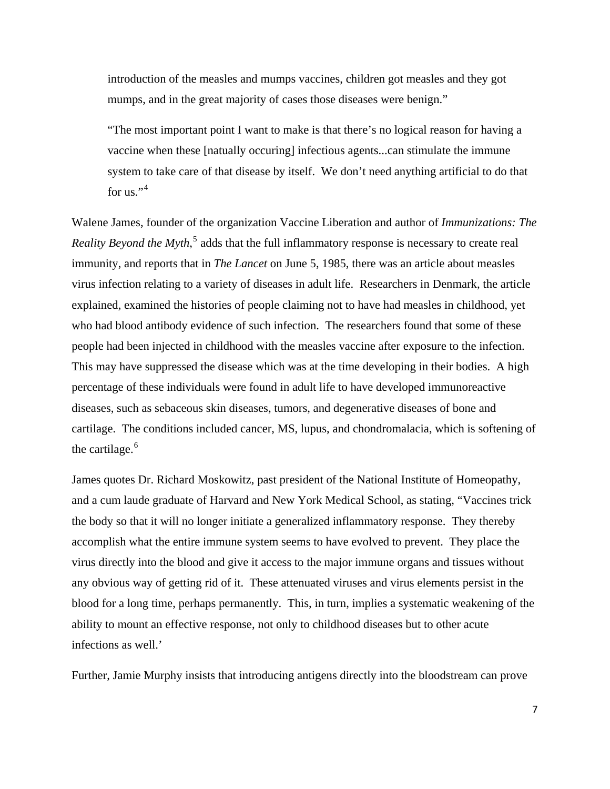introduction of the measles and mumps vaccines, children got measles and they got mumps, and in the great majority of cases those diseases were benign."

"The most important point I want to make is that there's no logical reason for having a vaccine when these [natually occuring] infectious agents...can stimulate the immune system to take care of that disease by itself. We don't need anything artificial to do that for us."<sup>[4](#page-80-1)</sup>

Walene James, founder of the organization Vaccine Liberation and author of *Immunizations: The Reality Beyond the Myth*,<sup>[5](#page-80-1)</sup> adds that the full inflammatory response is necessary to create real immunity, and reports that in *The Lancet* on June 5, 1985, there was an article about measles virus infection relating to a variety of diseases in adult life. Researchers in Denmark, the article explained, examined the histories of people claiming not to have had measles in childhood, yet who had blood antibody evidence of such infection. The researchers found that some of these people had been injected in childhood with the measles vaccine after exposure to the infection. This may have suppressed the disease which was at the time developing in their bodies. A high percentage of these individuals were found in adult life to have developed immunoreactive diseases, such as sebaceous skin diseases, tumors, and degenerative diseases of bone and cartilage. The conditions included cancer, MS, lupus, and chondromalacia, which is softening of the cartilage. $<sup>6</sup>$  $<sup>6</sup>$  $<sup>6</sup>$ </sup>

James quotes Dr. Richard Moskowitz, past president of the National Institute of Homeopathy, and a cum laude graduate of Harvard and New York Medical School, as stating, "Vaccines trick the body so that it will no longer initiate a generalized inflammatory response. They thereby accomplish what the entire immune system seems to have evolved to prevent. They place the virus directly into the blood and give it access to the major immune organs and tissues without any obvious way of getting rid of it. These attenuated viruses and virus elements persist in the blood for a long time, perhaps permanently. This, in turn, implies a systematic weakening of the ability to mount an effective response, not only to childhood diseases but to other acute infections as well.'

Further, Jamie Murphy insists that introducing antigens directly into the bloodstream can prove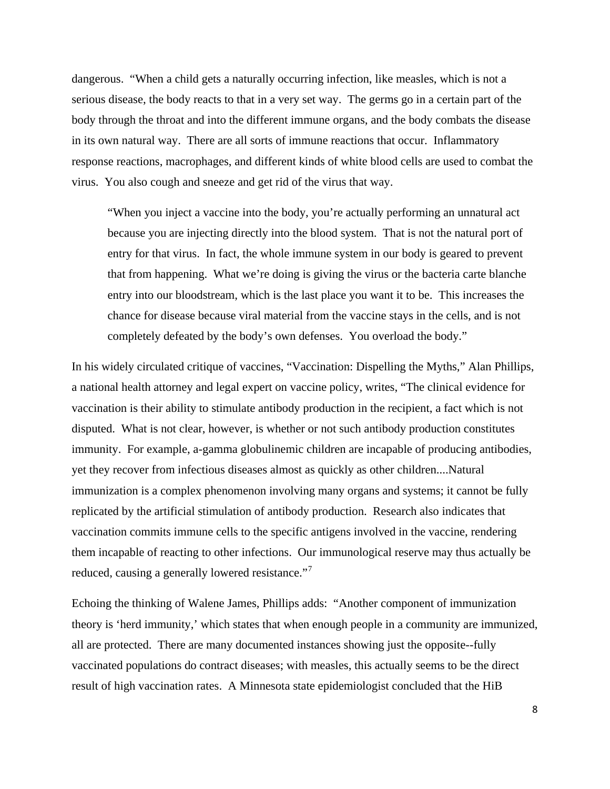dangerous. "When a child gets a naturally occurring infection, like measles, which is not a serious disease, the body reacts to that in a very set way. The germs go in a certain part of the body through the throat and into the different immune organs, and the body combats the disease in its own natural way. There are all sorts of immune reactions that occur. Inflammatory response reactions, macrophages, and different kinds of white blood cells are used to combat the virus. You also cough and sneeze and get rid of the virus that way.

"When you inject a vaccine into the body, you're actually performing an unnatural act because you are injecting directly into the blood system. That is not the natural port of entry for that virus. In fact, the whole immune system in our body is geared to prevent that from happening. What we're doing is giving the virus or the bacteria carte blanche entry into our bloodstream, which is the last place you want it to be. This increases the chance for disease because viral material from the vaccine stays in the cells, and is not completely defeated by the body's own defenses. You overload the body."

In his widely circulated critique of vaccines, "Vaccination: Dispelling the Myths," Alan Phillips, a national health attorney and legal expert on vaccine policy, writes, "The clinical evidence for vaccination is their ability to stimulate antibody production in the recipient, a fact which is not disputed. What is not clear, however, is whether or not such antibody production constitutes immunity. For example, a-gamma globulinemic children are incapable of producing antibodies, yet they recover from infectious diseases almost as quickly as other children....Natural immunization is a complex phenomenon involving many organs and systems; it cannot be fully replicated by the artificial stimulation of antibody production. Research also indicates that vaccination commits immune cells to the specific antigens involved in the vaccine, rendering them incapable of reacting to other infections. Our immunological reserve may thus actually be reduced, causing a generally lowered resistance."

Echoing the thinking of Walene James, Phillips adds: "Another component of immunization theory is 'herd immunity,' which states that when enough people in a community are immunized, all are protected. There are many documented instances showing just the opposite--fully vaccinated populations do contract diseases; with measles, this actually seems to be the direct result of high vaccination rates. A Minnesota state epidemiologist concluded that the HiB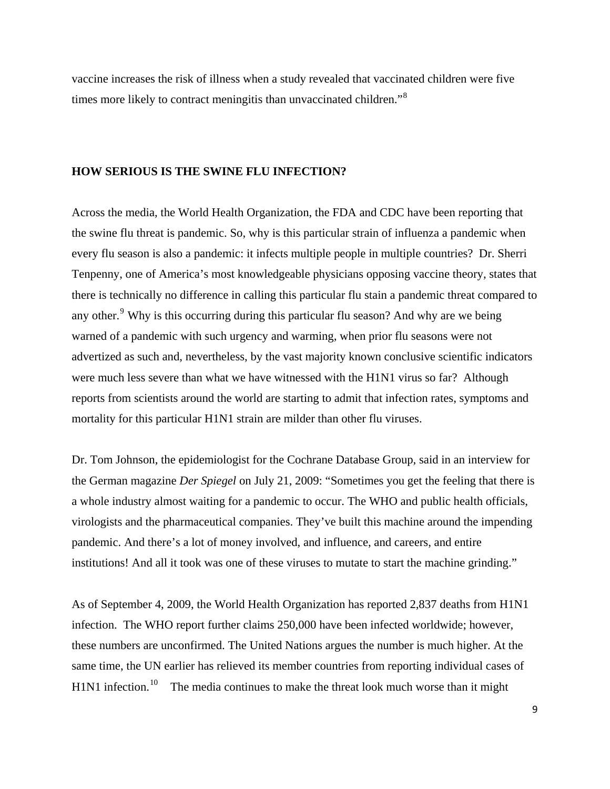vaccine increases the risk of illness when a study revealed that vaccinated children were five times more likely to contract meningitis than unvaccinated children."<sup>8</sup>

# **HOW SERIOUS IS THE SWINE FLU INFECTION?**

Across the media, the World Health Organization, the FDA and CDC have been reporting that the swine flu threat is pandemic. So, why is this particular strain of influenza a pandemic when every flu season is also a pandemic: it infects multiple people in multiple countries? Dr. Sherri Tenpenny, one of America's most knowledgeable physicians opposing vaccine theory, states that there is technically no difference in calling this particular flu stain a pandemic threat compared to any other.<sup>[9](#page-80-1)</sup> Why is this occurring during this particular flu season? And why are we being warned of a pandemic with such urgency and warming, when prior flu seasons were not advertized as such and, nevertheless, by the vast majority known conclusive scientific indicators were much less severe than what we have witnessed with the H1N1 virus so far? Although reports from scientists around the world are starting to admit that infection rates, symptoms and mortality for this particular H1N1 strain are milder than other flu viruses.

Dr. Tom Johnson, the epidemiologist for the Cochrane Database Group, said in an interview for the German magazine *Der Spiegel* on July 21, 2009: "Sometimes you get the feeling that there is a whole industry almost waiting for a pandemic to occur. The WHO and public health officials, virologists and the pharmaceutical companies. They've built this machine around the impending pandemic. And there's a lot of money involved, and influence, and careers, and entire institutions! And all it took was one of these viruses to mutate to start the machine grinding."

As of September 4, 2009, the World Health Organization has reported 2,837 deaths from H1N1 infection. The WHO report further claims 250,000 have been infected worldwide; however, these numbers are unconfirmed. The United Nations argues the number is much higher. At the same time, the UN earlier has relieved its member countries from reporting individual cases of  $H1N1$  infection.<sup>[10](#page-80-1)</sup> The media continues to make the threat look much worse than it might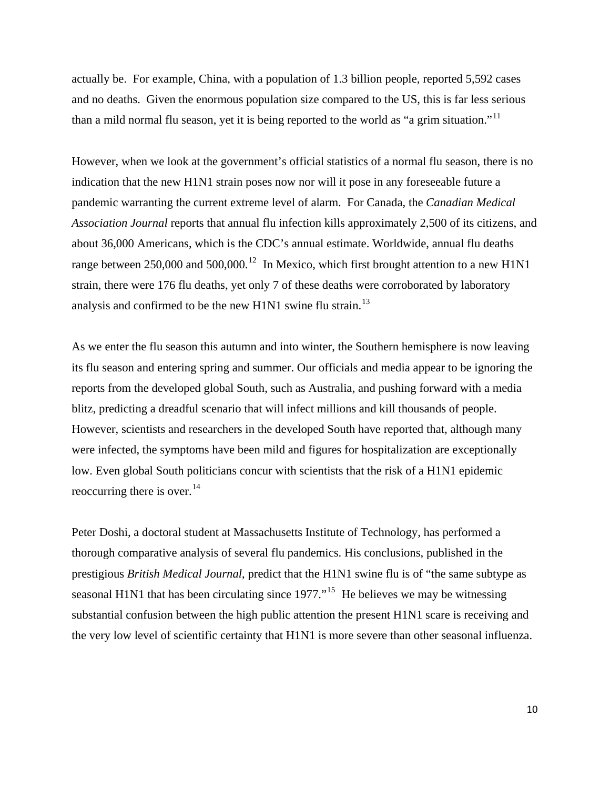actually be. For example, China, with a population of 1.3 billion people, reported 5,592 cases and no deaths. Given the enormous population size compared to the US, this is far less serious than a mild normal flu season, yet it is being reported to the world as "a grim situation."<sup>[11](#page-80-1)</sup>

However, when we look at the government's official statistics of a normal flu season, there is no indication that the new H1N1 strain poses now nor will it pose in any foreseeable future a pandemic warranting the current extreme level of alarm. For Canada, the *Canadian Medical Association Journal* reports that annual flu infection kills approximately 2,500 of its citizens, and about 36,000 Americans, which is the CDC's annual estimate. Worldwide, annual flu deaths range between 250,000 and 500,000.<sup>[12](#page-80-1)</sup> In Mexico, which first brought attention to a new H1N1 strain, there were 176 flu deaths, yet only 7 of these deaths were corroborated by laboratory analysis and confirmed to be the new H1N1 swine flu strain.<sup>[13](#page-80-1)</sup>

As we enter the flu season this autumn and into winter, the Southern hemisphere is now leaving its flu season and entering spring and summer. Our officials and media appear to be ignoring the reports from the developed global South, such as Australia, and pushing forward with a media blitz, predicting a dreadful scenario that will infect millions and kill thousands of people. However, scientists and researchers in the developed South have reported that, although many were infected, the symptoms have been mild and figures for hospitalization are exceptionally low. Even global South politicians concur with scientists that the risk of a H1N1 epidemic reoccurring there is over. $^{14}$  $^{14}$  $^{14}$ 

Peter Doshi, a doctoral student at Massachusetts Institute of Technology, has performed a thorough comparative analysis of several flu pandemics. His conclusions, published in the prestigious *British Medical Journal*, predict that the H1N1 swine flu is of "the same subtype as seasonal H1N1 that has been circulating since  $1977$ ."<sup>[15](#page-80-1)</sup> He believes we may be witnessing substantial confusion between the high public attention the present H1N1 scare is receiving and the very low level of scientific certainty that H1N1 is more severe than other seasonal influenza.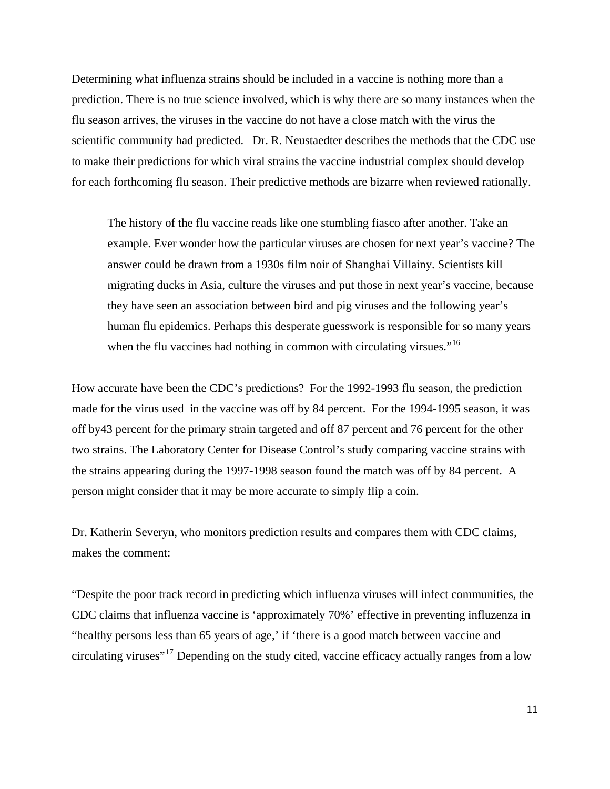Determining what influenza strains should be included in a vaccine is nothing more than a prediction. There is no true science involved, which is why there are so many instances when the flu season arrives, the viruses in the vaccine do not have a close match with the virus the scientific community had predicted. Dr. R. Neustaedter describes the methods that the CDC use to make their predictions for which viral strains the vaccine industrial complex should develop for each forthcoming flu season. Their predictive methods are bizarre when reviewed rationally.

The history of the flu vaccine reads like one stumbling fiasco after another. Take an example. Ever wonder how the particular viruses are chosen for next year's vaccine? The answer could be drawn from a 1930s film noir of Shanghai Villainy. Scientists kill migrating ducks in Asia, culture the viruses and put those in next year's vaccine, because they have seen an association between bird and pig viruses and the following year's human flu epidemics. Perhaps this desperate guesswork is responsible for so many years when the flu vaccines had nothing in common with circulating virsues."<sup>[16](#page-80-1)</sup>

How accurate have been the CDC's predictions? For the 1992-1993 flu season, the prediction made for the virus used in the vaccine was off by 84 percent. For the 1994-1995 season, it was off by43 percent for the primary strain targeted and off 87 percent and 76 percent for the other two strains. The Laboratory Center for Disease Control's study comparing vaccine strains with the strains appearing during the 1997-1998 season found the match was off by 84 percent. A person might consider that it may be more accurate to simply flip a coin.

Dr. Katherin Severyn, who monitors prediction results and compares them with CDC claims, makes the comment:

"Despite the poor track record in predicting which influenza viruses will infect communities, the CDC claims that influenza vaccine is 'approximately 70%' effective in preventing influzenza in "healthy persons less than 65 years of age,' if 'there is a good match between vaccine and circulating viruses"[17](#page-80-1) Depending on the study cited, vaccine efficacy actually ranges from a low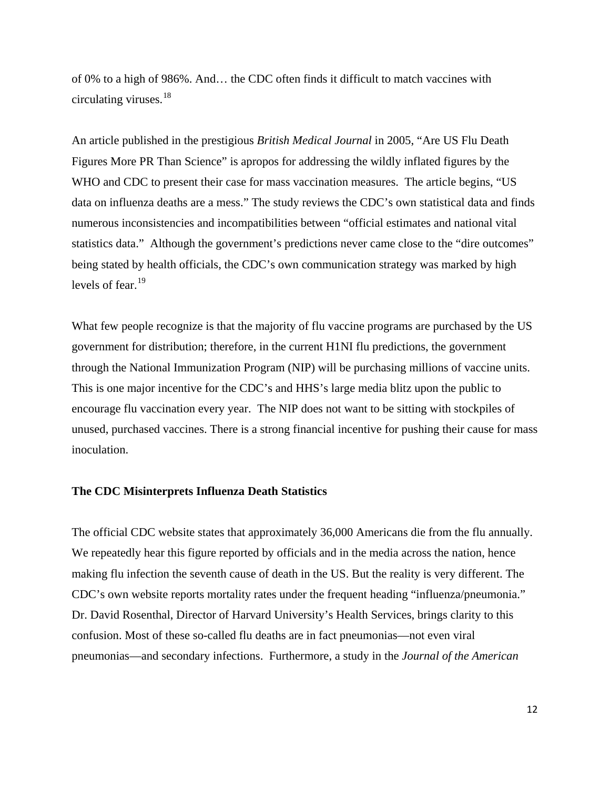of 0% to a high of 986%. And… the CDC often finds it difficult to match vaccines with circulating viruses.[18](#page-81-0)

An article published in the prestigious *British Medical Journal* in 2005, "Are US Flu Death Figures More PR Than Science" is apropos for addressing the wildly inflated figures by the WHO and CDC to present their case for mass vaccination measures. The article begins, "US data on influenza deaths are a mess." The study reviews the CDC's own statistical data and finds numerous inconsistencies and incompatibilities between "official estimates and national vital statistics data." Although the government's predictions never came close to the "dire outcomes" being stated by health officials, the CDC's own communication strategy was marked by high levels of fear.<sup>[19](#page-81-0)</sup>

What few people recognize is that the majority of flu vaccine programs are purchased by the US government for distribution; therefore, in the current H1NI flu predictions, the government through the National Immunization Program (NIP) will be purchasing millions of vaccine units. This is one major incentive for the CDC's and HHS's large media blitz upon the public to encourage flu vaccination every year. The NIP does not want to be sitting with stockpiles of unused, purchased vaccines. There is a strong financial incentive for pushing their cause for mass inoculation.

# **The CDC Misinterprets Influenza Death Statistics**

The official CDC website states that approximately 36,000 Americans die from the flu annually. We repeatedly hear this figure reported by officials and in the media across the nation, hence making flu infection the seventh cause of death in the US. But the reality is very different. The CDC's own website reports mortality rates under the frequent heading "influenza/pneumonia." Dr. David Rosenthal, Director of Harvard University's Health Services, brings clarity to this confusion. Most of these so-called flu deaths are in fact pneumonias—not even viral pneumonias—and secondary infections. Furthermore, a study in the *Journal of the American*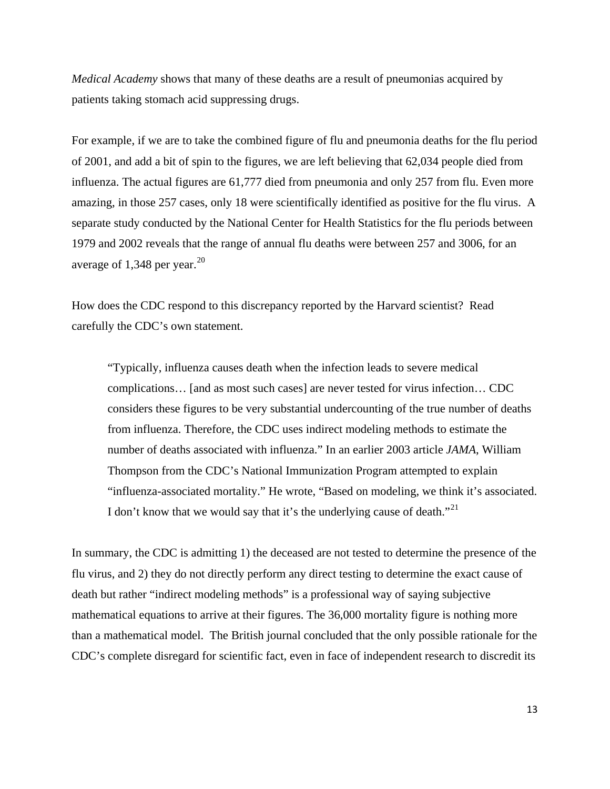*Medical Academy* shows that many of these deaths are a result of pneumonias acquired by patients taking stomach acid suppressing drugs.

For example, if we are to take the combined figure of flu and pneumonia deaths for the flu period of 2001, and add a bit of spin to the figures, we are left believing that 62,034 people died from influenza. The actual figures are 61,777 died from pneumonia and only 257 from flu. Even more amazing, in those 257 cases, only 18 were scientifically identified as positive for the flu virus. A separate study conducted by the National Center for Health Statistics for the flu periods between 1979 and 2002 reveals that the range of annual flu deaths were between 257 and 3006, for an average of 1,348 per year.<sup>[20](#page-81-0)</sup>

How does the CDC respond to this discrepancy reported by the Harvard scientist? Read carefully the CDC's own statement.

"Typically, influenza causes death when the infection leads to severe medical complications… [and as most such cases] are never tested for virus infection… CDC considers these figures to be very substantial undercounting of the true number of deaths from influenza. Therefore, the CDC uses indirect modeling methods to estimate the number of deaths associated with influenza." In an earlier 2003 article *JAMA*, William Thompson from the CDC's National Immunization Program attempted to explain "influenza-associated mortality." He wrote, "Based on modeling, we think it's associated. I don't know that we would say that it's the underlying cause of death."<sup>[21](#page-81-0)</sup>

In summary, the CDC is admitting 1) the deceased are not tested to determine the presence of the flu virus, and 2) they do not directly perform any direct testing to determine the exact cause of death but rather "indirect modeling methods" is a professional way of saying subjective mathematical equations to arrive at their figures. The 36,000 mortality figure is nothing more than a mathematical model. The British journal concluded that the only possible rationale for the CDC's complete disregard for scientific fact, even in face of independent research to discredit its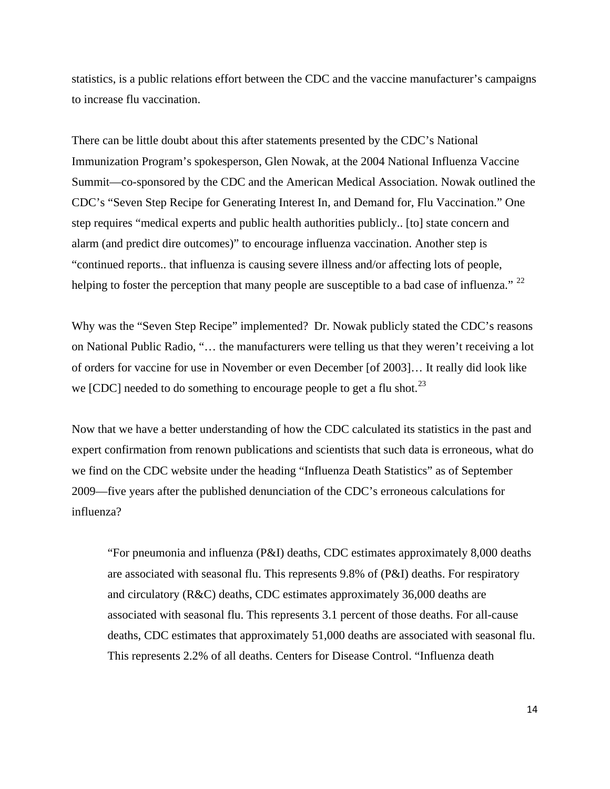statistics, is a public relations effort between the CDC and the vaccine manufacturer's campaigns to increase flu vaccination.

There can be little doubt about this after statements presented by the CDC's National Immunization Program's spokesperson, Glen Nowak, at the 2004 National Influenza Vaccine Summit—co-sponsored by the CDC and the American Medical Association. Nowak outlined the CDC's "Seven Step Recipe for Generating Interest In, and Demand for, Flu Vaccination." One step requires "medical experts and public health authorities publicly.. [to] state concern and alarm (and predict dire outcomes)" to encourage influenza vaccination. Another step is "continued reports.. that influenza is causing severe illness and/or affecting lots of people, helping to foster the perception that many people are susceptible to a bad case of influenza." <sup>[22](#page-81-0)</sup>

Why was the "Seven Step Recipe" implemented? Dr. Nowak publicly stated the CDC's reasons on National Public Radio, "… the manufacturers were telling us that they weren't receiving a lot of orders for vaccine for use in November or even December [of 2003]… It really did look like we [CDC] needed to do something to encourage people to get a flu shot.<sup>[23](#page-81-0)</sup>

Now that we have a better understanding of how the CDC calculated its statistics in the past and expert confirmation from renown publications and scientists that such data is erroneous, what do we find on the CDC website under the heading "Influenza Death Statistics" as of September 2009—five years after the published denunciation of the CDC's erroneous calculations for influenza?

"For pneumonia and influenza (P&I) deaths, CDC estimates approximately 8,000 deaths are associated with seasonal flu. This represents 9.8% of (P&I) deaths. For respiratory and circulatory  $(R\&C)$  deaths, CDC estimates approximately 36,000 deaths are associated with seasonal flu. This represents 3.1 percent of those deaths. For all-cause deaths, CDC estimates that approximately 51,000 deaths are associated with seasonal flu. This represents 2.2% of all deaths. Centers for Disease Control. "Influenza death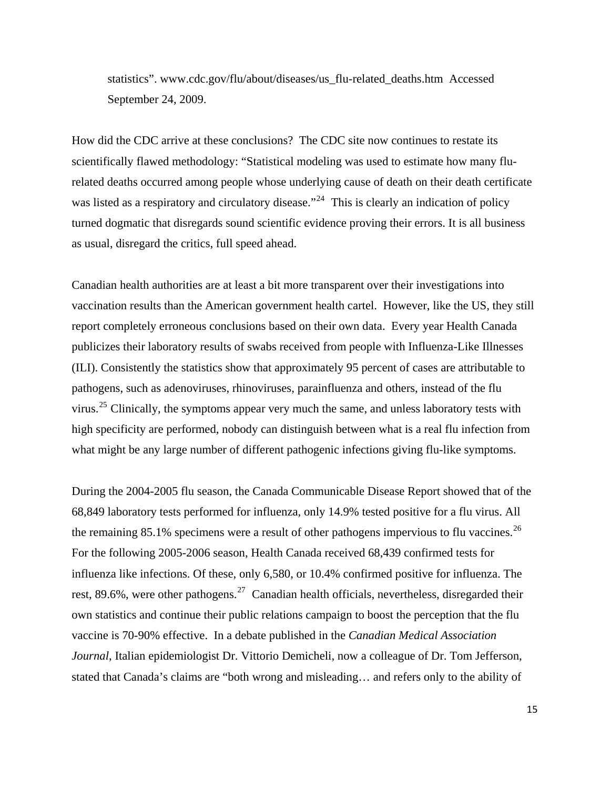statistics". www.cdc.gov/flu/about/diseases/us\_flu-related\_deaths.htm Accessed September 24, 2009.

How did the CDC arrive at these conclusions? The CDC site now continues to restate its scientifically flawed methodology: "Statistical modeling was used to estimate how many flurelated deaths occurred among people whose underlying cause of death on their death certificate was listed as a respiratory and circulatory disease."<sup>[24](#page-81-0)</sup> This is clearly an indication of policy turned dogmatic that disregards sound scientific evidence proving their errors. It is all business as usual, disregard the critics, full speed ahead.

Canadian health authorities are at least a bit more transparent over their investigations into vaccination results than the American government health cartel. However, like the US, they still report completely erroneous conclusions based on their own data. Every year Health Canada publicizes their laboratory results of swabs received from people with Influenza-Like Illnesses (ILI). Consistently the statistics show that approximately 95 percent of cases are attributable to pathogens, such as adenoviruses, rhinoviruses, parainfluenza and others, instead of the flu virus.<sup>[25](#page-81-0)</sup> Clinically, the symptoms appear very much the same, and unless laboratory tests with high specificity are performed, nobody can distinguish between what is a real flu infection from what might be any large number of different pathogenic infections giving flu-like symptoms.

During the 2004-2005 flu season, the Canada Communicable Disease Report showed that of the 68,849 laboratory tests performed for influenza, only 14.9% tested positive for a flu virus. All the remaining 85.1% specimens were a result of other pathogens impervious to flu vaccines.<sup>[26](#page-81-0)</sup> For the following 2005-2006 season, Health Canada received 68,439 confirmed tests for influenza like infections. Of these, only 6,580, or 10.4% confirmed positive for influenza. The rest, 89.6%, were other pathogens.<sup>[27](#page-81-0)</sup> Canadian health officials, nevertheless, disregarded their own statistics and continue their public relations campaign to boost the perception that the flu vaccine is 70-90% effective. In a debate published in the *Canadian Medical Association Journal*, Italian epidemiologist Dr. Vittorio Demicheli, now a colleague of Dr. Tom Jefferson, stated that Canada's claims are "both wrong and misleading… and refers only to the ability of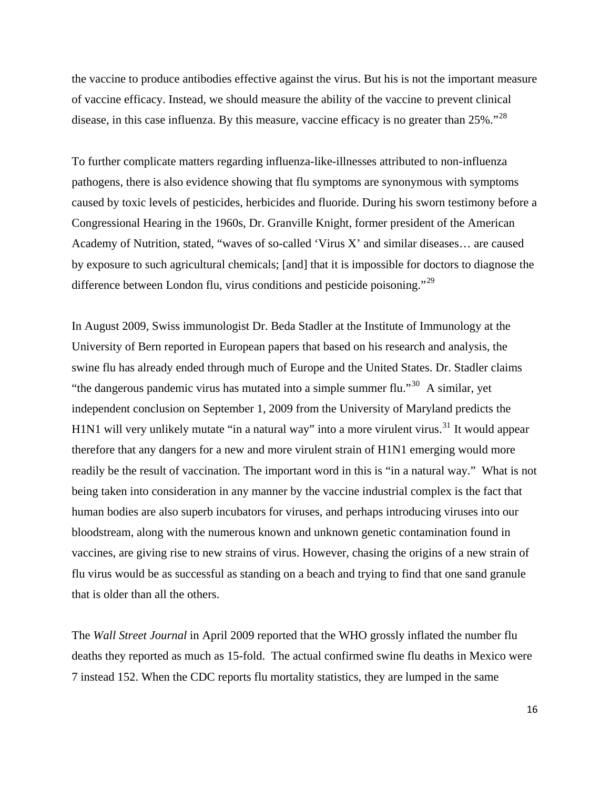the vaccine to produce antibodies effective against the virus. But his is not the important measure of vaccine efficacy. Instead, we should measure the ability of the vaccine to prevent clinical disease, in this case influenza. By this measure, vaccine efficacy is no greater than 25%."<sup>[28](#page-81-0)</sup>

To further complicate matters regarding influenza-like-illnesses attributed to non-influenza pathogens, there is also evidence showing that flu symptoms are synonymous with symptoms caused by toxic levels of pesticides, herbicides and fluoride. During his sworn testimony before a Congressional Hearing in the 1960s, Dr. Granville Knight, former president of the American Academy of Nutrition, stated, "waves of so-called 'Virus X' and similar diseases… are caused by exposure to such agricultural chemicals; [and] that it is impossible for doctors to diagnose the difference between London flu, virus conditions and pesticide poisoning."[29](#page-81-0)

In August 2009, Swiss immunologist Dr. Beda Stadler at the Institute of Immunology at the University of Bern reported in European papers that based on his research and analysis, the swine flu has already ended through much of Europe and the United States. Dr. Stadler claims "the dangerous pandemic virus has mutated into a simple summer flu."[30](#page-81-0) A similar, yet independent conclusion on September 1, 2009 from the University of Maryland predicts the H1N1 will very unlikely mutate "in a natural way" into a more virulent virus.<sup>[31](#page-81-0)</sup> It would appear therefore that any dangers for a new and more virulent strain of H1N1 emerging would more readily be the result of vaccination. The important word in this is "in a natural way." What is not being taken into consideration in any manner by the vaccine industrial complex is the fact that human bodies are also superb incubators for viruses, and perhaps introducing viruses into our bloodstream, along with the numerous known and unknown genetic contamination found in vaccines, are giving rise to new strains of virus. However, chasing the origins of a new strain of flu virus would be as successful as standing on a beach and trying to find that one sand granule that is older than all the others.

The *Wall Street Journal* in April 2009 reported that the WHO grossly inflated the number flu deaths they reported as much as 15-fold. The actual confirmed swine flu deaths in Mexico were 7 instead 152. When the CDC reports flu mortality statistics, they are lumped in the same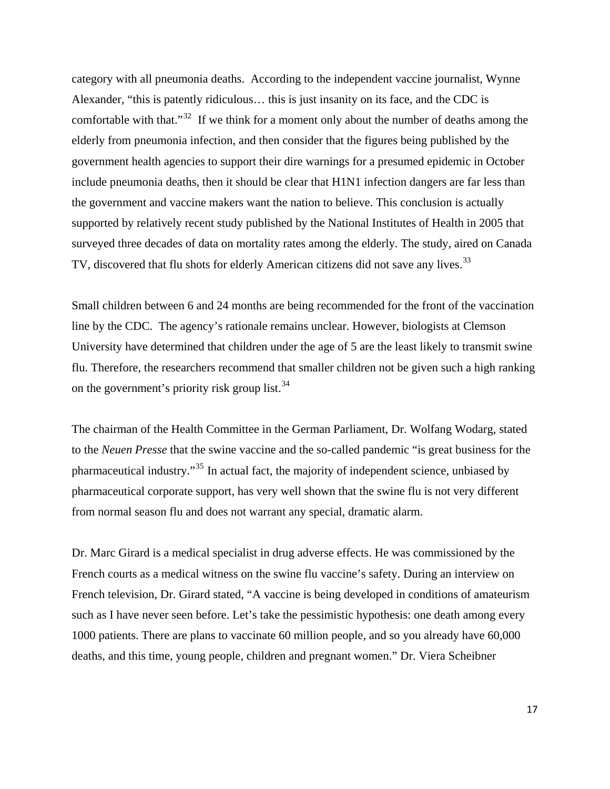category with all pneumonia deaths. According to the independent vaccine journalist, Wynne Alexander, "this is patently ridiculous… this is just insanity on its face, and the CDC is comfortable with that." $32$  If we think for a moment only about the number of deaths among the elderly from pneumonia infection, and then consider that the figures being published by the government health agencies to support their dire warnings for a presumed epidemic in October include pneumonia deaths, then it should be clear that H1N1 infection dangers are far less than the government and vaccine makers want the nation to believe. This conclusion is actually supported by relatively recent study published by the National Institutes of Health in 2005 that surveyed three decades of data on mortality rates among the elderly. The study, aired on Canada TV, discovered that flu shots for elderly American citizens did not save any lives.<sup>[33](#page-81-0)</sup>

Small children between 6 and 24 months are being recommended for the front of the vaccination line by the CDC. The agency's rationale remains unclear. However, biologists at Clemson University have determined that children under the age of 5 are the least likely to transmit swine flu. Therefore, the researchers recommend that smaller children not be given such a high ranking on the government's priority risk group list.  $34$ 

The chairman of the Health Committee in the German Parliament, Dr. Wolfang Wodarg, stated to the *Neuen Presse* that the swine vaccine and the so-called pandemic "is great business for the pharmaceutical industry."[35](#page-82-0) In actual fact, the majority of independent science, unbiased by pharmaceutical corporate support, has very well shown that the swine flu is not very different from normal season flu and does not warrant any special, dramatic alarm.

Dr. Marc Girard is a medical specialist in drug adverse effects. He was commissioned by the French courts as a medical witness on the swine flu vaccine's safety. During an interview on French television, Dr. Girard stated, "A vaccine is being developed in conditions of amateurism such as I have never seen before. Let's take the pessimistic hypothesis: one death among every 1000 patients. There are plans to vaccinate 60 million people, and so you already have 60,000 deaths, and this time, young people, children and pregnant women." Dr. Viera Scheibner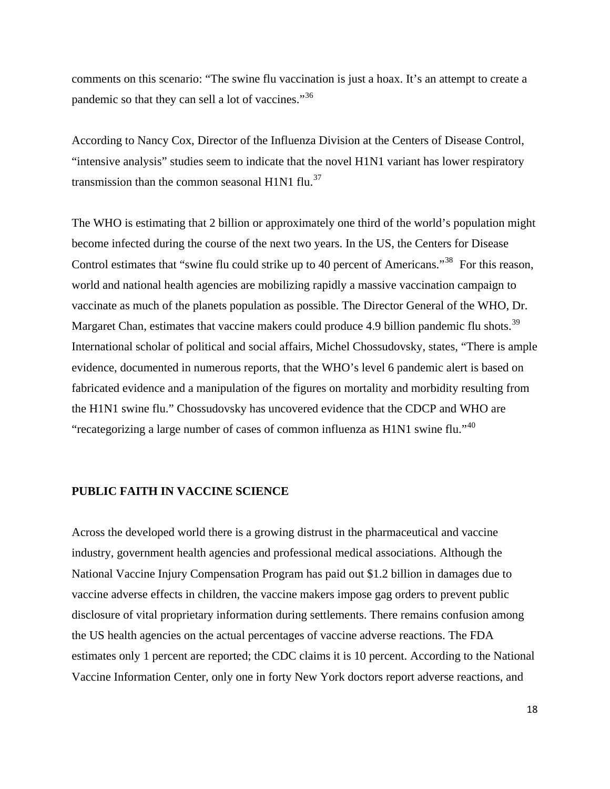comments on this scenario: "The swine flu vaccination is just a hoax. It's an attempt to create a pandemic so that they can sell a lot of vaccines."<sup>[36](#page-82-0)</sup>

According to Nancy Cox, Director of the Influenza Division at the Centers of Disease Control, "intensive analysis" studies seem to indicate that the novel H1N1 variant has lower respiratory transmission than the common seasonal H1N1 flu. $37$ 

The WHO is estimating that 2 billion or approximately one third of the world's population might become infected during the course of the next two years. In the US, the Centers for Disease Control estimates that "swine flu could strike up to 40 percent of Americans."<sup>[38](#page-82-0)</sup> For this reason, world and national health agencies are mobilizing rapidly a massive vaccination campaign to vaccinate as much of the planets population as possible. The Director General of the WHO, Dr. Margaret Chan, estimates that vaccine makers could produce 4.9 billion pandemic flu shots.<sup>[39](#page-82-0)</sup> International scholar of political and social affairs, Michel Chossudovsky, states, "There is ample evidence, documented in numerous reports, that the WHO's level 6 pandemic alert is based on fabricated evidence and a manipulation of the figures on mortality and morbidity resulting from the H1N1 swine flu." Chossudovsky has uncovered evidence that the CDCP and WHO are "recategorizing a large number of cases of common influenza as H1N1 swine flu."[40](#page-82-0)

#### **PUBLIC FAITH IN VACCINE SCIENCE**

Across the developed world there is a growing distrust in the pharmaceutical and vaccine industry, government health agencies and professional medical associations. Although the National Vaccine Injury Compensation Program has paid out \$1.2 billion in damages due to vaccine adverse effects in children, the vaccine makers impose gag orders to prevent public disclosure of vital proprietary information during settlements. There remains confusion among the US health agencies on the actual percentages of vaccine adverse reactions. The FDA estimates only 1 percent are reported; the CDC claims it is 10 percent. According to the National Vaccine Information Center, only one in forty New York doctors report adverse reactions, and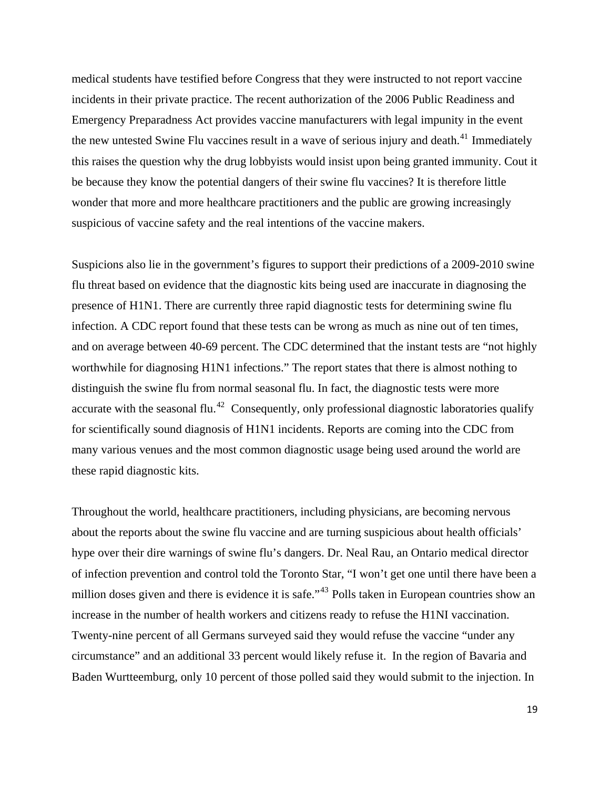medical students have testified before Congress that they were instructed to not report vaccine incidents in their private practice. The recent authorization of the 2006 Public Readiness and Emergency Preparadness Act provides vaccine manufacturers with legal impunity in the event the new untested Swine Flu vaccines result in a wave of serious injury and death.<sup>[41](#page-82-0)</sup> Immediately this raises the question why the drug lobbyists would insist upon being granted immunity. Cout it be because they know the potential dangers of their swine flu vaccines? It is therefore little wonder that more and more healthcare practitioners and the public are growing increasingly suspicious of vaccine safety and the real intentions of the vaccine makers.

Suspicions also lie in the government's figures to support their predictions of a 2009-2010 swine flu threat based on evidence that the diagnostic kits being used are inaccurate in diagnosing the presence of H1N1. There are currently three rapid diagnostic tests for determining swine flu infection. A CDC report found that these tests can be wrong as much as nine out of ten times, and on average between 40-69 percent. The CDC determined that the instant tests are "not highly worthwhile for diagnosing H1N1 infections." The report states that there is almost nothing to distinguish the swine flu from normal seasonal flu. In fact, the diagnostic tests were more accurate with the seasonal flu.<sup>[42](#page-82-0)</sup> Consequently, only professional diagnostic laboratories qualify for scientifically sound diagnosis of H1N1 incidents. Reports are coming into the CDC from many various venues and the most common diagnostic usage being used around the world are these rapid diagnostic kits.

Throughout the world, healthcare practitioners, including physicians, are becoming nervous about the reports about the swine flu vaccine and are turning suspicious about health officials' hype over their dire warnings of swine flu's dangers. Dr. Neal Rau, an Ontario medical director of infection prevention and control told the Toronto Star, "I won't get one until there have been a million doses given and there is evidence it is safe."<sup>[43](#page-82-0)</sup> Polls taken in European countries show an increase in the number of health workers and citizens ready to refuse the H1NI vaccination. Twenty-nine percent of all Germans surveyed said they would refuse the vaccine "under any circumstance" and an additional 33 percent would likely refuse it. In the region of Bavaria and Baden Wurtteemburg, only 10 percent of those polled said they would submit to the injection. In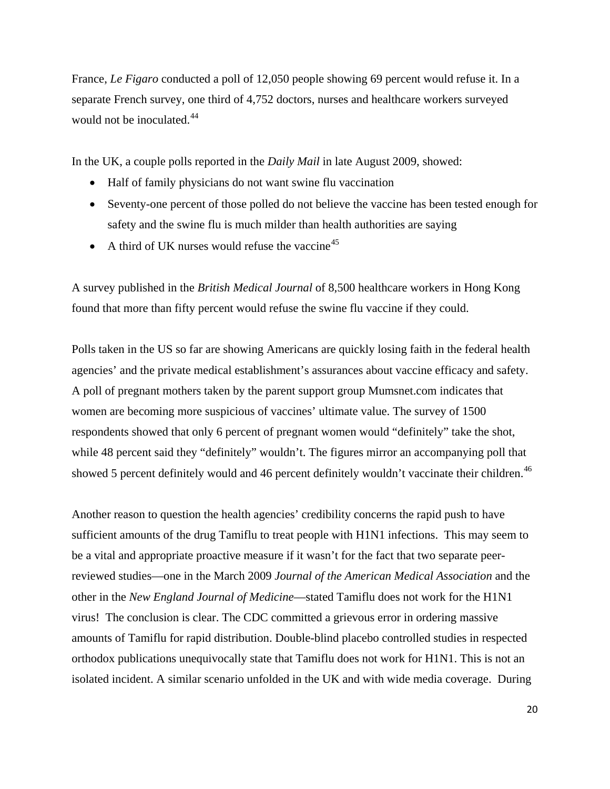France, *Le Figaro* conducted a poll of 12,050 people showing 69 percent would refuse it. In a separate French survey, one third of 4,752 doctors, nurses and healthcare workers surveyed would not be inoculated.<sup>[44](#page-82-0)</sup>

In the UK, a couple polls reported in the *Daily Mail* in late August 2009, showed:

- Half of family physicians do not want swine flu vaccination
- Seventy-one percent of those polled do not believe the vaccine has been tested enough for safety and the swine flu is much milder than health authorities are saying
- A third of UK nurses would refuse the vaccine<sup>[45](#page-82-0)</sup>

A survey published in the *British Medical Journal* of 8,500 healthcare workers in Hong Kong found that more than fifty percent would refuse the swine flu vaccine if they could.

Polls taken in the US so far are showing Americans are quickly losing faith in the federal health agencies' and the private medical establishment's assurances about vaccine efficacy and safety. A poll of pregnant mothers taken by the parent support group Mumsnet.com indicates that women are becoming more suspicious of vaccines' ultimate value. The survey of 1500 respondents showed that only 6 percent of pregnant women would "definitely" take the shot, while 48 percent said they "definitely" wouldn't. The figures mirror an accompanying poll that showed 5 percent definitely would and [46](#page-82-0) percent definitely wouldn't vaccinate their children.<sup>46</sup>

Another reason to question the health agencies' credibility concerns the rapid push to have sufficient amounts of the drug Tamiflu to treat people with H1N1 infections. This may seem to be a vital and appropriate proactive measure if it wasn't for the fact that two separate peerreviewed studies—one in the March 2009 *Journal of the American Medical Association* and the other in the *New England Journal of Medicine*—stated Tamiflu does not work for the H1N1 virus! The conclusion is clear. The CDC committed a grievous error in ordering massive amounts of Tamiflu for rapid distribution. Double-blind placebo controlled studies in respected orthodox publications unequivocally state that Tamiflu does not work for H1N1. This is not an isolated incident. A similar scenario unfolded in the UK and with wide media coverage. During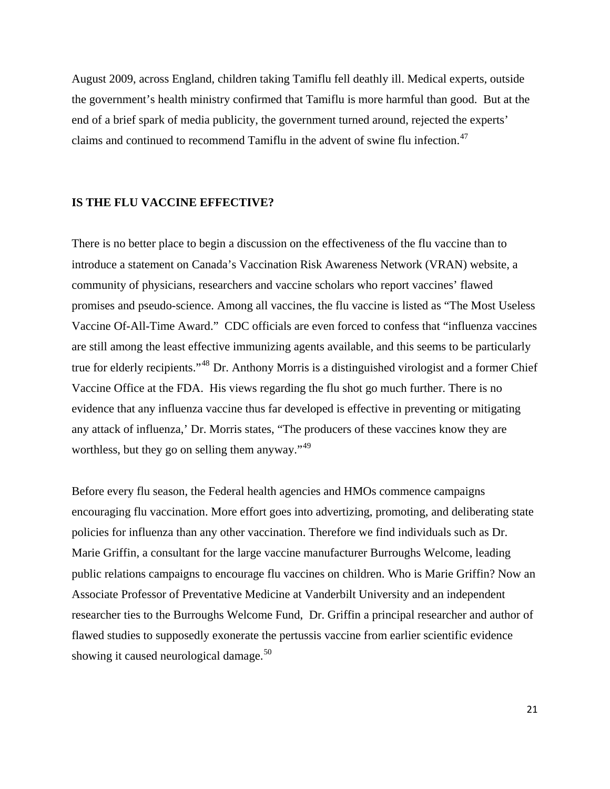August 2009, across England, children taking Tamiflu fell deathly ill. Medical experts, outside the government's health ministry confirmed that Tamiflu is more harmful than good. But at the end of a brief spark of media publicity, the government turned around, rejected the experts' claims and continued to recommend Tamiflu in the advent of swine flu infection.<sup>[47](#page-82-0)</sup>

#### **IS THE FLU VACCINE EFFECTIVE?**

There is no better place to begin a discussion on the effectiveness of the flu vaccine than to introduce a statement on Canada's Vaccination Risk Awareness Network (VRAN) website, a community of physicians, researchers and vaccine scholars who report vaccines' flawed promises and pseudo-science. Among all vaccines, the flu vaccine is listed as "The Most Useless Vaccine Of-All-Time Award." CDC officials are even forced to confess that "influenza vaccines are still among the least effective immunizing agents available, and this seems to be particularly true for elderly recipients."[48](#page-82-0) Dr. Anthony Morris is a distinguished virologist and a former Chief Vaccine Office at the FDA. His views regarding the flu shot go much further. There is no evidence that any influenza vaccine thus far developed is effective in preventing or mitigating any attack of influenza,' Dr. Morris states, "The producers of these vaccines know they are worthless, but they go on selling them anyway." $49$ 

Before every flu season, the Federal health agencies and HMOs commence campaigns encouraging flu vaccination. More effort goes into advertizing, promoting, and deliberating state policies for influenza than any other vaccination. Therefore we find individuals such as Dr. Marie Griffin, a consultant for the large vaccine manufacturer Burroughs Welcome, leading public relations campaigns to encourage flu vaccines on children. Who is Marie Griffin? Now an Associate Professor of Preventative Medicine at Vanderbilt University and an independent researcher ties to the Burroughs Welcome Fund, Dr. Griffin a principal researcher and author of flawed studies to supposedly exonerate the pertussis vaccine from earlier scientific evidence showing it caused neurological damage.<sup>[50](#page-82-0)</sup>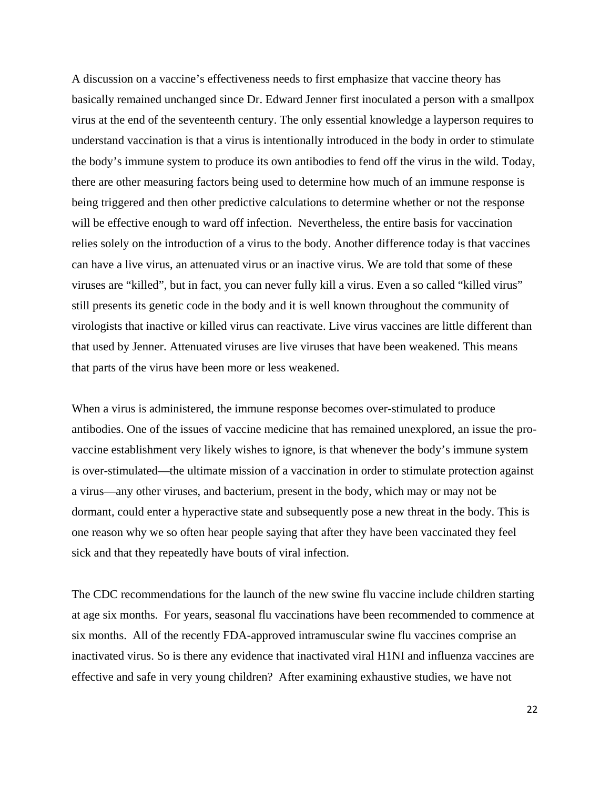A discussion on a vaccine's effectiveness needs to first emphasize that vaccine theory has basically remained unchanged since Dr. Edward Jenner first inoculated a person with a smallpox virus at the end of the seventeenth century. The only essential knowledge a layperson requires to understand vaccination is that a virus is intentionally introduced in the body in order to stimulate the body's immune system to produce its own antibodies to fend off the virus in the wild. Today, there are other measuring factors being used to determine how much of an immune response is being triggered and then other predictive calculations to determine whether or not the response will be effective enough to ward off infection. Nevertheless, the entire basis for vaccination relies solely on the introduction of a virus to the body. Another difference today is that vaccines can have a live virus, an attenuated virus or an inactive virus. We are told that some of these viruses are "killed", but in fact, you can never fully kill a virus. Even a so called "killed virus" still presents its genetic code in the body and it is well known throughout the community of virologists that inactive or killed virus can reactivate. Live virus vaccines are little different than that used by Jenner. Attenuated viruses are live viruses that have been weakened. This means that parts of the virus have been more or less weakened.

When a virus is administered, the immune response becomes over-stimulated to produce antibodies. One of the issues of vaccine medicine that has remained unexplored, an issue the provaccine establishment very likely wishes to ignore, is that whenever the body's immune system is over-stimulated—the ultimate mission of a vaccination in order to stimulate protection against a virus—any other viruses, and bacterium, present in the body, which may or may not be dormant, could enter a hyperactive state and subsequently pose a new threat in the body. This is one reason why we so often hear people saying that after they have been vaccinated they feel sick and that they repeatedly have bouts of viral infection.

The CDC recommendations for the launch of the new swine flu vaccine include children starting at age six months. For years, seasonal flu vaccinations have been recommended to commence at six months. All of the recently FDA-approved intramuscular swine flu vaccines comprise an inactivated virus. So is there any evidence that inactivated viral H1NI and influenza vaccines are effective and safe in very young children? After examining exhaustive studies, we have not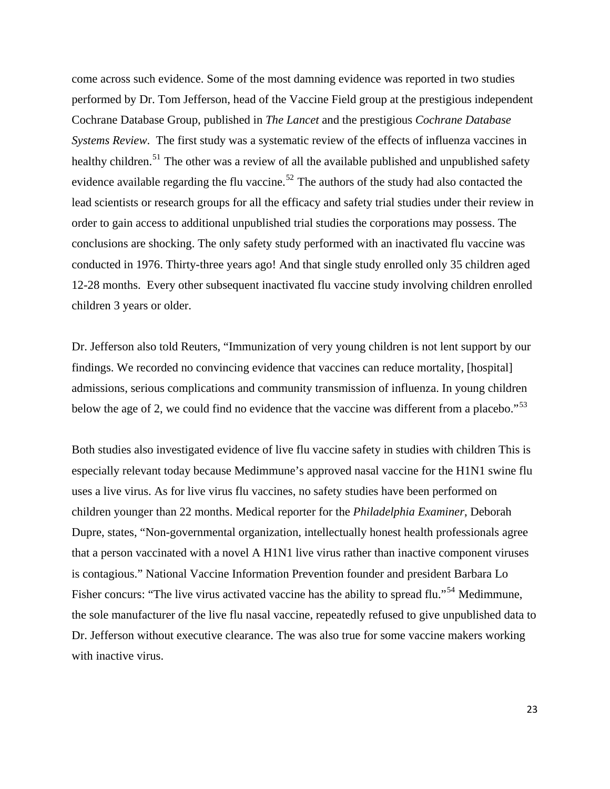come across such evidence. Some of the most damning evidence was reported in two studies performed by Dr. Tom Jefferson, head of the Vaccine Field group at the prestigious independent Cochrane Database Group, published in *The Lancet* and the prestigious *Cochrane Database Systems Review*. The first study was a systematic review of the effects of influenza vaccines in healthy children.<sup>[51](#page-82-0)</sup> The other was a review of all the available published and unpublished safety evidence available regarding the flu vaccine.<sup>[52](#page-83-0)</sup> The authors of the study had also contacted the lead scientists or research groups for all the efficacy and safety trial studies under their review in order to gain access to additional unpublished trial studies the corporations may possess. The conclusions are shocking. The only safety study performed with an inactivated flu vaccine was conducted in 1976. Thirty-three years ago! And that single study enrolled only 35 children aged 12-28 months. Every other subsequent inactivated flu vaccine study involving children enrolled children 3 years or older.

Dr. Jefferson also told Reuters, "Immunization of very young children is not lent support by our findings. We recorded no convincing evidence that vaccines can reduce mortality, [hospital] admissions, serious complications and community transmission of influenza. In young children below the age of 2, we could find no evidence that the vaccine was different from a placebo."<sup>[53](#page-83-0)</sup>

Both studies also investigated evidence of live flu vaccine safety in studies with children This is especially relevant today because Medimmune's approved nasal vaccine for the H1N1 swine flu uses a live virus. As for live virus flu vaccines, no safety studies have been performed on children younger than 22 months. Medical reporter for the *Philadelphia Examiner*, Deborah Dupre, states, "Non-governmental organization, intellectually honest health professionals agree that a person vaccinated with a novel A H1N1 live virus rather than inactive component viruses is contagious." National Vaccine Information Prevention founder and president Barbara Lo Fisher concurs: "The live virus activated vaccine has the ability to spread flu."<sup>[54](#page-83-0)</sup> Medimmune, the sole manufacturer of the live flu nasal vaccine, repeatedly refused to give unpublished data to Dr. Jefferson without executive clearance. The was also true for some vaccine makers working with inactive virus.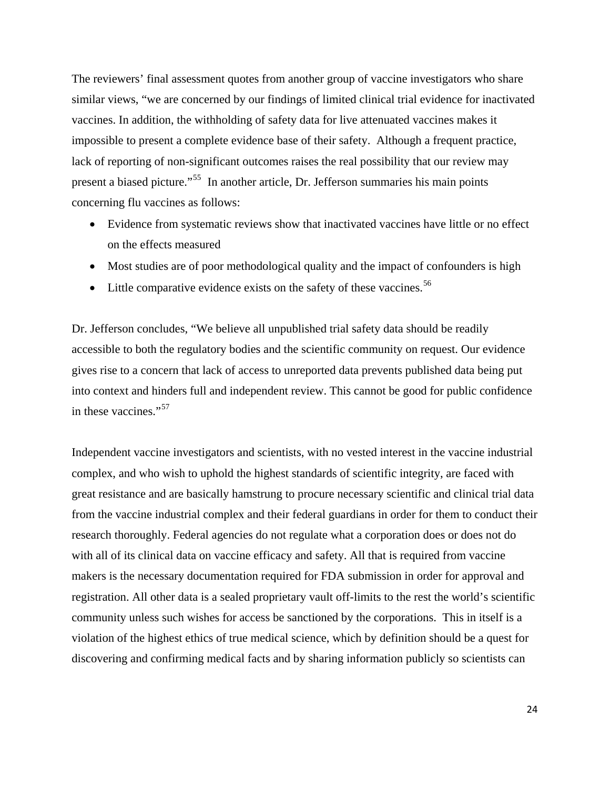The reviewers' final assessment quotes from another group of vaccine investigators who share similar views, "we are concerned by our findings of limited clinical trial evidence for inactivated vaccines. In addition, the withholding of safety data for live attenuated vaccines makes it impossible to present a complete evidence base of their safety. Although a frequent practice, lack of reporting of non-significant outcomes raises the real possibility that our review may present a biased picture."[55](#page-83-0) In another article, Dr. Jefferson summaries his main points concerning flu vaccines as follows:

- Evidence from systematic reviews show that inactivated vaccines have little or no effect on the effects measured
- Most studies are of poor methodological quality and the impact of confounders is high
- Little comparative evidence exists on the safety of these vaccines.<sup>[56](#page-83-0)</sup>

Dr. Jefferson concludes, "We believe all unpublished trial safety data should be readily accessible to both the regulatory bodies and the scientific community on request. Our evidence gives rise to a concern that lack of access to unreported data prevents published data being put into context and hinders full and independent review. This cannot be good for public confidence in these vaccines."<sup>[57](#page-83-0)</sup>

Independent vaccine investigators and scientists, with no vested interest in the vaccine industrial complex, and who wish to uphold the highest standards of scientific integrity, are faced with great resistance and are basically hamstrung to procure necessary scientific and clinical trial data from the vaccine industrial complex and their federal guardians in order for them to conduct their research thoroughly. Federal agencies do not regulate what a corporation does or does not do with all of its clinical data on vaccine efficacy and safety. All that is required from vaccine makers is the necessary documentation required for FDA submission in order for approval and registration. All other data is a sealed proprietary vault off-limits to the rest the world's scientific community unless such wishes for access be sanctioned by the corporations. This in itself is a violation of the highest ethics of true medical science, which by definition should be a quest for discovering and confirming medical facts and by sharing information publicly so scientists can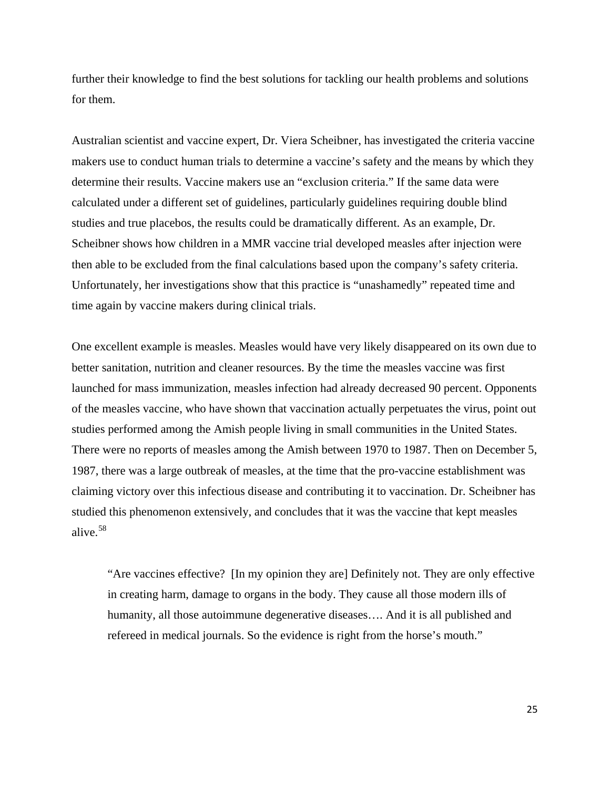further their knowledge to find the best solutions for tackling our health problems and solutions for them.

Australian scientist and vaccine expert, Dr. Viera Scheibner, has investigated the criteria vaccine makers use to conduct human trials to determine a vaccine's safety and the means by which they determine their results. Vaccine makers use an "exclusion criteria." If the same data were calculated under a different set of guidelines, particularly guidelines requiring double blind studies and true placebos, the results could be dramatically different. As an example, Dr. Scheibner shows how children in a MMR vaccine trial developed measles after injection were then able to be excluded from the final calculations based upon the company's safety criteria. Unfortunately, her investigations show that this practice is "unashamedly" repeated time and time again by vaccine makers during clinical trials.

One excellent example is measles. Measles would have very likely disappeared on its own due to better sanitation, nutrition and cleaner resources. By the time the measles vaccine was first launched for mass immunization, measles infection had already decreased 90 percent. Opponents of the measles vaccine, who have shown that vaccination actually perpetuates the virus, point out studies performed among the Amish people living in small communities in the United States. There were no reports of measles among the Amish between 1970 to 1987. Then on December 5, 1987, there was a large outbreak of measles, at the time that the pro-vaccine establishment was claiming victory over this infectious disease and contributing it to vaccination. Dr. Scheibner has studied this phenomenon extensively, and concludes that it was the vaccine that kept measles alive.[58](#page-83-0)

"Are vaccines effective? [In my opinion they are] Definitely not. They are only effective in creating harm, damage to organs in the body. They cause all those modern ills of humanity, all those autoimmune degenerative diseases…. And it is all published and refereed in medical journals. So the evidence is right from the horse's mouth."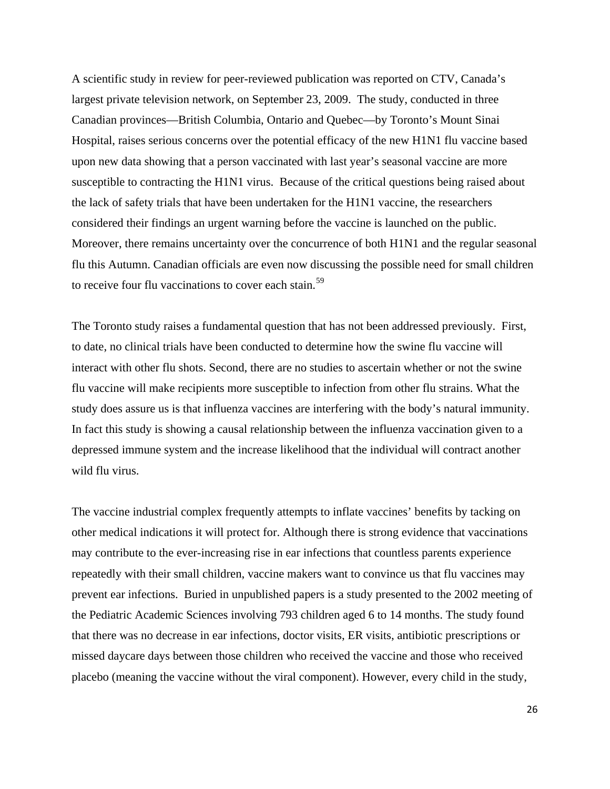A scientific study in review for peer-reviewed publication was reported on CTV, Canada's largest private television network, on September 23, 2009. The study, conducted in three Canadian provinces—British Columbia, Ontario and Quebec—by Toronto's Mount Sinai Hospital, raises serious concerns over the potential efficacy of the new H1N1 flu vaccine based upon new data showing that a person vaccinated with last year's seasonal vaccine are more susceptible to contracting the H1N1 virus. Because of the critical questions being raised about the lack of safety trials that have been undertaken for the H1N1 vaccine, the researchers considered their findings an urgent warning before the vaccine is launched on the public. Moreover, there remains uncertainty over the concurrence of both H1N1 and the regular seasonal flu this Autumn. Canadian officials are even now discussing the possible need for small children to receive four flu vaccinations to cover each stain.<sup>[59](#page-83-0)</sup>

The Toronto study raises a fundamental question that has not been addressed previously. First, to date, no clinical trials have been conducted to determine how the swine flu vaccine will interact with other flu shots. Second, there are no studies to ascertain whether or not the swine flu vaccine will make recipients more susceptible to infection from other flu strains. What the study does assure us is that influenza vaccines are interfering with the body's natural immunity. In fact this study is showing a causal relationship between the influenza vaccination given to a depressed immune system and the increase likelihood that the individual will contract another wild flu virus.

The vaccine industrial complex frequently attempts to inflate vaccines' benefits by tacking on other medical indications it will protect for. Although there is strong evidence that vaccinations may contribute to the ever-increasing rise in ear infections that countless parents experience repeatedly with their small children, vaccine makers want to convince us that flu vaccines may prevent ear infections. Buried in unpublished papers is a study presented to the 2002 meeting of the Pediatric Academic Sciences involving 793 children aged 6 to 14 months. The study found that there was no decrease in ear infections, doctor visits, ER visits, antibiotic prescriptions or missed daycare days between those children who received the vaccine and those who received placebo (meaning the vaccine without the viral component). However, every child in the study,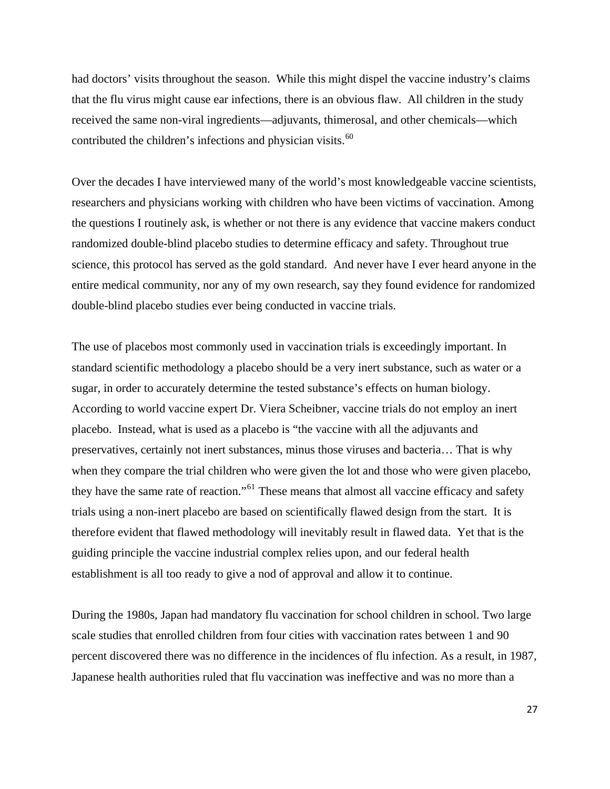had doctors' visits throughout the season. While this might dispel the vaccine industry's claims that the flu virus might cause ear infections, there is an obvious flaw. All children in the study received the same non-viral ingredients—adjuvants, thimerosal, and other chemicals—which contributed the children's infections and physician visits.<sup>[60](#page-83-0)</sup>

Over the decades I have interviewed many of the world's most knowledgeable vaccine scientists, researchers and physicians working with children who have been victims of vaccination. Among the questions I routinely ask, is whether or not there is any evidence that vaccine makers conduct randomized double-blind placebo studies to determine efficacy and safety. Throughout true science, this protocol has served as the gold standard. And never have I ever heard anyone in the entire medical community, nor any of my own research, say they found evidence for randomized double-blind placebo studies ever being conducted in vaccine trials.

The use of placebos most commonly used in vaccination trials is exceedingly important. In standard scientific methodology a placebo should be a very inert substance, such as water or a sugar, in order to accurately determine the tested substance's effects on human biology. According to world vaccine expert Dr. Viera Scheibner, vaccine trials do not employ an inert placebo. Instead, what is used as a placebo is "the vaccine with all the adjuvants and preservatives, certainly not inert substances, minus those viruses and bacteria… That is why when they compare the trial children who were given the lot and those who were given placebo, they have the same rate of reaction."[61](#page-83-0) These means that almost all vaccine efficacy and safety trials using a non-inert placebo are based on scientifically flawed design from the start. It is therefore evident that flawed methodology will inevitably result in flawed data. Yet that is the guiding principle the vaccine industrial complex relies upon, and our federal health establishment is all too ready to give a nod of approval and allow it to continue.

During the 1980s, Japan had mandatory flu vaccination for school children in school. Two large scale studies that enrolled children from four cities with vaccination rates between 1 and 90 percent discovered there was no difference in the incidences of flu infection. As a result, in 1987, Japanese health authorities ruled that flu vaccination was ineffective and was no more than a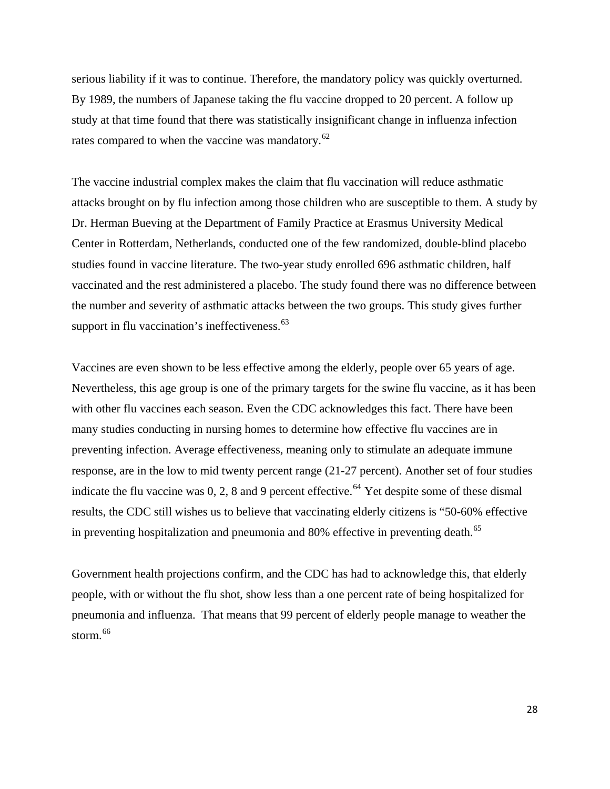serious liability if it was to continue. Therefore, the mandatory policy was quickly overturned. By 1989, the numbers of Japanese taking the flu vaccine dropped to 20 percent. A follow up study at that time found that there was statistically insignificant change in influenza infection rates compared to when the vaccine was mandatory.<sup>[62](#page-83-0)</sup>

The vaccine industrial complex makes the claim that flu vaccination will reduce asthmatic attacks brought on by flu infection among those children who are susceptible to them. A study by Dr. Herman Bueving at the Department of Family Practice at Erasmus University Medical Center in Rotterdam, Netherlands, conducted one of the few randomized, double-blind placebo studies found in vaccine literature. The two-year study enrolled 696 asthmatic children, half vaccinated and the rest administered a placebo. The study found there was no difference between the number and severity of asthmatic attacks between the two groups. This study gives further support in flu vaccination's ineffectiveness. $63$ 

Vaccines are even shown to be less effective among the elderly, people over 65 years of age. Nevertheless, this age group is one of the primary targets for the swine flu vaccine, as it has been with other flu vaccines each season. Even the CDC acknowledges this fact. There have been many studies conducting in nursing homes to determine how effective flu vaccines are in preventing infection. Average effectiveness, meaning only to stimulate an adequate immune response, are in the low to mid twenty percent range (21-27 percent). Another set of four studies indicate the flu vaccine was  $0, 2, 8$  and 9 percent effective.<sup>[64](#page-83-0)</sup> Yet despite some of these dismal results, the CDC still wishes us to believe that vaccinating elderly citizens is "50-60% effective in preventing hospitalization and pneumonia and 80% effective in preventing death.<sup>[65](#page-83-0)</sup>

Government health projections confirm, and the CDC has had to acknowledge this, that elderly people, with or without the flu shot, show less than a one percent rate of being hospitalized for pneumonia and influenza. That means that 99 percent of elderly people manage to weather the storm.<sup>[66](#page-83-0)</sup>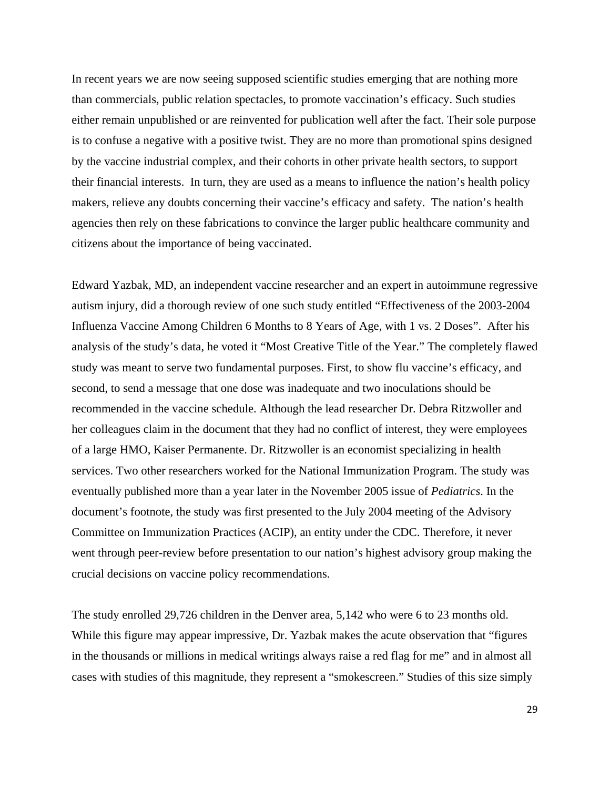In recent years we are now seeing supposed scientific studies emerging that are nothing more than commercials, public relation spectacles, to promote vaccination's efficacy. Such studies either remain unpublished or are reinvented for publication well after the fact. Their sole purpose is to confuse a negative with a positive twist. They are no more than promotional spins designed by the vaccine industrial complex, and their cohorts in other private health sectors, to support their financial interests. In turn, they are used as a means to influence the nation's health policy makers, relieve any doubts concerning their vaccine's efficacy and safety. The nation's health agencies then rely on these fabrications to convince the larger public healthcare community and citizens about the importance of being vaccinated.

Edward Yazbak, MD, an independent vaccine researcher and an expert in autoimmune regressive autism injury, did a thorough review of one such study entitled "Effectiveness of the 2003-2004 Influenza Vaccine Among Children 6 Months to 8 Years of Age, with 1 vs. 2 Doses". After his analysis of the study's data, he voted it "Most Creative Title of the Year." The completely flawed study was meant to serve two fundamental purposes. First, to show flu vaccine's efficacy, and second, to send a message that one dose was inadequate and two inoculations should be recommended in the vaccine schedule. Although the lead researcher Dr. Debra Ritzwoller and her colleagues claim in the document that they had no conflict of interest, they were employees of a large HMO, Kaiser Permanente. Dr. Ritzwoller is an economist specializing in health services. Two other researchers worked for the National Immunization Program. The study was eventually published more than a year later in the November 2005 issue of *Pediatrics*. In the document's footnote, the study was first presented to the July 2004 meeting of the Advisory Committee on Immunization Practices (ACIP), an entity under the CDC. Therefore, it never went through peer-review before presentation to our nation's highest advisory group making the crucial decisions on vaccine policy recommendations.

The study enrolled 29,726 children in the Denver area, 5,142 who were 6 to 23 months old. While this figure may appear impressive, Dr. Yazbak makes the acute observation that "figures in the thousands or millions in medical writings always raise a red flag for me" and in almost all cases with studies of this magnitude, they represent a "smokescreen." Studies of this size simply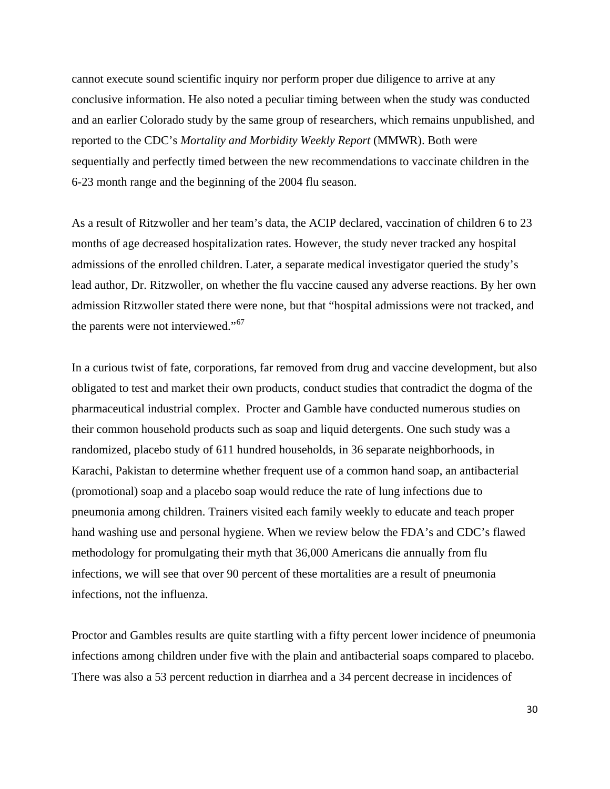cannot execute sound scientific inquiry nor perform proper due diligence to arrive at any conclusive information. He also noted a peculiar timing between when the study was conducted and an earlier Colorado study by the same group of researchers, which remains unpublished, and reported to the CDC's *Mortality and Morbidity Weekly Report* (MMWR). Both were sequentially and perfectly timed between the new recommendations to vaccinate children in the 6-23 month range and the beginning of the 2004 flu season.

As a result of Ritzwoller and her team's data, the ACIP declared, vaccination of children 6 to 23 months of age decreased hospitalization rates. However, the study never tracked any hospital admissions of the enrolled children. Later, a separate medical investigator queried the study's lead author, Dr. Ritzwoller, on whether the flu vaccine caused any adverse reactions. By her own admission Ritzwoller stated there were none, but that "hospital admissions were not tracked, and the parents were not interviewed."<sup>[67](#page-84-0)</sup>

In a curious twist of fate, corporations, far removed from drug and vaccine development, but also obligated to test and market their own products, conduct studies that contradict the dogma of the pharmaceutical industrial complex. Procter and Gamble have conducted numerous studies on their common household products such as soap and liquid detergents. One such study was a randomized, placebo study of 611 hundred households, in 36 separate neighborhoods, in Karachi, Pakistan to determine whether frequent use of a common hand soap, an antibacterial (promotional) soap and a placebo soap would reduce the rate of lung infections due to pneumonia among children. Trainers visited each family weekly to educate and teach proper hand washing use and personal hygiene. When we review below the FDA's and CDC's flawed methodology for promulgating their myth that 36,000 Americans die annually from flu infections, we will see that over 90 percent of these mortalities are a result of pneumonia infections, not the influenza.

Proctor and Gambles results are quite startling with a fifty percent lower incidence of pneumonia infections among children under five with the plain and antibacterial soaps compared to placebo. There was also a 53 percent reduction in diarrhea and a 34 percent decrease in incidences of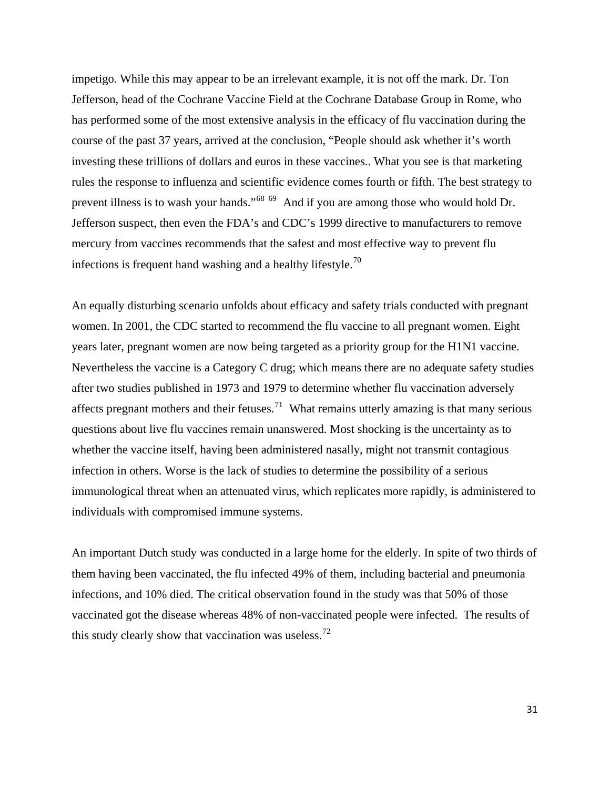impetigo. While this may appear to be an irrelevant example, it is not off the mark. Dr. Ton Jefferson, head of the Cochrane Vaccine Field at the Cochrane Database Group in Rome, who has performed some of the most extensive analysis in the efficacy of flu vaccination during the course of the past 37 years, arrived at the conclusion, "People should ask whether it's worth investing these trillions of dollars and euros in these vaccines.. What you see is that marketing rules the response to influenza and scientific evidence comes fourth or fifth. The best strategy to prevent illness is to wash your hands."[68](#page-84-0) [69](#page-84-0) And if you are among those who would hold Dr. Jefferson suspect, then even the FDA's and CDC's 1999 directive to manufacturers to remove mercury from vaccines recommends that the safest and most effective way to prevent flu infections is frequent hand washing and a healthy lifestyle.<sup>[70](#page-84-0)</sup>

An equally disturbing scenario unfolds about efficacy and safety trials conducted with pregnant women. In 2001, the CDC started to recommend the flu vaccine to all pregnant women. Eight years later, pregnant women are now being targeted as a priority group for the H1N1 vaccine. Nevertheless the vaccine is a Category C drug; which means there are no adequate safety studies after two studies published in 1973 and 1979 to determine whether flu vaccination adversely affects pregnant mothers and their fetuses.<sup>[71](#page-84-0)</sup> What remains utterly amazing is that many serious questions about live flu vaccines remain unanswered. Most shocking is the uncertainty as to whether the vaccine itself, having been administered nasally, might not transmit contagious infection in others. Worse is the lack of studies to determine the possibility of a serious immunological threat when an attenuated virus, which replicates more rapidly, is administered to individuals with compromised immune systems.

An important Dutch study was conducted in a large home for the elderly. In spite of two thirds of them having been vaccinated, the flu infected 49% of them, including bacterial and pneumonia infections, and 10% died. The critical observation found in the study was that 50% of those vaccinated got the disease whereas 48% of non-vaccinated people were infected. The results of this study clearly show that vaccination was useless.<sup>[72](#page-84-0)</sup>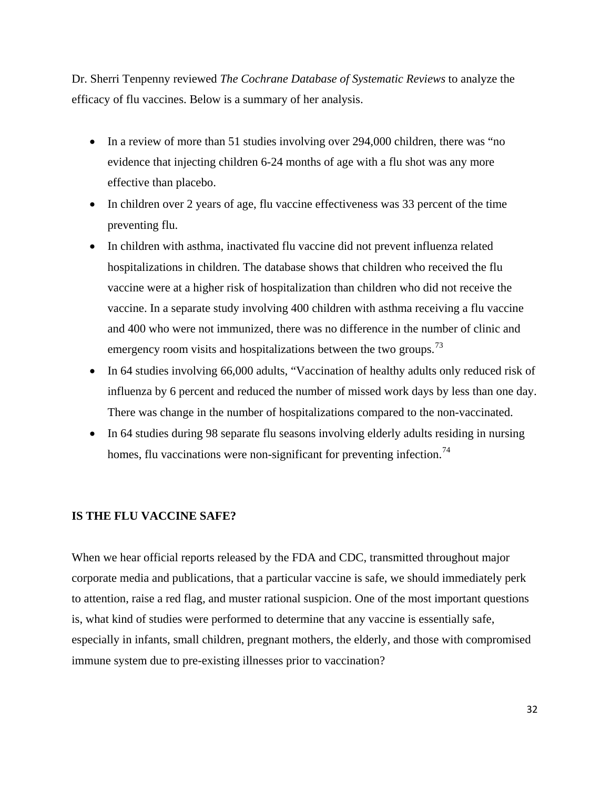Dr. Sherri Tenpenny reviewed *The Cochrane Database of Systematic Reviews* to analyze the efficacy of flu vaccines. Below is a summary of her analysis.

- In a review of more than 51 studies involving over 294,000 children, there was "no evidence that injecting children 6-24 months of age with a flu shot was any more effective than placebo.
- In children over 2 years of age, flu vaccine effectiveness was 33 percent of the time preventing flu.
- In children with asthma, inactivated flu vaccine did not prevent influenza related hospitalizations in children. The database shows that children who received the flu vaccine were at a higher risk of hospitalization than children who did not receive the vaccine. In a separate study involving 400 children with asthma receiving a flu vaccine and 400 who were not immunized, there was no difference in the number of clinic and emergency room visits and hospitalizations between the two groups.<sup>[73](#page-84-0)</sup>
- In 64 studies involving 66,000 adults, "Vaccination of healthy adults only reduced risk of influenza by 6 percent and reduced the number of missed work days by less than one day. There was change in the number of hospitalizations compared to the non-vaccinated.
- In 64 studies during 98 separate flu seasons involving elderly adults residing in nursing homes, flu vaccinations were non-significant for preventing infection.<sup>[74](#page-84-0)</sup>

#### **IS THE FLU VACCINE SAFE?**

When we hear official reports released by the FDA and CDC, transmitted throughout major corporate media and publications, that a particular vaccine is safe, we should immediately perk to attention, raise a red flag, and muster rational suspicion. One of the most important questions is, what kind of studies were performed to determine that any vaccine is essentially safe, especially in infants, small children, pregnant mothers, the elderly, and those with compromised immune system due to pre-existing illnesses prior to vaccination?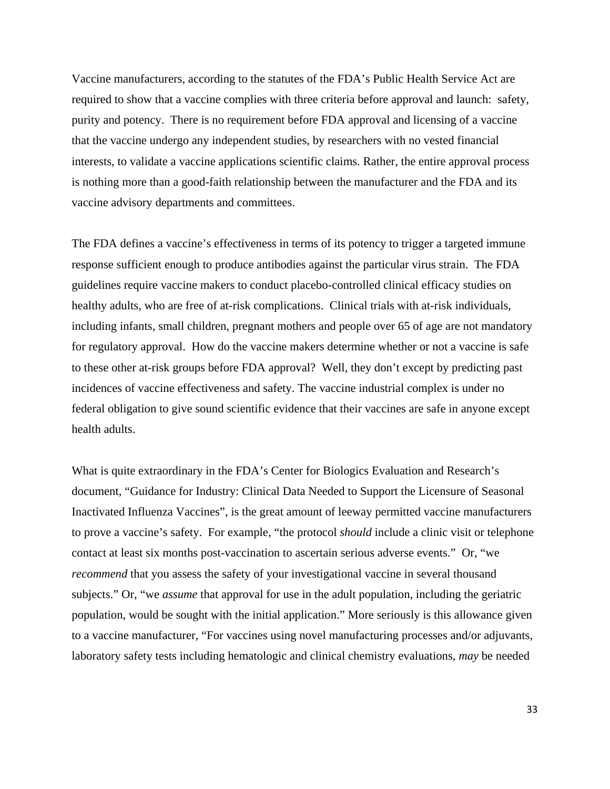Vaccine manufacturers, according to the statutes of the FDA's Public Health Service Act are required to show that a vaccine complies with three criteria before approval and launch: safety, purity and potency. There is no requirement before FDA approval and licensing of a vaccine that the vaccine undergo any independent studies, by researchers with no vested financial interests, to validate a vaccine applications scientific claims. Rather, the entire approval process is nothing more than a good-faith relationship between the manufacturer and the FDA and its vaccine advisory departments and committees.

The FDA defines a vaccine's effectiveness in terms of its potency to trigger a targeted immune response sufficient enough to produce antibodies against the particular virus strain. The FDA guidelines require vaccine makers to conduct placebo-controlled clinical efficacy studies on healthy adults, who are free of at-risk complications. Clinical trials with at-risk individuals, including infants, small children, pregnant mothers and people over 65 of age are not mandatory for regulatory approval. How do the vaccine makers determine whether or not a vaccine is safe to these other at-risk groups before FDA approval? Well, they don't except by predicting past incidences of vaccine effectiveness and safety. The vaccine industrial complex is under no federal obligation to give sound scientific evidence that their vaccines are safe in anyone except health adults.

What is quite extraordinary in the FDA's Center for Biologics Evaluation and Research's document, "Guidance for Industry: Clinical Data Needed to Support the Licensure of Seasonal Inactivated Influenza Vaccines", is the great amount of leeway permitted vaccine manufacturers to prove a vaccine's safety. For example, "the protocol *should* include a clinic visit or telephone contact at least six months post-vaccination to ascertain serious adverse events." Or, "we *recommend* that you assess the safety of your investigational vaccine in several thousand subjects." Or, "we *assume* that approval for use in the adult population, including the geriatric population, would be sought with the initial application." More seriously is this allowance given to a vaccine manufacturer, "For vaccines using novel manufacturing processes and/or adjuvants, laboratory safety tests including hematologic and clinical chemistry evaluations, *may* be needed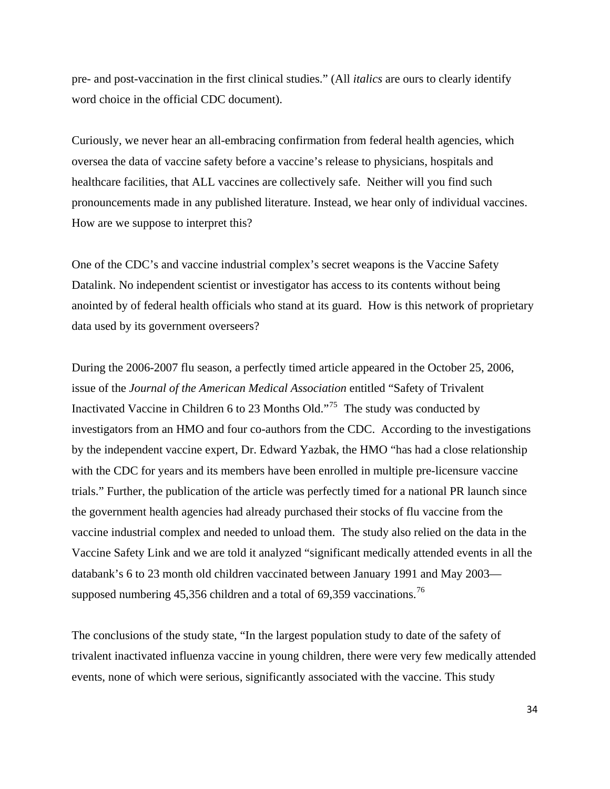pre- and post-vaccination in the first clinical studies." (All *italics* are ours to clearly identify word choice in the official CDC document).

Curiously, we never hear an all-embracing confirmation from federal health agencies, which oversea the data of vaccine safety before a vaccine's release to physicians, hospitals and healthcare facilities, that ALL vaccines are collectively safe. Neither will you find such pronouncements made in any published literature. Instead, we hear only of individual vaccines. How are we suppose to interpret this?

One of the CDC's and vaccine industrial complex's secret weapons is the Vaccine Safety Datalink. No independent scientist or investigator has access to its contents without being anointed by of federal health officials who stand at its guard. How is this network of proprietary data used by its government overseers?

During the 2006-2007 flu season, a perfectly timed article appeared in the October 25, 2006, issue of the *Journal of the American Medical Association* entitled "Safety of Trivalent Inactivated Vaccine in Children 6 to 23 Months Old."[75](#page-84-0) The study was conducted by investigators from an HMO and four co-authors from the CDC. According to the investigations by the independent vaccine expert, Dr. Edward Yazbak, the HMO "has had a close relationship with the CDC for years and its members have been enrolled in multiple pre-licensure vaccine trials." Further, the publication of the article was perfectly timed for a national PR launch since the government health agencies had already purchased their stocks of flu vaccine from the vaccine industrial complex and needed to unload them. The study also relied on the data in the Vaccine Safety Link and we are told it analyzed "significant medically attended events in all the databank's 6 to 23 month old children vaccinated between January 1991 and May 2003— supposed numbering 45,356 children and a total of 69,359 vaccinations.<sup>[76](#page-84-0)</sup>

The conclusions of the study state, "In the largest population study to date of the safety of trivalent inactivated influenza vaccine in young children, there were very few medically attended events, none of which were serious, significantly associated with the vaccine. This study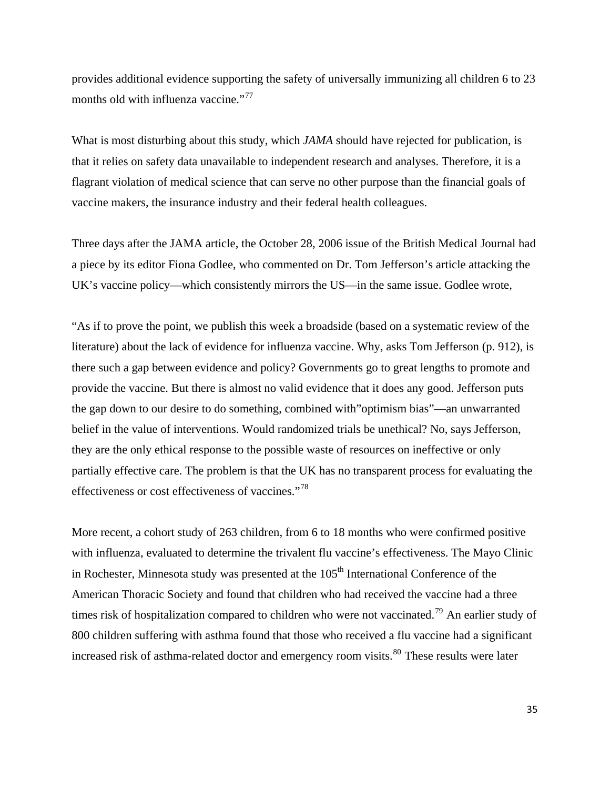provides additional evidence supporting the safety of universally immunizing all children 6 to 23 months old with influenza vaccine."<sup>[77](#page-84-0)</sup>

What is most disturbing about this study, which *JAMA* should have rejected for publication, is that it relies on safety data unavailable to independent research and analyses. Therefore, it is a flagrant violation of medical science that can serve no other purpose than the financial goals of vaccine makers, the insurance industry and their federal health colleagues.

Three days after the JAMA article, the October 28, 2006 issue of the British Medical Journal had a piece by its editor Fiona Godlee, who commented on Dr. Tom Jefferson's article attacking the UK's vaccine policy—which consistently mirrors the US—in the same issue. Godlee wrote,

"As if to prove the point, we publish this week a broadside (based on a systematic review of the literature) about the lack of evidence for influenza vaccine. Why, asks Tom Jefferson (p. 912), is there such a gap between evidence and policy? Governments go to great lengths to promote and provide the vaccine. But there is almost no valid evidence that it does any good. Jefferson puts the gap down to our desire to do something, combined with"optimism bias"—an unwarranted belief in the value of interventions. Would randomized trials be unethical? No, says Jefferson, they are the only ethical response to the possible waste of resources on ineffective or only partially effective care. The problem is that the UK has no transparent process for evaluating the effectiveness or cost effectiveness of vaccines."[78](#page-84-0)

More recent, a cohort study of 263 children, from 6 to 18 months who were confirmed positive with influenza, evaluated to determine the trivalent flu vaccine's effectiveness. The Mayo Clinic in Rochester, Minnesota study was presented at the  $105<sup>th</sup>$  International Conference of the American Thoracic Society and found that children who had received the vaccine had a three times risk of hospitalization compared to children who were not vaccinated.<sup>[79](#page-84-0)</sup> An earlier study of 800 children suffering with asthma found that those who received a flu vaccine had a significant increased risk of asthma-related doctor and emergency room visits.<sup>[80](#page-84-0)</sup> These results were later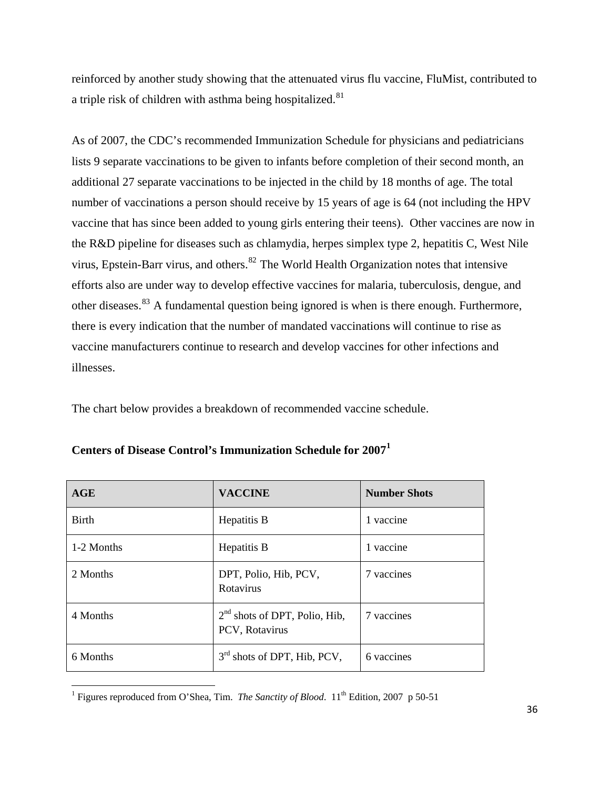reinforced by another study showing that the attenuated virus flu vaccine, FluMist, contributed to a triple risk of children with asthma being hospitalized.<sup>[81](#page-84-0)</sup>

As of 2007, the CDC's recommended Immunization Schedule for physicians and pediatricians lists 9 separate vaccinations to be given to infants before completion of their second month, an additional 27 separate vaccinations to be injected in the child by 18 months of age. The total number of vaccinations a person should receive by 15 years of age is 64 (not including the HPV vaccine that has since been added to young girls entering their teens). Other vaccines are now in the R&D pipeline for diseases such as chlamydia, herpes simplex type 2, hepatitis C, West Nile virus, Epstein-Barr virus, and others.<sup>[82](#page-84-0)</sup> The World Health Organization notes that intensive efforts also are under way to develop effective vaccines for malaria, tuberculosis, dengue, and other diseases.<sup>[83](#page-85-0)</sup> A fundamental question being ignored is when is there enough. Furthermore, there is every indication that the number of mandated vaccinations will continue to rise as vaccine manufacturers continue to research and develop vaccines for other infections and illnesses.

The chart below provides a breakdown of recommended vaccine schedule.

| AGE          | <b>VACCINE</b>                                    | <b>Number Shots</b> |  |
|--------------|---------------------------------------------------|---------------------|--|
| <b>Birth</b> | Hepatitis B                                       | 1 vaccine           |  |
| 1-2 Months   | Hepatitis B                                       | 1 vaccine           |  |
| 2 Months     | DPT, Polio, Hib, PCV,<br>Rotavirus                | 7 vaccines          |  |
| 4 Months     | $2nd$ shots of DPT, Polio, Hib,<br>PCV, Rotavirus | 7 vaccines          |  |
| 6 Months     | $3rd$ shots of DPT, Hib, PCV,                     | 6 vaccines          |  |

|  | Centers of Disease Control's Immunization Schedule for 2007 <sup>1</sup> |  |
|--|--------------------------------------------------------------------------|--|
|  |                                                                          |  |

<span id="page-35-0"></span><sup>&</sup>lt;sup>1</sup> Figures reproduced from O'Shea, Tim. *The Sanctity of Blood*. 11<sup>th</sup> Edition, 2007 p 50-51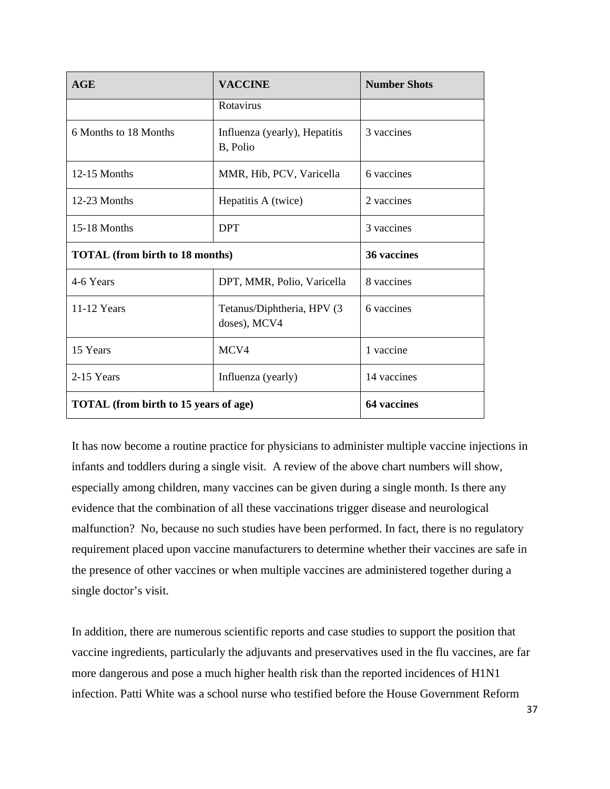| AGE                                          | <b>VACCINE</b>                              | <b>Number Shots</b> |
|----------------------------------------------|---------------------------------------------|---------------------|
|                                              | Rotavirus                                   |                     |
| 6 Months to 18 Months                        | Influenza (yearly), Hepatitis<br>B, Polio   | 3 vaccines          |
| $12-15$ Months                               | MMR, Hib, PCV, Varicella                    | 6 vaccines          |
| 12-23 Months                                 | Hepatitis A (twice)                         | 2 vaccines          |
| 15-18 Months                                 | <b>DPT</b>                                  | 3 vaccines          |
| <b>TOTAL</b> (from birth to 18 months)       |                                             | 36 vaccines         |
| 4-6 Years                                    | DPT, MMR, Polio, Varicella                  | 8 vaccines          |
| 11-12 Years                                  | Tetanus/Diphtheria, HPV (3)<br>doses), MCV4 | 6 vaccines          |
| 15 Years                                     | MCV4                                        | 1 vaccine           |
| 2-15 Years                                   | Influenza (yearly)                          | 14 vaccines         |
| <b>TOTAL</b> (from birth to 15 years of age) |                                             | <b>64 vaccines</b>  |

It has now become a routine practice for physicians to administer multiple vaccine injections in infants and toddlers during a single visit. A review of the above chart numbers will show, especially among children, many vaccines can be given during a single month. Is there any evidence that the combination of all these vaccinations trigger disease and neurological malfunction? No, because no such studies have been performed. In fact, there is no regulatory requirement placed upon vaccine manufacturers to determine whether their vaccines are safe in the presence of other vaccines or when multiple vaccines are administered together during a single doctor's visit.

In addition, there are numerous scientific reports and case studies to support the position that vaccine ingredients, particularly the adjuvants and preservatives used in the flu vaccines, are far more dangerous and pose a much higher health risk than the reported incidences of H1N1 infection. Patti White was a school nurse who testified before the House Government Reform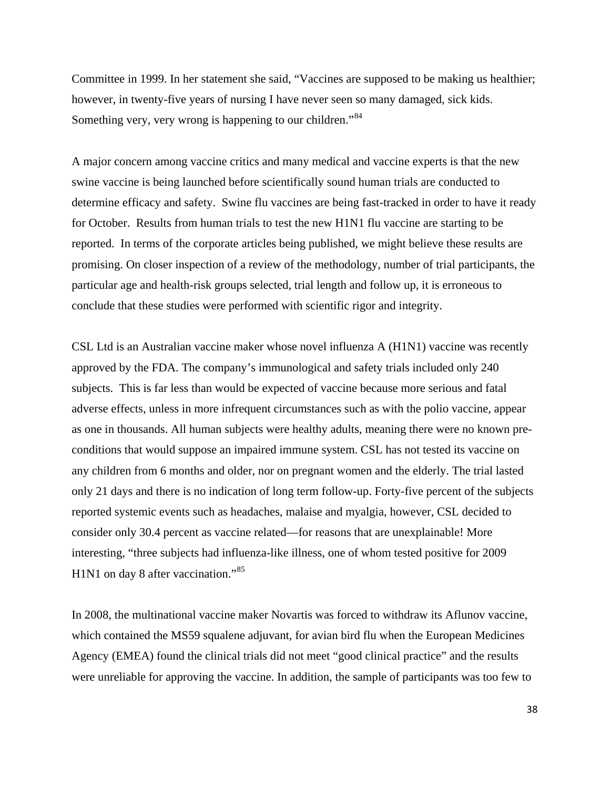Committee in 1999. In her statement she said, "Vaccines are supposed to be making us healthier; however, in twenty-five years of nursing I have never seen so many damaged, sick kids. Something very, very wrong is happening to our children."<sup>[84](#page-85-0)</sup>

A major concern among vaccine critics and many medical and vaccine experts is that the new swine vaccine is being launched before scientifically sound human trials are conducted to determine efficacy and safety. Swine flu vaccines are being fast-tracked in order to have it ready for October. Results from human trials to test the new H1N1 flu vaccine are starting to be reported. In terms of the corporate articles being published, we might believe these results are promising. On closer inspection of a review of the methodology, number of trial participants, the particular age and health-risk groups selected, trial length and follow up, it is erroneous to conclude that these studies were performed with scientific rigor and integrity.

CSL Ltd is an Australian vaccine maker whose novel influenza A (H1N1) vaccine was recently approved by the FDA. The company's immunological and safety trials included only 240 subjects. This is far less than would be expected of vaccine because more serious and fatal adverse effects, unless in more infrequent circumstances such as with the polio vaccine, appear as one in thousands. All human subjects were healthy adults, meaning there were no known preconditions that would suppose an impaired immune system. CSL has not tested its vaccine on any children from 6 months and older, nor on pregnant women and the elderly. The trial lasted only 21 days and there is no indication of long term follow-up. Forty-five percent of the subjects reported systemic events such as headaches, malaise and myalgia, however, CSL decided to consider only 30.4 percent as vaccine related—for reasons that are unexplainable! More interesting, "three subjects had influenza-like illness, one of whom tested positive for 2009 H<sub>1N1</sub> on day 8 after vaccination."<sup>[85](#page-85-0)</sup>

In 2008, the multinational vaccine maker Novartis was forced to withdraw its Aflunov vaccine, which contained the MS59 squalene adjuvant, for avian bird flu when the European Medicines Agency (EMEA) found the clinical trials did not meet "good clinical practice" and the results were unreliable for approving the vaccine. In addition, the sample of participants was too few to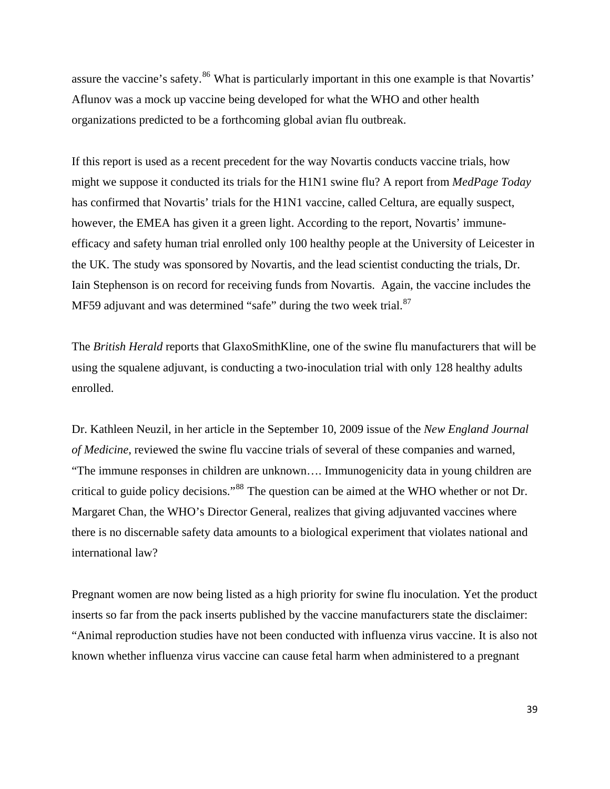assure the vaccine's safety.<sup>[86](#page-85-0)</sup> What is particularly important in this one example is that Novartis' Aflunov was a mock up vaccine being developed for what the WHO and other health organizations predicted to be a forthcoming global avian flu outbreak.

If this report is used as a recent precedent for the way Novartis conducts vaccine trials, how might we suppose it conducted its trials for the H1N1 swine flu? A report from *MedPage Today* has confirmed that Novartis' trials for the H1N1 vaccine, called Celtura, are equally suspect, however, the EMEA has given it a green light. According to the report, Novartis' immuneefficacy and safety human trial enrolled only 100 healthy people at the University of Leicester in the UK. The study was sponsored by Novartis, and the lead scientist conducting the trials, Dr. Iain Stephenson is on record for receiving funds from Novartis. Again, the vaccine includes the MF59 adjuvant and was determined "safe" during the two week trial.<sup>[87](#page-85-0)</sup>

The *British Herald* reports that GlaxoSmithKline, one of the swine flu manufacturers that will be using the squalene adjuvant, is conducting a two-inoculation trial with only 128 healthy adults enrolled.

Dr. Kathleen Neuzil, in her article in the September 10, 2009 issue of the *New England Journal of Medicine*, reviewed the swine flu vaccine trials of several of these companies and warned, "The immune responses in children are unknown…. Immunogenicity data in young children are critical to guide policy decisions."[88](#page-85-0) The question can be aimed at the WHO whether or not Dr. Margaret Chan, the WHO's Director General, realizes that giving adjuvanted vaccines where there is no discernable safety data amounts to a biological experiment that violates national and international law?

Pregnant women are now being listed as a high priority for swine flu inoculation. Yet the product inserts so far from the pack inserts published by the vaccine manufacturers state the disclaimer: "Animal reproduction studies have not been conducted with influenza virus vaccine. It is also not known whether influenza virus vaccine can cause fetal harm when administered to a pregnant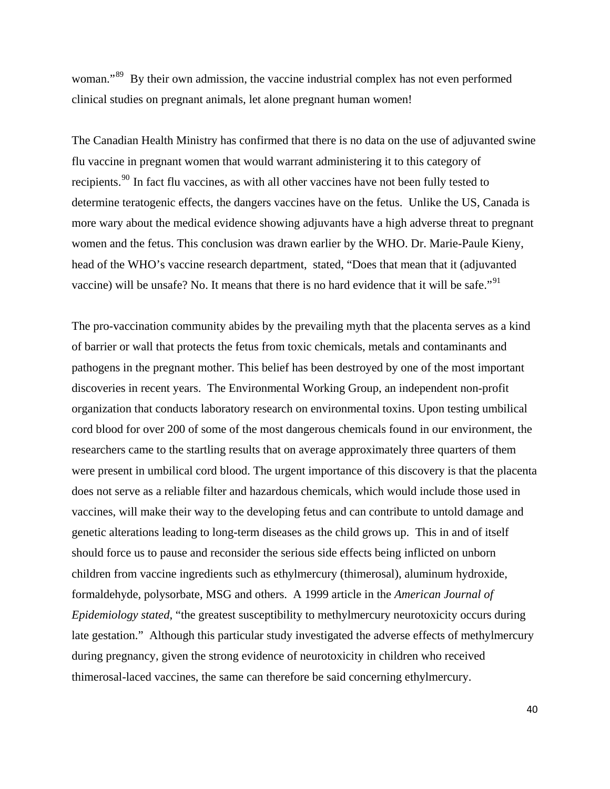woman."<sup>[89](#page-85-0)</sup> By their own admission, the vaccine industrial complex has not even performed clinical studies on pregnant animals, let alone pregnant human women!

The Canadian Health Ministry has confirmed that there is no data on the use of adjuvanted swine flu vaccine in pregnant women that would warrant administering it to this category of recipients.<sup>[90](#page-85-0)</sup> In fact flu vaccines, as with all other vaccines have not been fully tested to determine teratogenic effects, the dangers vaccines have on the fetus. Unlike the US, Canada is more wary about the medical evidence showing adjuvants have a high adverse threat to pregnant women and the fetus. This conclusion was drawn earlier by the WHO. Dr. Marie-Paule Kieny, head of the WHO's vaccine research department, stated, "Does that mean that it (adjuvanted vaccine) will be unsafe? No. It means that there is no hard evidence that it will be safe."[91](#page-85-0)

The pro-vaccination community abides by the prevailing myth that the placenta serves as a kind of barrier or wall that protects the fetus from toxic chemicals, metals and contaminants and pathogens in the pregnant mother. This belief has been destroyed by one of the most important discoveries in recent years. The Environmental Working Group, an independent non-profit organization that conducts laboratory research on environmental toxins. Upon testing umbilical cord blood for over 200 of some of the most dangerous chemicals found in our environment, the researchers came to the startling results that on average approximately three quarters of them were present in umbilical cord blood. The urgent importance of this discovery is that the placenta does not serve as a reliable filter and hazardous chemicals, which would include those used in vaccines, will make their way to the developing fetus and can contribute to untold damage and genetic alterations leading to long-term diseases as the child grows up. This in and of itself should force us to pause and reconsider the serious side effects being inflicted on unborn children from vaccine ingredients such as ethylmercury (thimerosal), aluminum hydroxide, formaldehyde, polysorbate, MSG and others. A 1999 article in the *American Journal of Epidemiology stated*, "the greatest susceptibility to methylmercury neurotoxicity occurs during late gestation." Although this particular study investigated the adverse effects of methylmercury during pregnancy, given the strong evidence of neurotoxicity in children who received thimerosal-laced vaccines, the same can therefore be said concerning ethylmercury.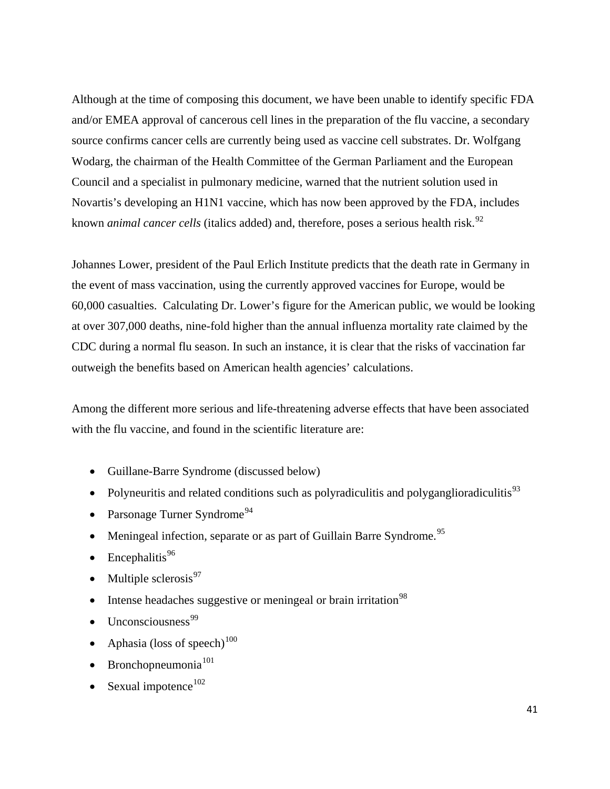Although at the time of composing this document, we have been unable to identify specific FDA and/or EMEA approval of cancerous cell lines in the preparation of the flu vaccine, a secondary source confirms cancer cells are currently being used as vaccine cell substrates. Dr. Wolfgang Wodarg, the chairman of the Health Committee of the German Parliament and the European Council and a specialist in pulmonary medicine, warned that the nutrient solution used in Novartis's developing an H1N1 vaccine, which has now been approved by the FDA, includes known *animal cancer cells* (italics added) and, therefore, poses a serious health risk.<sup>[92](#page-85-0)</sup>

Johannes Lower, president of the Paul Erlich Institute predicts that the death rate in Germany in the event of mass vaccination, using the currently approved vaccines for Europe, would be 60,000 casualties. Calculating Dr. Lower's figure for the American public, we would be looking at over 307,000 deaths, nine-fold higher than the annual influenza mortality rate claimed by the CDC during a normal flu season. In such an instance, it is clear that the risks of vaccination far outweigh the benefits based on American health agencies' calculations.

Among the different more serious and life-threatening adverse effects that have been associated with the flu vaccine, and found in the scientific literature are:

- Guillane-Barre Syndrome (discussed below)
- Polyneuritis and related conditions such as polyradiculitis and polyganglioradiculitis<sup>[93](#page-85-0)</sup>
- Parsonage Turner Syndrome<sup>[94](#page-85-0)</sup>
- Meningeal infection, separate or as part of Guillain Barre Syndrome.<sup>[95](#page-85-0)</sup>
- Encephalitis $96$
- Multiple sclerosis $97$
- Intense headaches suggestive or meningeal or brain irritation<sup>[98](#page-85-0)</sup>
- Unconsciousness<sup>[99](#page-86-0)</sup>
- Aphasia (loss of speech) $100$
- Bronchopneumonia $101$
- Sexual impotence $102$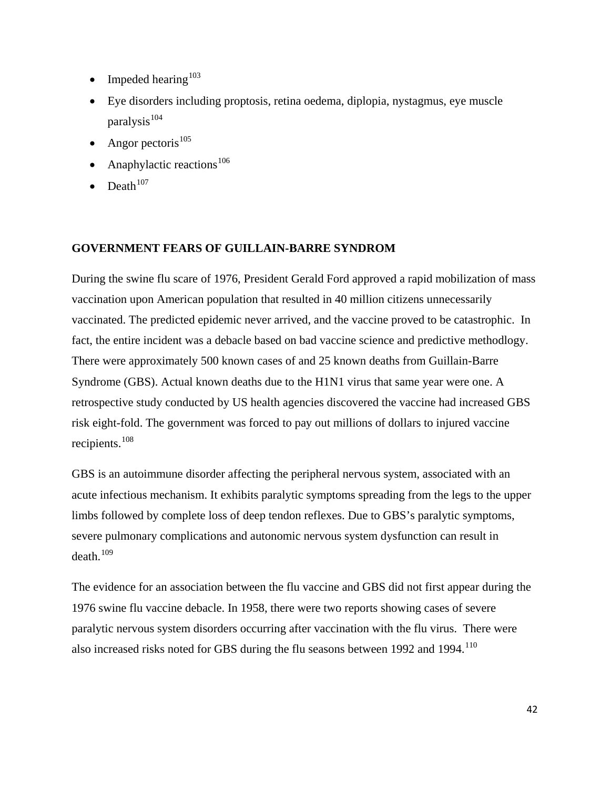- Impeded hearing<sup>[103](#page-86-0)</sup>
- Eye disorders including proptosis, retina oedema, diplopia, nystagmus, eye muscle paralysis $104$
- Angor pectoris<sup>[105](#page-86-0)</sup>
- Anaphylactic reactions $106$
- $\bullet$  Death<sup>[107](#page-86-0)</sup>

# **GOVERNMENT FEARS OF GUILLAIN-BARRE SYNDROM**

During the swine flu scare of 1976, President Gerald Ford approved a rapid mobilization of mass vaccination upon American population that resulted in 40 million citizens unnecessarily vaccinated. The predicted epidemic never arrived, and the vaccine proved to be catastrophic. In fact, the entire incident was a debacle based on bad vaccine science and predictive methodlogy. There were approximately 500 known cases of and 25 known deaths from Guillain-Barre Syndrome (GBS). Actual known deaths due to the H1N1 virus that same year were one. A retrospective study conducted by US health agencies discovered the vaccine had increased GBS risk eight-fold. The government was forced to pay out millions of dollars to injured vaccine recipients.<sup>[108](#page-86-0)</sup>

GBS is an autoimmune disorder affecting the peripheral nervous system, associated with an acute infectious mechanism. It exhibits paralytic symptoms spreading from the legs to the upper limbs followed by complete loss of deep tendon reflexes. Due to GBS's paralytic symptoms, severe pulmonary complications and autonomic nervous system dysfunction can result in  $death<sup>109</sup>$  $death<sup>109</sup>$  $death<sup>109</sup>$ 

The evidence for an association between the flu vaccine and GBS did not first appear during the 1976 swine flu vaccine debacle. In 1958, there were two reports showing cases of severe paralytic nervous system disorders occurring after vaccination with the flu virus. There were also increased risks noted for GBS during the flu seasons between 1992 and 1994.<sup>[110](#page-86-0)</sup>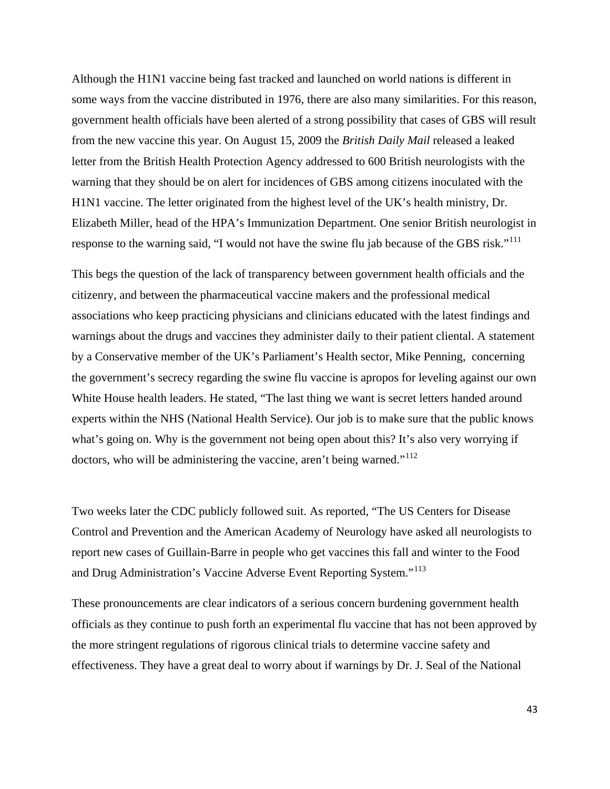Although the H1N1 vaccine being fast tracked and launched on world nations is different in some ways from the vaccine distributed in 1976, there are also many similarities. For this reason, government health officials have been alerted of a strong possibility that cases of GBS will result from the new vaccine this year. On August 15, 2009 the *British Daily Mail* released a leaked letter from the British Health Protection Agency addressed to 600 British neurologists with the warning that they should be on alert for incidences of GBS among citizens inoculated with the H1N1 vaccine. The letter originated from the highest level of the UK's health ministry, Dr. Elizabeth Miller, head of the HPA's Immunization Department. One senior British neurologist in response to the warning said, "I would not have the swine flu jab because of the GBS risk."<sup>[111](#page-86-0)</sup>

This begs the question of the lack of transparency between government health officials and the citizenry, and between the pharmaceutical vaccine makers and the professional medical associations who keep practicing physicians and clinicians educated with the latest findings and warnings about the drugs and vaccines they administer daily to their patient cliental. A statement by a Conservative member of the UK's Parliament's Health sector, Mike Penning, concerning the government's secrecy regarding the swine flu vaccine is apropos for leveling against our own White House health leaders. He stated, "The last thing we want is secret letters handed around experts within the NHS (National Health Service). Our job is to make sure that the public knows what's going on. Why is the government not being open about this? It's also very worrying if doctors, who will be administering the vaccine, aren't being warned."<sup>[112](#page-86-0)</sup>

Two weeks later the CDC publicly followed suit. As reported, "The US Centers for Disease Control and Prevention and the American Academy of Neurology have asked all neurologists to report new cases of Guillain-Barre in people who get vaccines this fall and winter to the Food and Drug Administration's Vaccine Adverse Event Reporting System."<sup>[113](#page-86-0)</sup>

These pronouncements are clear indicators of a serious concern burdening government health officials as they continue to push forth an experimental flu vaccine that has not been approved by the more stringent regulations of rigorous clinical trials to determine vaccine safety and effectiveness. They have a great deal to worry about if warnings by Dr. J. Seal of the National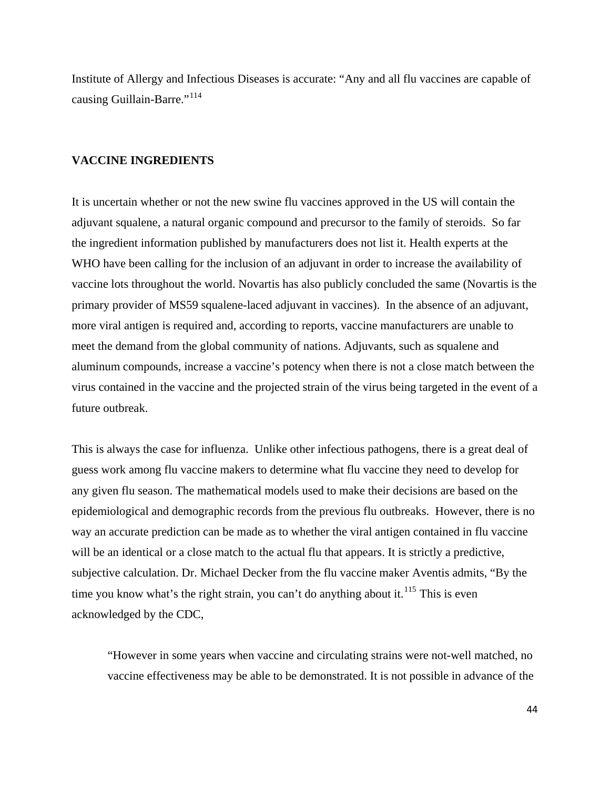Institute of Allergy and Infectious Diseases is accurate: "Any and all flu vaccines are capable of causing Guillain-Barre."<sup>[114](#page-86-0)</sup>

# **VACCINE INGREDIENTS**

It is uncertain whether or not the new swine flu vaccines approved in the US will contain the adjuvant squalene, a natural organic compound and precursor to the family of steroids. So far the ingredient information published by manufacturers does not list it. Health experts at the WHO have been calling for the inclusion of an adjuvant in order to increase the availability of vaccine lots throughout the world. Novartis has also publicly concluded the same (Novartis is the primary provider of MS59 squalene-laced adjuvant in vaccines). In the absence of an adjuvant, more viral antigen is required and, according to reports, vaccine manufacturers are unable to meet the demand from the global community of nations. Adjuvants, such as squalene and aluminum compounds, increase a vaccine's potency when there is not a close match between the virus contained in the vaccine and the projected strain of the virus being targeted in the event of a future outbreak.

This is always the case for influenza. Unlike other infectious pathogens, there is a great deal of guess work among flu vaccine makers to determine what flu vaccine they need to develop for any given flu season. The mathematical models used to make their decisions are based on the epidemiological and demographic records from the previous flu outbreaks. However, there is no way an accurate prediction can be made as to whether the viral antigen contained in flu vaccine will be an identical or a close match to the actual flu that appears. It is strictly a predictive, subjective calculation. Dr. Michael Decker from the flu vaccine maker Aventis admits, "By the time you know what's the right strain, you can't do anything about it.<sup>[115](#page-87-0)</sup> This is even acknowledged by the CDC,

"However in some years when vaccine and circulating strains were not-well matched, no vaccine effectiveness may be able to be demonstrated. It is not possible in advance of the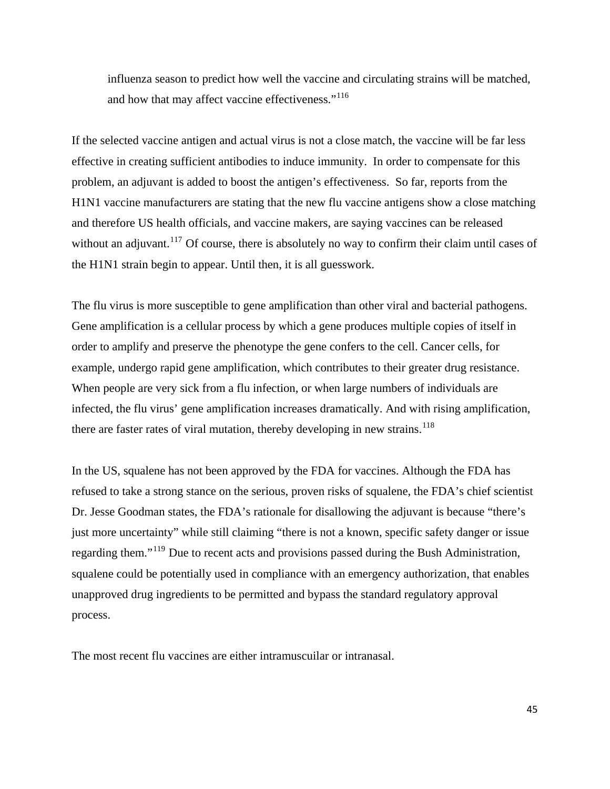influenza season to predict how well the vaccine and circulating strains will be matched, and how that may affect vaccine effectiveness."<sup>[116](#page-87-0)</sup>

If the selected vaccine antigen and actual virus is not a close match, the vaccine will be far less effective in creating sufficient antibodies to induce immunity. In order to compensate for this problem, an adjuvant is added to boost the antigen's effectiveness. So far, reports from the H1N1 vaccine manufacturers are stating that the new flu vaccine antigens show a close matching and therefore US health officials, and vaccine makers, are saying vaccines can be released without an adjuvant.<sup>[117](#page-87-0)</sup> Of course, there is absolutely no way to confirm their claim until cases of the H1N1 strain begin to appear. Until then, it is all guesswork.

The flu virus is more susceptible to gene amplification than other viral and bacterial pathogens. Gene amplification is a cellular process by which a gene produces multiple copies of itself in order to amplify and preserve the phenotype the gene confers to the cell. Cancer cells, for example, undergo rapid gene amplification, which contributes to their greater drug resistance. When people are very sick from a flu infection, or when large numbers of individuals are infected, the flu virus' gene amplification increases dramatically. And with rising amplification, there are faster rates of viral mutation, thereby developing in new strains.<sup>[118](#page-87-0)</sup>

In the US, squalene has not been approved by the FDA for vaccines. Although the FDA has refused to take a strong stance on the serious, proven risks of squalene, the FDA's chief scientist Dr. Jesse Goodman states, the FDA's rationale for disallowing the adjuvant is because "there's just more uncertainty" while still claiming "there is not a known, specific safety danger or issue regarding them."[119](#page-87-0) Due to recent acts and provisions passed during the Bush Administration, squalene could be potentially used in compliance with an emergency authorization, that enables unapproved drug ingredients to be permitted and bypass the standard regulatory approval process.

The most recent flu vaccines are either intramuscuilar or intranasal.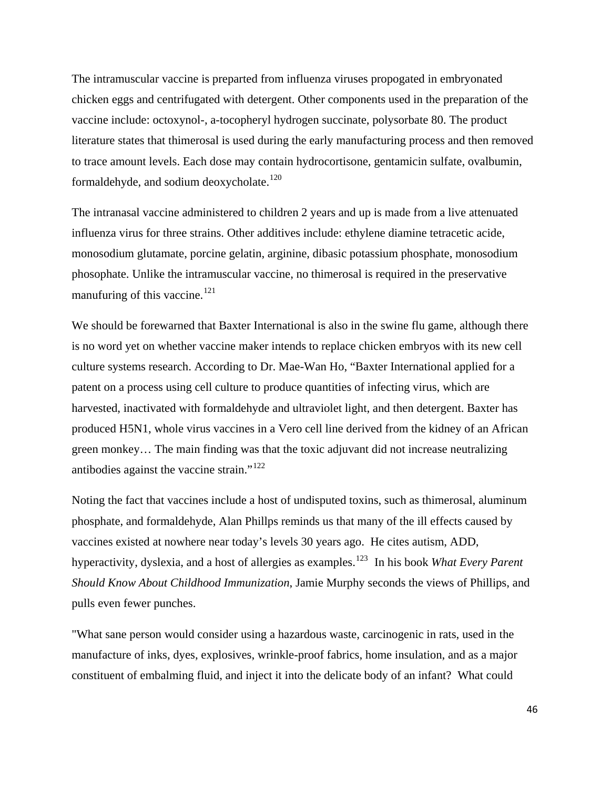The intramuscular vaccine is preparted from influenza viruses propogated in embryonated chicken eggs and centrifugated with detergent. Other components used in the preparation of the vaccine include: octoxynol-, a-tocopheryl hydrogen succinate, polysorbate 80. The product literature states that thimerosal is used during the early manufacturing process and then removed to trace amount levels. Each dose may contain hydrocortisone, gentamicin sulfate, ovalbumin, formaldehyde, and sodium deoxycholate.<sup>[120](#page-87-0)</sup>

The intranasal vaccine administered to children 2 years and up is made from a live attenuated influenza virus for three strains. Other additives include: ethylene diamine tetracetic acide, monosodium glutamate, porcine gelatin, arginine, dibasic potassium phosphate, monosodium phosophate. Unlike the intramuscular vaccine, no thimerosal is required in the preservative manufuring of this vaccine. $^{121}$  $^{121}$  $^{121}$ 

We should be forewarned that Baxter International is also in the swine flu game, although there is no word yet on whether vaccine maker intends to replace chicken embryos with its new cell culture systems research. According to Dr. Mae-Wan Ho, "Baxter International applied for a patent on a process using cell culture to produce quantities of infecting virus, which are harvested, inactivated with formaldehyde and ultraviolet light, and then detergent. Baxter has produced H5N1, whole virus vaccines in a Vero cell line derived from the kidney of an African green monkey… The main finding was that the toxic adjuvant did not increase neutralizing antibodies against the vaccine strain."[122](#page-87-0)

Noting the fact that vaccines include a host of undisputed toxins, such as thimerosal, aluminum phosphate, and formaldehyde, Alan Phillps reminds us that many of the ill effects caused by vaccines existed at nowhere near today's levels 30 years ago. He cites autism, ADD, hyperactivity, dyslexia, and a host of allergies as examples.[123](#page-87-0) In his book *What Every Parent Should Know About Childhood Immunization*, Jamie Murphy seconds the views of Phillips, and pulls even fewer punches.

"What sane person would consider using a hazardous waste, carcinogenic in rats, used in the manufacture of inks, dyes, explosives, wrinkle-proof fabrics, home insulation, and as a major constituent of embalming fluid, and inject it into the delicate body of an infant? What could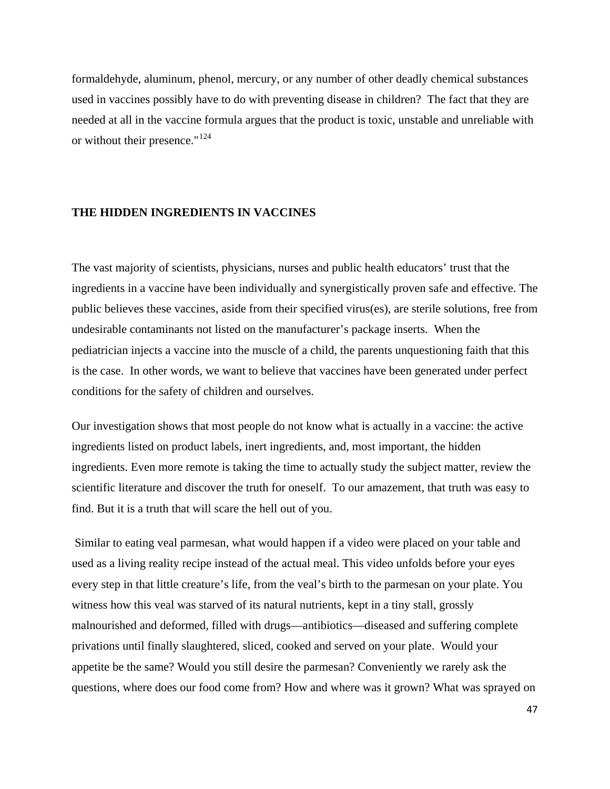formaldehyde, aluminum, phenol, mercury, or any number of other deadly chemical substances used in vaccines possibly have to do with preventing disease in children? The fact that they are needed at all in the vaccine formula argues that the product is toxic, unstable and unreliable with or without their presence."<sup>[124](#page-87-0)</sup>

### **THE HIDDEN INGREDIENTS IN VACCINES**

The vast majority of scientists, physicians, nurses and public health educators' trust that the ingredients in a vaccine have been individually and synergistically proven safe and effective. The public believes these vaccines, aside from their specified virus(es), are sterile solutions, free from undesirable contaminants not listed on the manufacturer's package inserts. When the pediatrician injects a vaccine into the muscle of a child, the parents unquestioning faith that this is the case. In other words, we want to believe that vaccines have been generated under perfect conditions for the safety of children and ourselves.

Our investigation shows that most people do not know what is actually in a vaccine: the active ingredients listed on product labels, inert ingredients, and, most important, the hidden ingredients. Even more remote is taking the time to actually study the subject matter, review the scientific literature and discover the truth for oneself. To our amazement, that truth was easy to find. But it is a truth that will scare the hell out of you.

 Similar to eating veal parmesan, what would happen if a video were placed on your table and used as a living reality recipe instead of the actual meal. This video unfolds before your eyes every step in that little creature's life, from the veal's birth to the parmesan on your plate. You witness how this veal was starved of its natural nutrients, kept in a tiny stall, grossly malnourished and deformed, filled with drugs—antibiotics—diseased and suffering complete privations until finally slaughtered, sliced, cooked and served on your plate. Would your appetite be the same? Would you still desire the parmesan? Conveniently we rarely ask the questions, where does our food come from? How and where was it grown? What was sprayed on

47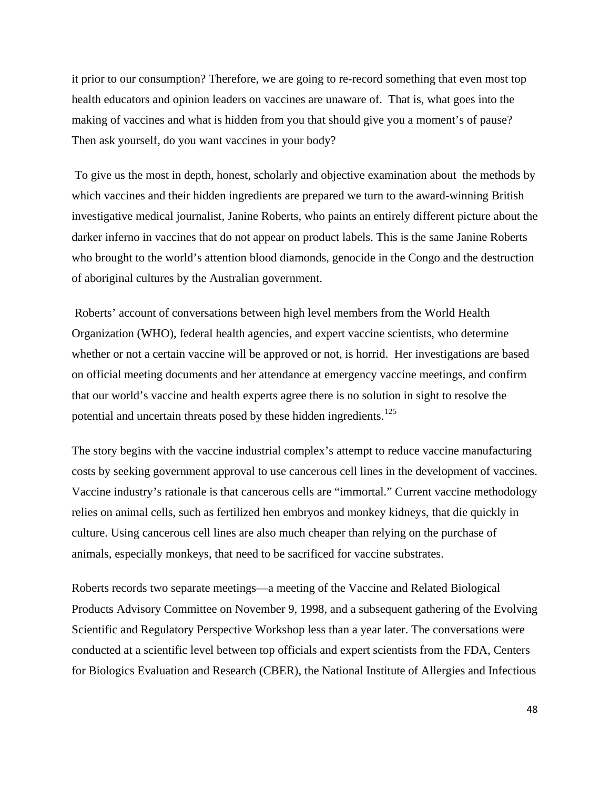it prior to our consumption? Therefore, we are going to re-record something that even most top health educators and opinion leaders on vaccines are unaware of. That is, what goes into the making of vaccines and what is hidden from you that should give you a moment's of pause? Then ask yourself, do you want vaccines in your body?

 To give us the most in depth, honest, scholarly and objective examination about the methods by which vaccines and their hidden ingredients are prepared we turn to the award-winning British investigative medical journalist, Janine Roberts, who paints an entirely different picture about the darker inferno in vaccines that do not appear on product labels. This is the same Janine Roberts who brought to the world's attention blood diamonds, genocide in the Congo and the destruction of aboriginal cultures by the Australian government.

 Roberts' account of conversations between high level members from the World Health Organization (WHO), federal health agencies, and expert vaccine scientists, who determine whether or not a certain vaccine will be approved or not, is horrid. Her investigations are based on official meeting documents and her attendance at emergency vaccine meetings, and confirm that our world's vaccine and health experts agree there is no solution in sight to resolve the potential and uncertain threats posed by these hidden ingredients.<sup>[125](#page-87-0)</sup>

The story begins with the vaccine industrial complex's attempt to reduce vaccine manufacturing costs by seeking government approval to use cancerous cell lines in the development of vaccines. Vaccine industry's rationale is that cancerous cells are "immortal." Current vaccine methodology relies on animal cells, such as fertilized hen embryos and monkey kidneys, that die quickly in culture. Using cancerous cell lines are also much cheaper than relying on the purchase of animals, especially monkeys, that need to be sacrificed for vaccine substrates.

Roberts records two separate meetings—a meeting of the Vaccine and Related Biological Products Advisory Committee on November 9, 1998, and a subsequent gathering of the Evolving Scientific and Regulatory Perspective Workshop less than a year later. The conversations were conducted at a scientific level between top officials and expert scientists from the FDA, Centers for Biologics Evaluation and Research (CBER), the National Institute of Allergies and Infectious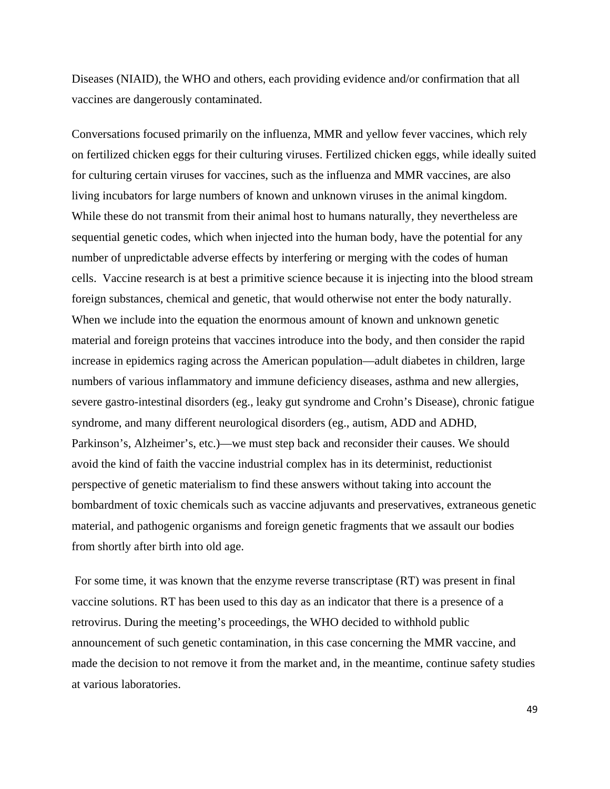Diseases (NIAID), the WHO and others, each providing evidence and/or confirmation that all vaccines are dangerously contaminated.

Conversations focused primarily on the influenza, MMR and yellow fever vaccines, which rely on fertilized chicken eggs for their culturing viruses. Fertilized chicken eggs, while ideally suited for culturing certain viruses for vaccines, such as the influenza and MMR vaccines, are also living incubators for large numbers of known and unknown viruses in the animal kingdom. While these do not transmit from their animal host to humans naturally, they nevertheless are sequential genetic codes, which when injected into the human body, have the potential for any number of unpredictable adverse effects by interfering or merging with the codes of human cells. Vaccine research is at best a primitive science because it is injecting into the blood stream foreign substances, chemical and genetic, that would otherwise not enter the body naturally. When we include into the equation the enormous amount of known and unknown genetic material and foreign proteins that vaccines introduce into the body, and then consider the rapid increase in epidemics raging across the American population—adult diabetes in children, large numbers of various inflammatory and immune deficiency diseases, asthma and new allergies, severe gastro-intestinal disorders (eg., leaky gut syndrome and Crohn's Disease), chronic fatigue syndrome, and many different neurological disorders (eg., autism, ADD and ADHD, Parkinson's, Alzheimer's, etc.)—we must step back and reconsider their causes. We should avoid the kind of faith the vaccine industrial complex has in its determinist, reductionist perspective of genetic materialism to find these answers without taking into account the bombardment of toxic chemicals such as vaccine adjuvants and preservatives, extraneous genetic material, and pathogenic organisms and foreign genetic fragments that we assault our bodies from shortly after birth into old age.

 For some time, it was known that the enzyme reverse transcriptase (RT) was present in final vaccine solutions. RT has been used to this day as an indicator that there is a presence of a retrovirus. During the meeting's proceedings, the WHO decided to withhold public announcement of such genetic contamination, in this case concerning the MMR vaccine, and made the decision to not remove it from the market and, in the meantime, continue safety studies at various laboratories.

49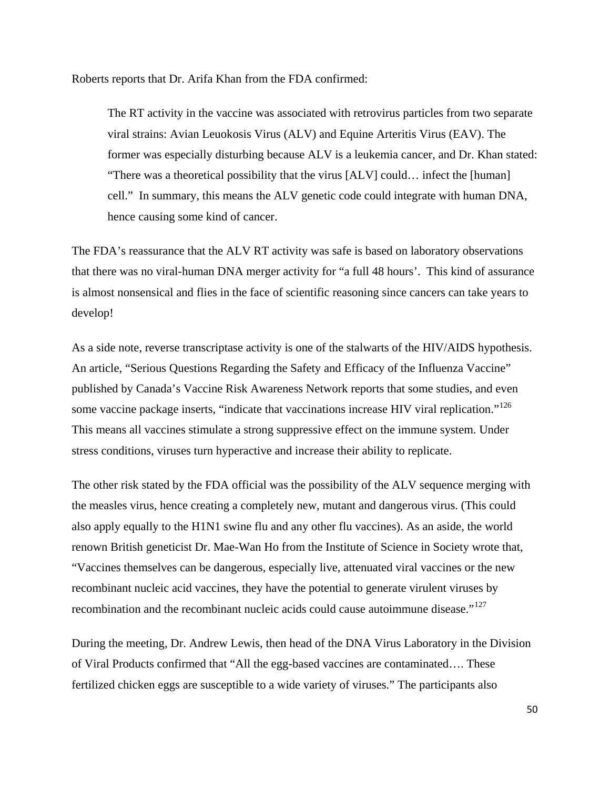Roberts reports that Dr. Arifa Khan from the FDA confirmed:

The RT activity in the vaccine was associated with retrovirus particles from two separate viral strains: Avian Leuokosis Virus (ALV) and Equine Arteritis Virus (EAV). The former was especially disturbing because ALV is a leukemia cancer, and Dr. Khan stated: "There was a theoretical possibility that the virus [ALV] could… infect the [human] cell." In summary, this means the ALV genetic code could integrate with human DNA, hence causing some kind of cancer.

The FDA's reassurance that the ALV RT activity was safe is based on laboratory observations that there was no viral-human DNA merger activity for "a full 48 hours'. This kind of assurance is almost nonsensical and flies in the face of scientific reasoning since cancers can take years to develop!

As a side note, reverse transcriptase activity is one of the stalwarts of the HIV/AIDS hypothesis. An article, "Serious Questions Regarding the Safety and Efficacy of the Influenza Vaccine" published by Canada's Vaccine Risk Awareness Network reports that some studies, and even some vaccine package inserts, "indicate that vaccinations increase HIV viral replication."<sup>[126](#page-87-0)</sup> This means all vaccines stimulate a strong suppressive effect on the immune system. Under stress conditions, viruses turn hyperactive and increase their ability to replicate.

The other risk stated by the FDA official was the possibility of the ALV sequence merging with the measles virus, hence creating a completely new, mutant and dangerous virus. (This could also apply equally to the H1N1 swine flu and any other flu vaccines). As an aside, the world renown British geneticist Dr. Mae-Wan Ho from the Institute of Science in Society wrote that, "Vaccines themselves can be dangerous, especially live, attenuated viral vaccines or the new recombinant nucleic acid vaccines, they have the potential to generate virulent viruses by recombination and the recombinant nucleic acids could cause autoimmune disease."[127](#page-87-0)

During the meeting, Dr. Andrew Lewis, then head of the DNA Virus Laboratory in the Division of Viral Products confirmed that "All the egg-based vaccines are contaminated…. These fertilized chicken eggs are susceptible to a wide variety of viruses." The participants also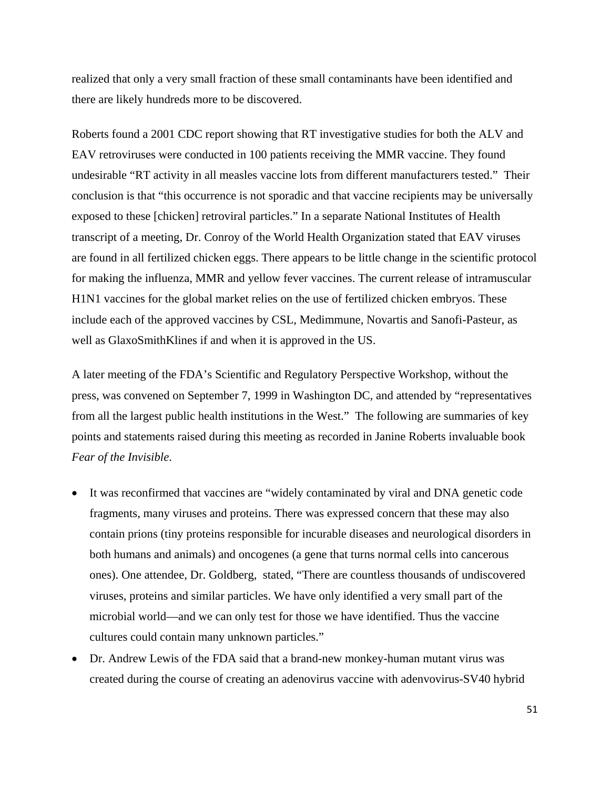realized that only a very small fraction of these small contaminants have been identified and there are likely hundreds more to be discovered.

Roberts found a 2001 CDC report showing that RT investigative studies for both the ALV and EAV retroviruses were conducted in 100 patients receiving the MMR vaccine. They found undesirable "RT activity in all measles vaccine lots from different manufacturers tested." Their conclusion is that "this occurrence is not sporadic and that vaccine recipients may be universally exposed to these [chicken] retroviral particles." In a separate National Institutes of Health transcript of a meeting, Dr. Conroy of the World Health Organization stated that EAV viruses are found in all fertilized chicken eggs. There appears to be little change in the scientific protocol for making the influenza, MMR and yellow fever vaccines. The current release of intramuscular H1N1 vaccines for the global market relies on the use of fertilized chicken embryos. These include each of the approved vaccines by CSL, Medimmune, Novartis and Sanofi-Pasteur, as well as GlaxoSmithKlines if and when it is approved in the US.

A later meeting of the FDA's Scientific and Regulatory Perspective Workshop, without the press, was convened on September 7, 1999 in Washington DC, and attended by "representatives from all the largest public health institutions in the West." The following are summaries of key points and statements raised during this meeting as recorded in Janine Roberts invaluable book *Fear of the Invisible*.

- It was reconfirmed that vaccines are "widely contaminated by viral and DNA genetic code fragments, many viruses and proteins. There was expressed concern that these may also contain prions (tiny proteins responsible for incurable diseases and neurological disorders in both humans and animals) and oncogenes (a gene that turns normal cells into cancerous ones). One attendee, Dr. Goldberg, stated, "There are countless thousands of undiscovered viruses, proteins and similar particles. We have only identified a very small part of the microbial world—and we can only test for those we have identified. Thus the vaccine cultures could contain many unknown particles."
- Dr. Andrew Lewis of the FDA said that a brand-new monkey-human mutant virus was created during the course of creating an adenovirus vaccine with adenvovirus-SV40 hybrid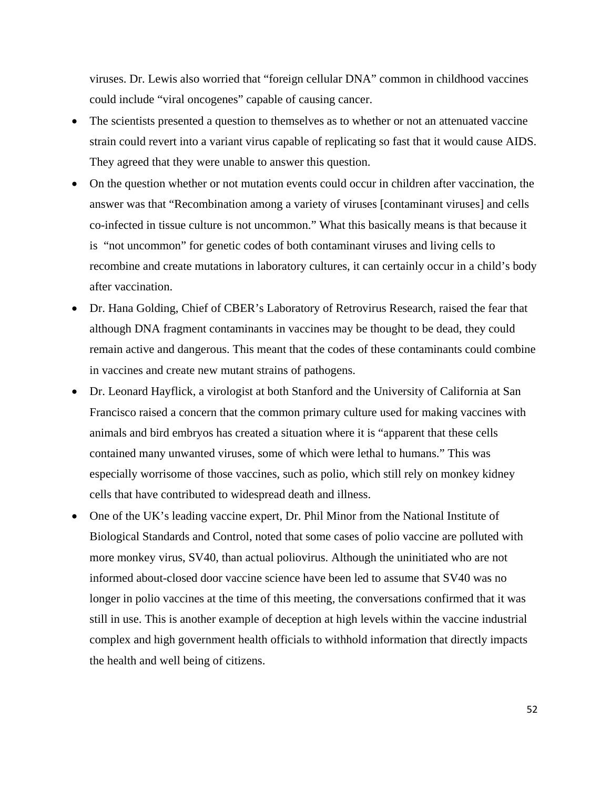viruses. Dr. Lewis also worried that "foreign cellular DNA" common in childhood vaccines could include "viral oncogenes" capable of causing cancer.

- The scientists presented a question to themselves as to whether or not an attenuated vaccine strain could revert into a variant virus capable of replicating so fast that it would cause AIDS. They agreed that they were unable to answer this question.
- On the question whether or not mutation events could occur in children after vaccination, the answer was that "Recombination among a variety of viruses [contaminant viruses] and cells co-infected in tissue culture is not uncommon." What this basically means is that because it is "not uncommon" for genetic codes of both contaminant viruses and living cells to recombine and create mutations in laboratory cultures, it can certainly occur in a child's body after vaccination.
- Dr. Hana Golding, Chief of CBER's Laboratory of Retrovirus Research, raised the fear that although DNA fragment contaminants in vaccines may be thought to be dead, they could remain active and dangerous. This meant that the codes of these contaminants could combine in vaccines and create new mutant strains of pathogens.
- Dr. Leonard Hayflick, a virologist at both Stanford and the University of California at San Francisco raised a concern that the common primary culture used for making vaccines with animals and bird embryos has created a situation where it is "apparent that these cells contained many unwanted viruses, some of which were lethal to humans." This was especially worrisome of those vaccines, such as polio, which still rely on monkey kidney cells that have contributed to widespread death and illness.
- One of the UK's leading vaccine expert, Dr. Phil Minor from the National Institute of Biological Standards and Control, noted that some cases of polio vaccine are polluted with more monkey virus, SV40, than actual poliovirus. Although the uninitiated who are not informed about-closed door vaccine science have been led to assume that SV40 was no longer in polio vaccines at the time of this meeting, the conversations confirmed that it was still in use. This is another example of deception at high levels within the vaccine industrial complex and high government health officials to withhold information that directly impacts the health and well being of citizens.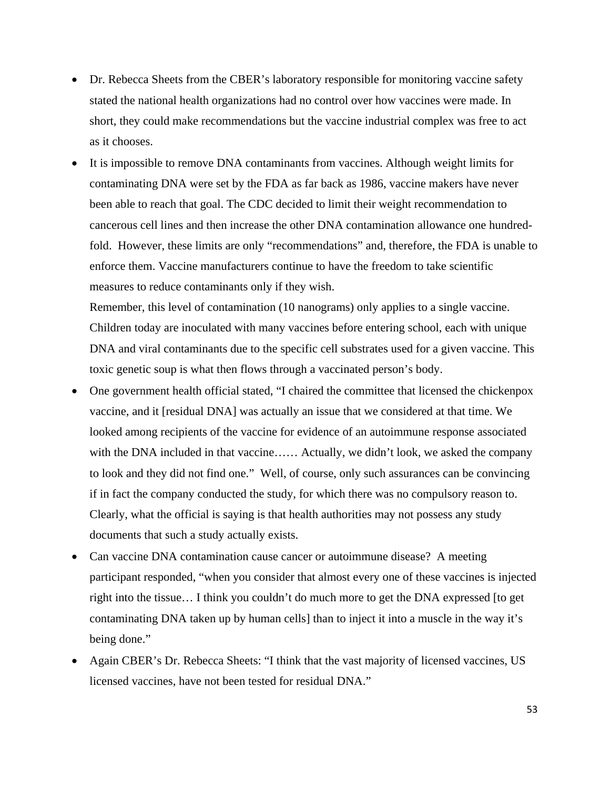- Dr. Rebecca Sheets from the CBER's laboratory responsible for monitoring vaccine safety stated the national health organizations had no control over how vaccines were made. In short, they could make recommendations but the vaccine industrial complex was free to act as it chooses.
- It is impossible to remove DNA contaminants from vaccines. Although weight limits for contaminating DNA were set by the FDA as far back as 1986, vaccine makers have never been able to reach that goal. The CDC decided to limit their weight recommendation to cancerous cell lines and then increase the other DNA contamination allowance one hundredfold. However, these limits are only "recommendations" and, therefore, the FDA is unable to enforce them. Vaccine manufacturers continue to have the freedom to take scientific measures to reduce contaminants only if they wish.

Remember, this level of contamination (10 nanograms) only applies to a single vaccine. Children today are inoculated with many vaccines before entering school, each with unique DNA and viral contaminants due to the specific cell substrates used for a given vaccine. This toxic genetic soup is what then flows through a vaccinated person's body.

- One government health official stated, "I chaired the committee that licensed the chickenpox vaccine, and it [residual DNA] was actually an issue that we considered at that time. We looked among recipients of the vaccine for evidence of an autoimmune response associated with the DNA included in that vaccine…… Actually, we didn't look, we asked the company to look and they did not find one." Well, of course, only such assurances can be convincing if in fact the company conducted the study, for which there was no compulsory reason to. Clearly, what the official is saying is that health authorities may not possess any study documents that such a study actually exists.
- Can vaccine DNA contamination cause cancer or autoimmune disease? A meeting participant responded, "when you consider that almost every one of these vaccines is injected right into the tissue… I think you couldn't do much more to get the DNA expressed [to get contaminating DNA taken up by human cells] than to inject it into a muscle in the way it's being done."
- Again CBER's Dr. Rebecca Sheets: "I think that the vast majority of licensed vaccines, US licensed vaccines, have not been tested for residual DNA."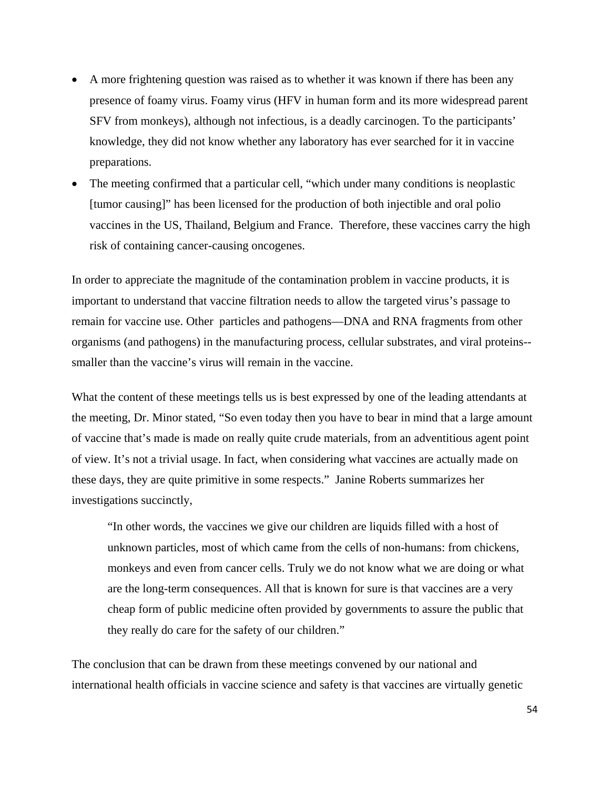- A more frightening question was raised as to whether it was known if there has been any presence of foamy virus. Foamy virus (HFV in human form and its more widespread parent SFV from monkeys), although not infectious, is a deadly carcinogen. To the participants' knowledge, they did not know whether any laboratory has ever searched for it in vaccine preparations.
- The meeting confirmed that a particular cell, "which under many conditions is neoplastic [tumor causing]" has been licensed for the production of both injectible and oral polio vaccines in the US, Thailand, Belgium and France. Therefore, these vaccines carry the high risk of containing cancer-causing oncogenes.

In order to appreciate the magnitude of the contamination problem in vaccine products, it is important to understand that vaccine filtration needs to allow the targeted virus's passage to remain for vaccine use. Other particles and pathogens—DNA and RNA fragments from other organisms (and pathogens) in the manufacturing process, cellular substrates, and viral proteins- smaller than the vaccine's virus will remain in the vaccine.

What the content of these meetings tells us is best expressed by one of the leading attendants at the meeting, Dr. Minor stated, "So even today then you have to bear in mind that a large amount of vaccine that's made is made on really quite crude materials, from an adventitious agent point of view. It's not a trivial usage. In fact, when considering what vaccines are actually made on these days, they are quite primitive in some respects." Janine Roberts summarizes her investigations succinctly,

"In other words, the vaccines we give our children are liquids filled with a host of unknown particles, most of which came from the cells of non-humans: from chickens, monkeys and even from cancer cells. Truly we do not know what we are doing or what are the long-term consequences. All that is known for sure is that vaccines are a very cheap form of public medicine often provided by governments to assure the public that they really do care for the safety of our children."

The conclusion that can be drawn from these meetings convened by our national and international health officials in vaccine science and safety is that vaccines are virtually genetic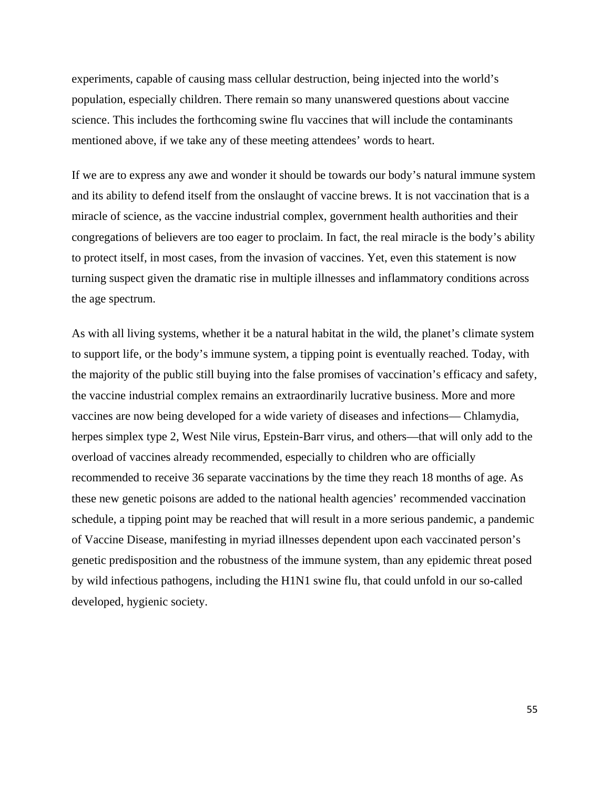experiments, capable of causing mass cellular destruction, being injected into the world's population, especially children. There remain so many unanswered questions about vaccine science. This includes the forthcoming swine flu vaccines that will include the contaminants mentioned above, if we take any of these meeting attendees' words to heart.

If we are to express any awe and wonder it should be towards our body's natural immune system and its ability to defend itself from the onslaught of vaccine brews. It is not vaccination that is a miracle of science, as the vaccine industrial complex, government health authorities and their congregations of believers are too eager to proclaim. In fact, the real miracle is the body's ability to protect itself, in most cases, from the invasion of vaccines. Yet, even this statement is now turning suspect given the dramatic rise in multiple illnesses and inflammatory conditions across the age spectrum.

As with all living systems, whether it be a natural habitat in the wild, the planet's climate system to support life, or the body's immune system, a tipping point is eventually reached. Today, with the majority of the public still buying into the false promises of vaccination's efficacy and safety, the vaccine industrial complex remains an extraordinarily lucrative business. More and more vaccines are now being developed for a wide variety of diseases and infections— Chlamydia, herpes simplex type 2, West Nile virus, Epstein-Barr virus, and others—that will only add to the overload of vaccines already recommended, especially to children who are officially recommended to receive 36 separate vaccinations by the time they reach 18 months of age. As these new genetic poisons are added to the national health agencies' recommended vaccination schedule, a tipping point may be reached that will result in a more serious pandemic, a pandemic of Vaccine Disease, manifesting in myriad illnesses dependent upon each vaccinated person's genetic predisposition and the robustness of the immune system, than any epidemic threat posed by wild infectious pathogens, including the H1N1 swine flu, that could unfold in our so-called developed, hygienic society.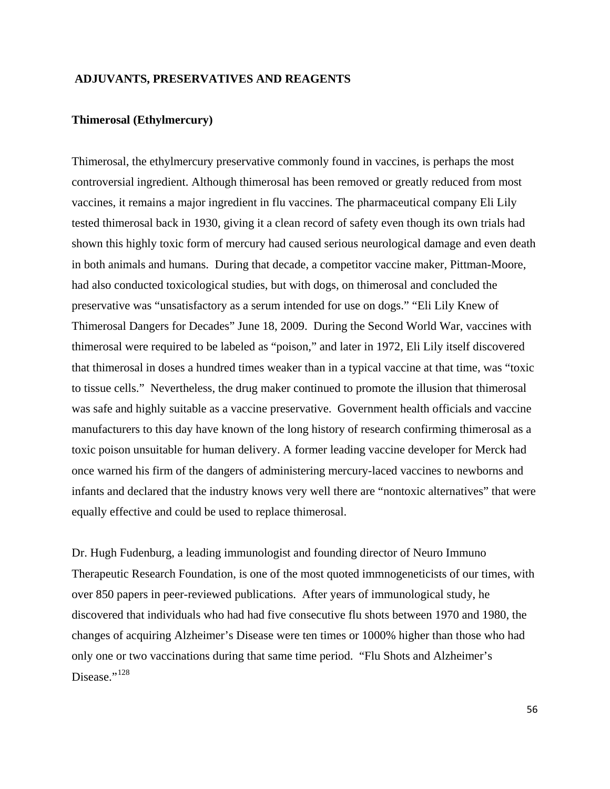#### **ADJUVANTS, PRESERVATIVES AND REAGENTS**

## **Thimerosal (Ethylmercury)**

Thimerosal, the ethylmercury preservative commonly found in vaccines, is perhaps the most controversial ingredient. Although thimerosal has been removed or greatly reduced from most vaccines, it remains a major ingredient in flu vaccines. The pharmaceutical company Eli Lily tested thimerosal back in 1930, giving it a clean record of safety even though its own trials had shown this highly toxic form of mercury had caused serious neurological damage and even death in both animals and humans. During that decade, a competitor vaccine maker, Pittman-Moore, had also conducted toxicological studies, but with dogs, on thimerosal and concluded the preservative was "unsatisfactory as a serum intended for use on dogs." "Eli Lily Knew of Thimerosal Dangers for Decades" June 18, 2009. During the Second World War, vaccines with thimerosal were required to be labeled as "poison," and later in 1972, Eli Lily itself discovered that thimerosal in doses a hundred times weaker than in a typical vaccine at that time, was "toxic to tissue cells." Nevertheless, the drug maker continued to promote the illusion that thimerosal was safe and highly suitable as a vaccine preservative. Government health officials and vaccine manufacturers to this day have known of the long history of research confirming thimerosal as a toxic poison unsuitable for human delivery. A former leading vaccine developer for Merck had once warned his firm of the dangers of administering mercury-laced vaccines to newborns and infants and declared that the industry knows very well there are "nontoxic alternatives" that were equally effective and could be used to replace thimerosal.

Dr. Hugh Fudenburg, a leading immunologist and founding director of Neuro Immuno Therapeutic Research Foundation, is one of the most quoted immnogeneticists of our times, with over 850 papers in peer-reviewed publications. After years of immunological study, he discovered that individuals who had had five consecutive flu shots between 1970 and 1980, the changes of acquiring Alzheimer's Disease were ten times or 1000% higher than those who had only one or two vaccinations during that same time period. "Flu Shots and Alzheimer's Disease."<sup>[128](#page-87-0)</sup>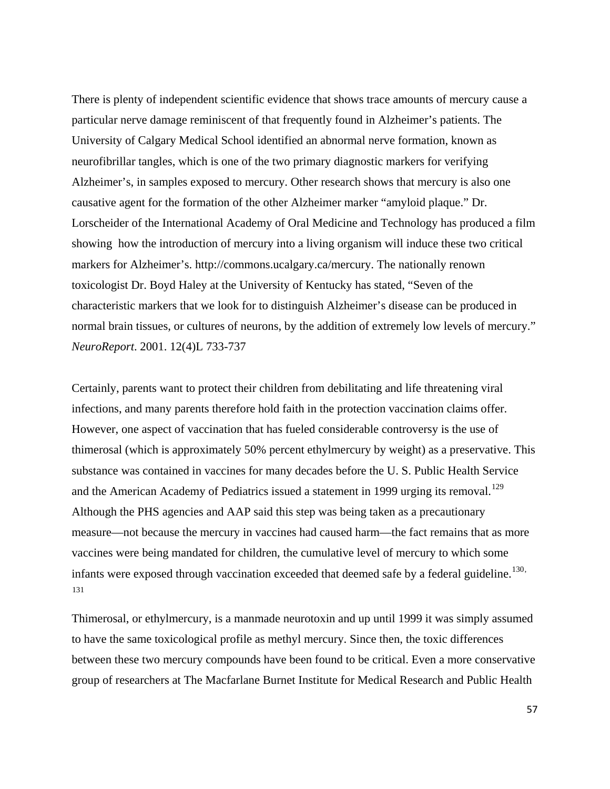There is plenty of independent scientific evidence that shows trace amounts of mercury cause a particular nerve damage reminiscent of that frequently found in Alzheimer's patients. The University of Calgary Medical School identified an abnormal nerve formation, known as neurofibrillar tangles, which is one of the two primary diagnostic markers for verifying Alzheimer's, in samples exposed to mercury. Other research shows that mercury is also one causative agent for the formation of the other Alzheimer marker "amyloid plaque." Dr. Lorscheider of the International Academy of Oral Medicine and Technology has produced a film showing how the introduction of mercury into a living organism will induce these two critical markers for Alzheimer's. http://commons.ucalgary.ca/mercury. The nationally renown toxicologist Dr. Boyd Haley at the University of Kentucky has stated, "Seven of the characteristic markers that we look for to distinguish Alzheimer's disease can be produced in normal brain tissues, or cultures of neurons, by the addition of extremely low levels of mercury." *NeuroReport*. 2001. 12(4)L 733-737

Certainly, parents want to protect their children from debilitating and life threatening viral infections, and many parents therefore hold faith in the protection vaccination claims offer. However, one aspect of vaccination that has fueled considerable controversy is the use of thimerosal (which is approximately 50% percent ethylmercury by weight) as a preservative. This substance was contained in vaccines for many decades before the U. S. Public Health Service and the American Academy of Pediatrics issued a statement in 1999 urging its removal.<sup>[129](#page-87-0)</sup> Although the PHS agencies and AAP said this step was being taken as a precautionary measure—not because the mercury in vaccines had caused harm—the fact remains that as more vaccines were being mandated for children, the cumulative level of mercury to which some infants were exposed through vaccination exceeded that deemed safe by a federal guideline.<sup>[130](#page-88-0),</sup> [131](#page-88-0)

Thimerosal, or ethylmercury, is a manmade neurotoxin and up until 1999 it was simply assumed to have the same toxicological profile as methyl mercury. Since then, the toxic differences between these two mercury compounds have been found to be critical. Even a more conservative group of researchers at The Macfarlane Burnet Institute for Medical Research and Public Health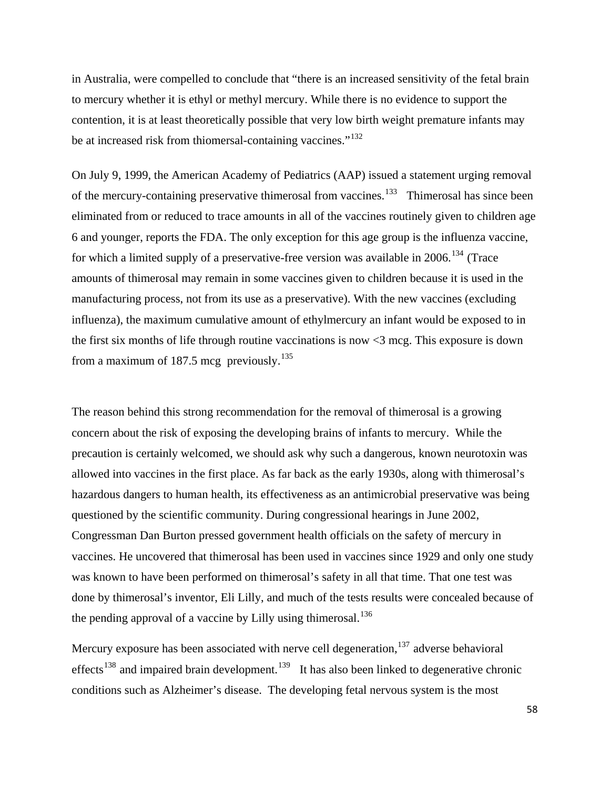in Australia, were compelled to conclude that "there is an increased sensitivity of the fetal brain to mercury whether it is ethyl or methyl mercury. While there is no evidence to support the contention, it is at least theoretically possible that very low birth weight premature infants may be at increased risk from thiomersal-containing vaccines."<sup>[132](#page-88-0)</sup>

On July 9, 1999, the American Academy of Pediatrics (AAP) issued a statement urging removal of the mercury-containing preservative thimerosal from vaccines.<sup>[133](#page-88-0)</sup> Thimerosal has since been eliminated from or reduced to trace amounts in all of the vaccines routinely given to children age 6 and younger, reports the FDA. The only exception for this age group is the influenza vaccine, for which a limited supply of a preservative-free version was available in  $2006$ .<sup>[134](#page-88-0)</sup> (Trace amounts of thimerosal may remain in some vaccines given to children because it is used in the manufacturing process, not from its use as a preservative). With the new vaccines (excluding influenza), the maximum cumulative amount of ethylmercury an infant would be exposed to in the first six months of life through routine vaccinations is now <3 mcg. This exposure is down from a maximum of 187.5 mcg previously.<sup>[135](#page-88-0)</sup>

The reason behind this strong recommendation for the removal of thimerosal is a growing concern about the risk of exposing the developing brains of infants to mercury. While the precaution is certainly welcomed, we should ask why such a dangerous, known neurotoxin was allowed into vaccines in the first place. As far back as the early 1930s, along with thimerosal's hazardous dangers to human health, its effectiveness as an antimicrobial preservative was being questioned by the scientific community. During congressional hearings in June 2002, Congressman Dan Burton pressed government health officials on the safety of mercury in vaccines. He uncovered that thimerosal has been used in vaccines since 1929 and only one study was known to have been performed on thimerosal's safety in all that time. That one test was done by thimerosal's inventor, Eli Lilly, and much of the tests results were concealed because of the pending approval of a vaccine by Lilly using thimerosal.<sup>[136](#page-88-0)</sup>

Mercury exposure has been associated with nerve cell degeneration,<sup>[137](#page-88-0)</sup> adverse behavioral effects<sup>[138](#page-88-0)</sup> and impaired brain development.<sup>[139](#page-88-0)</sup> It has also been linked to degenerative chronic conditions such as Alzheimer's disease. The developing fetal nervous system is the most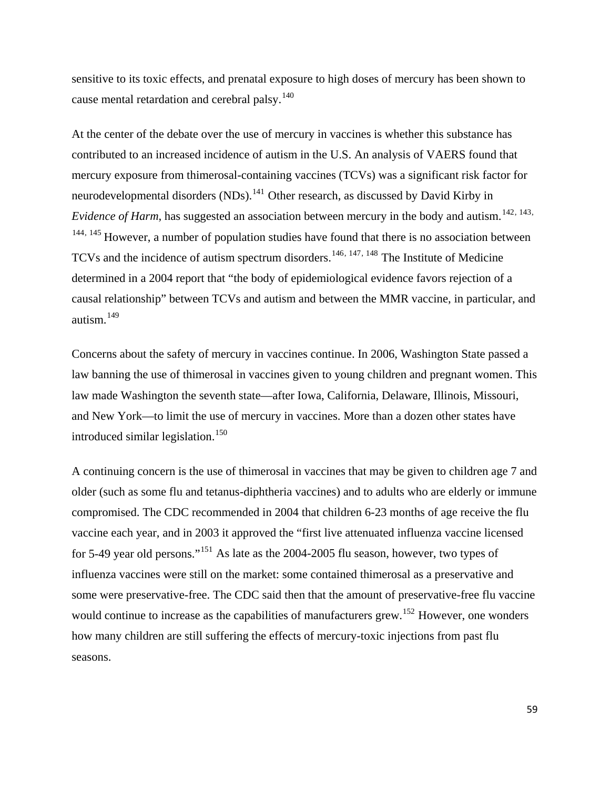sensitive to its toxic effects, and prenatal exposure to high doses of mercury has been shown to cause mental retardation and cerebral palsy.<sup>[140](#page-88-0)</sup>

At the center of the debate over the use of mercury in vaccines is whether this substance has contributed to an increased incidence of autism in the U.S. An analysis of VAERS found that mercury exposure from thimerosal-containing vaccines (TCVs) was a significant risk factor for neurodevelopmental disorders (NDs).<sup>[141](#page-88-0)</sup> Other research, as discussed by David Kirby in *Evidence of Harm*, has suggested an association between mercury in the body and autism.<sup>[142](#page-88-0), [143](#page-88-0),</sup> <sup>[144](#page-88-0), [145](#page-88-0)</sup> However, a number of population studies have found that there is no association between TCVs and the incidence of autism spectrum disorders.<sup>[146](#page-88-0), [147](#page-89-0), [148](#page-89-0)</sup> The Institute of Medicine determined in a 2004 report that "the body of epidemiological evidence favors rejection of a causal relationship" between TCVs and autism and between the MMR vaccine, in particular, and autism.[149](#page-89-0)

Concerns about the safety of mercury in vaccines continue. In 2006, Washington State passed a law banning the use of thimerosal in vaccines given to young children and pregnant women. This law made Washington the seventh state—after Iowa, California, Delaware, Illinois, Missouri, and New York—to limit the use of mercury in vaccines. More than a dozen other states have introduced similar legislation.<sup>[150](#page-89-0)</sup>

A continuing concern is the use of thimerosal in vaccines that may be given to children age 7 and older (such as some flu and tetanus-diphtheria vaccines) and to adults who are elderly or immune compromised. The CDC recommended in 2004 that children 6-23 months of age receive the flu vaccine each year, and in 2003 it approved the "first live attenuated influenza vaccine licensed for 5-49 year old persons."[151](#page-89-0) As late as the 2004-2005 flu season, however, two types of influenza vaccines were still on the market: some contained thimerosal as a preservative and some were preservative-free. The CDC said then that the amount of preservative-free flu vaccine would continue to increase as the capabilities of manufacturers grew.<sup>[152](#page-89-0)</sup> However, one wonders how many children are still suffering the effects of mercury-toxic injections from past flu seasons.

59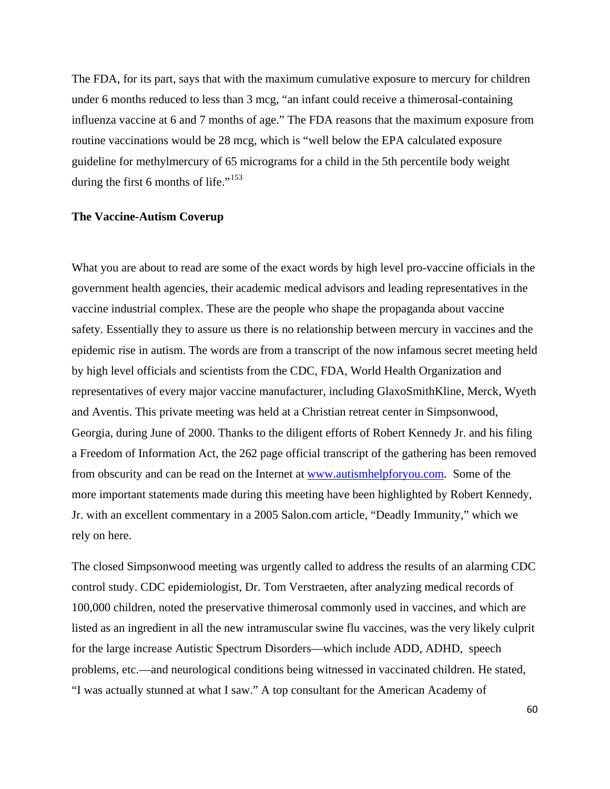The FDA, for its part, says that with the maximum cumulative exposure to mercury for children under 6 months reduced to less than 3 mcg, "an infant could receive a thimerosal-containing influenza vaccine at 6 and 7 months of age." The FDA reasons that the maximum exposure from routine vaccinations would be 28 mcg, which is "well below the EPA calculated exposure guideline for methylmercury of 65 micrograms for a child in the 5th percentile body weight during the first 6 months of life."<sup>[153](#page-89-0)</sup>

### **The Vaccine-Autism Coverup**

What you are about to read are some of the exact words by high level pro-vaccine officials in the government health agencies, their academic medical advisors and leading representatives in the vaccine industrial complex. These are the people who shape the propaganda about vaccine safety. Essentially they to assure us there is no relationship between mercury in vaccines and the epidemic rise in autism. The words are from a transcript of the now infamous secret meeting held by high level officials and scientists from the CDC, FDA, World Health Organization and representatives of every major vaccine manufacturer, including GlaxoSmithKline, Merck, Wyeth and Aventis. This private meeting was held at a Christian retreat center in Simpsonwood, Georgia, during June of 2000. Thanks to the diligent efforts of Robert Kennedy Jr. and his filing a Freedom of Information Act, the 262 page official transcript of the gathering has been removed from obscurity and can be read on the Internet at [www.autismhelpforyou.com.](http://www.autismhelpforyou.com/) Some of the more important statements made during this meeting have been highlighted by Robert Kennedy, Jr. with an excellent commentary in a 2005 Salon.com article, "Deadly Immunity," which we rely on here.

The closed Simpsonwood meeting was urgently called to address the results of an alarming CDC control study. CDC epidemiologist, Dr. Tom Verstraeten, after analyzing medical records of 100,000 children, noted the preservative thimerosal commonly used in vaccines, and which are listed as an ingredient in all the new intramuscular swine flu vaccines, was the very likely culprit for the large increase Autistic Spectrum Disorders—which include ADD, ADHD, speech problems, etc.—and neurological conditions being witnessed in vaccinated children. He stated, "I was actually stunned at what I saw." A top consultant for the American Academy of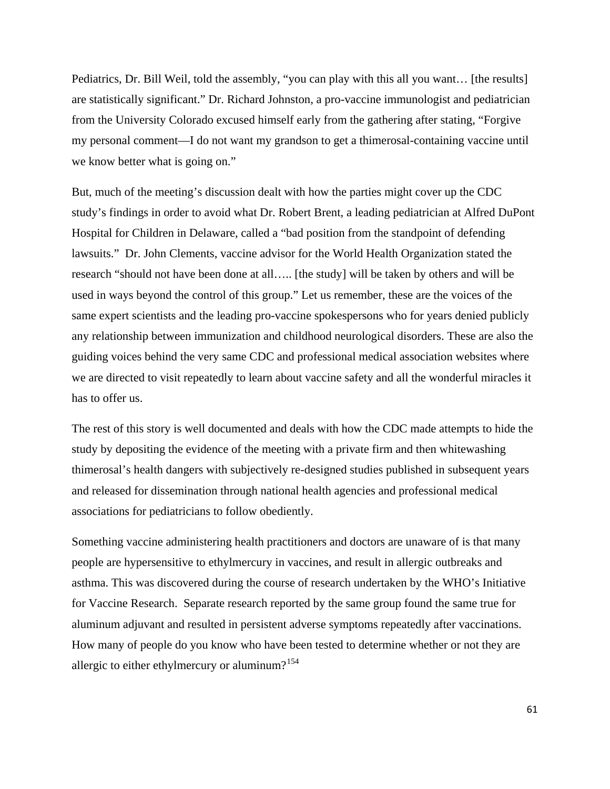Pediatrics, Dr. Bill Weil, told the assembly, "you can play with this all you want… [the results] are statistically significant." Dr. Richard Johnston, a pro-vaccine immunologist and pediatrician from the University Colorado excused himself early from the gathering after stating, "Forgive my personal comment—I do not want my grandson to get a thimerosal-containing vaccine until we know better what is going on."

But, much of the meeting's discussion dealt with how the parties might cover up the CDC study's findings in order to avoid what Dr. Robert Brent, a leading pediatrician at Alfred DuPont Hospital for Children in Delaware, called a "bad position from the standpoint of defending lawsuits." Dr. John Clements, vaccine advisor for the World Health Organization stated the research "should not have been done at all….. [the study] will be taken by others and will be used in ways beyond the control of this group." Let us remember, these are the voices of the same expert scientists and the leading pro-vaccine spokespersons who for years denied publicly any relationship between immunization and childhood neurological disorders. These are also the guiding voices behind the very same CDC and professional medical association websites where we are directed to visit repeatedly to learn about vaccine safety and all the wonderful miracles it has to offer us.

The rest of this story is well documented and deals with how the CDC made attempts to hide the study by depositing the evidence of the meeting with a private firm and then whitewashing thimerosal's health dangers with subjectively re-designed studies published in subsequent years and released for dissemination through national health agencies and professional medical associations for pediatricians to follow obediently.

Something vaccine administering health practitioners and doctors are unaware of is that many people are hypersensitive to ethylmercury in vaccines, and result in allergic outbreaks and asthma. This was discovered during the course of research undertaken by the WHO's Initiative for Vaccine Research. Separate research reported by the same group found the same true for aluminum adjuvant and resulted in persistent adverse symptoms repeatedly after vaccinations. How many of people do you know who have been tested to determine whether or not they are allergic to either ethylmercury or aluminum?<sup>[154](#page-89-0)</sup>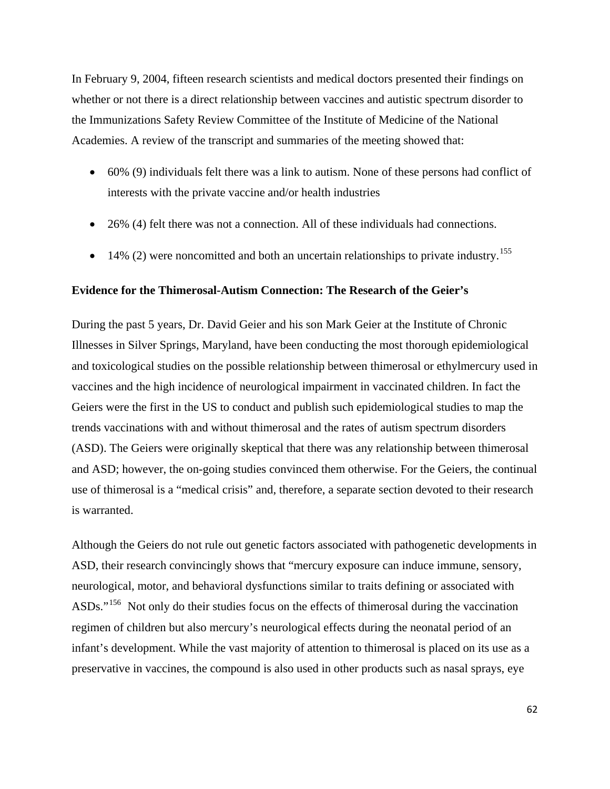In February 9, 2004, fifteen research scientists and medical doctors presented their findings on whether or not there is a direct relationship between vaccines and autistic spectrum disorder to the Immunizations Safety Review Committee of the Institute of Medicine of the National Academies. A review of the transcript and summaries of the meeting showed that:

- 60% (9) individuals felt there was a link to autism. None of these persons had conflict of interests with the private vaccine and/or health industries
- 26% (4) felt there was not a connection. All of these individuals had connections.
- $\bullet$  14% (2) were noncomitted and both an uncertain relationships to private industry.<sup>[155](#page-89-0)</sup>

### **Evidence for the Thimerosal-Autism Connection: The Research of the Geier's**

During the past 5 years, Dr. David Geier and his son Mark Geier at the Institute of Chronic Illnesses in Silver Springs, Maryland, have been conducting the most thorough epidemiological and toxicological studies on the possible relationship between thimerosal or ethylmercury used in vaccines and the high incidence of neurological impairment in vaccinated children. In fact the Geiers were the first in the US to conduct and publish such epidemiological studies to map the trends vaccinations with and without thimerosal and the rates of autism spectrum disorders (ASD). The Geiers were originally skeptical that there was any relationship between thimerosal and ASD; however, the on-going studies convinced them otherwise. For the Geiers, the continual use of thimerosal is a "medical crisis" and, therefore, a separate section devoted to their research is warranted.

Although the Geiers do not rule out genetic factors associated with pathogenetic developments in ASD, their research convincingly shows that "mercury exposure can induce immune, sensory, neurological, motor, and behavioral dysfunctions similar to traits defining or associated with ASDs."[156](#page-89-0) Not only do their studies focus on the effects of thimerosal during the vaccination regimen of children but also mercury's neurological effects during the neonatal period of an infant's development. While the vast majority of attention to thimerosal is placed on its use as a preservative in vaccines, the compound is also used in other products such as nasal sprays, eye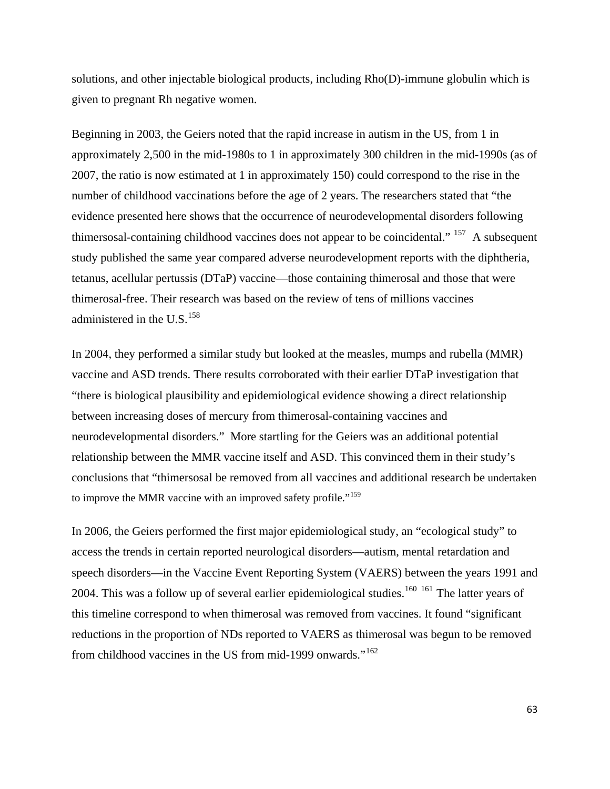solutions, and other injectable biological products, including Rho(D)-immune globulin which is given to pregnant Rh negative women.

Beginning in 2003, the Geiers noted that the rapid increase in autism in the US, from 1 in approximately 2,500 in the mid-1980s to 1 in approximately 300 children in the mid-1990s (as of 2007, the ratio is now estimated at 1 in approximately 150) could correspond to the rise in the number of childhood vaccinations before the age of 2 years. The researchers stated that "the evidence presented here shows that the occurrence of neurodevelopmental disorders following thimersosal-containing childhood vaccines does not appear to be coincidental." <sup>[157](#page-89-0)</sup> A subsequent study published the same year compared adverse neurodevelopment reports with the diphtheria, tetanus, acellular pertussis (DTaP) vaccine—those containing thimerosal and those that were thimerosal-free. Their research was based on the review of tens of millions vaccines administered in the U.S. $^{158}$  $^{158}$  $^{158}$ 

In 2004, they performed a similar study but looked at the measles, mumps and rubella (MMR) vaccine and ASD trends. There results corroborated with their earlier DTaP investigation that "there is biological plausibility and epidemiological evidence showing a direct relationship between increasing doses of mercury from thimerosal-containing vaccines and neurodevelopmental disorders." More startling for the Geiers was an additional potential relationship between the MMR vaccine itself and ASD. This convinced them in their study's conclusions that "thimersosal be removed from all vaccines and additional research be undertaken to improve the MMR vaccine with an improved safety profile."<sup>[159](#page-89-0)</sup>

In 2006, the Geiers performed the first major epidemiological study, an "ecological study" to access the trends in certain reported neurological disorders—autism, mental retardation and speech disorders—in the Vaccine Event Reporting System (VAERS) between the years 1991 and 2004. This was a follow up of several earlier epidemiological studies.<sup>[160](#page-89-0) [161](#page-89-0)</sup> The latter years of this timeline correspond to when thimerosal was removed from vaccines. It found "significant reductions in the proportion of NDs reported to VAERS as thimerosal was begun to be removed from childhood vaccines in the US from mid-1999 onwards."<sup>[162](#page-90-0)</sup>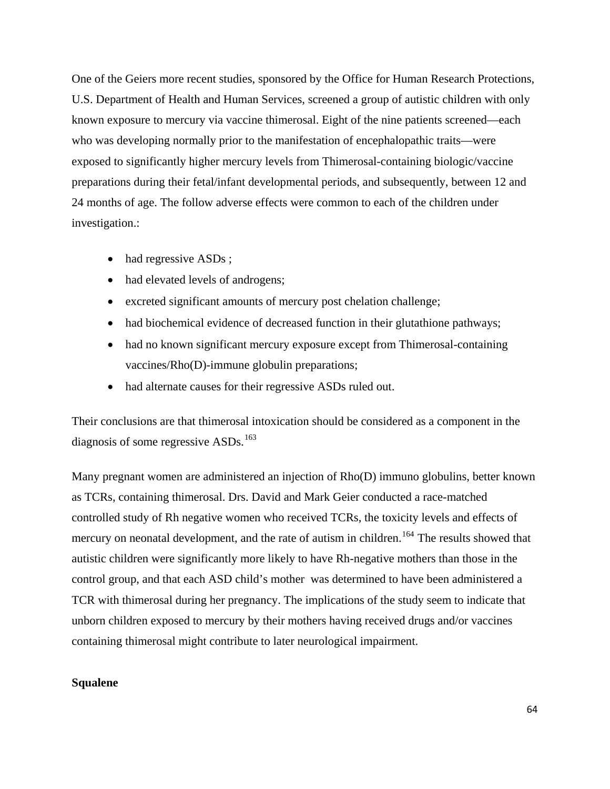One of the Geiers more recent studies, sponsored by the Office for Human Research Protections, U.S. Department of Health and Human Services, screened a group of autistic children with only known exposure to mercury via vaccine thimerosal. Eight of the nine patients screened—each who was developing normally prior to the manifestation of encephalopathic traits—were exposed to significantly higher mercury levels from Thimerosal-containing biologic/vaccine preparations during their fetal/infant developmental periods, and subsequently, between 12 and 24 months of age. The follow adverse effects were common to each of the children under investigation.:

- had regressive ASDs;
- had elevated levels of androgens;
- excreted significant amounts of mercury post chelation challenge;
- had biochemical evidence of decreased function in their glutathione pathways;
- had no known significant mercury exposure except from Thimerosal-containing vaccines/Rho(D)-immune globulin preparations;
- had alternate causes for their regressive ASDs ruled out.

Their conclusions are that thimerosal intoxication should be considered as a component in the diagnosis of some regressive  $ASDs$ .<sup>[163](#page-90-0)</sup>

Many pregnant women are administered an injection of Rho(D) immuno globulins, better known as TCRs, containing thimerosal. Drs. David and Mark Geier conducted a race-matched controlled study of Rh negative women who received TCRs, the toxicity levels and effects of mercury on neonatal development, and the rate of autism in children.<sup>[164](#page-90-0)</sup> The results showed that autistic children were significantly more likely to have Rh-negative mothers than those in the control group, and that each ASD child's mother was determined to have been administered a TCR with thimerosal during her pregnancy. The implications of the study seem to indicate that unborn children exposed to mercury by their mothers having received drugs and/or vaccines containing thimerosal might contribute to later neurological impairment.

### **Squalene**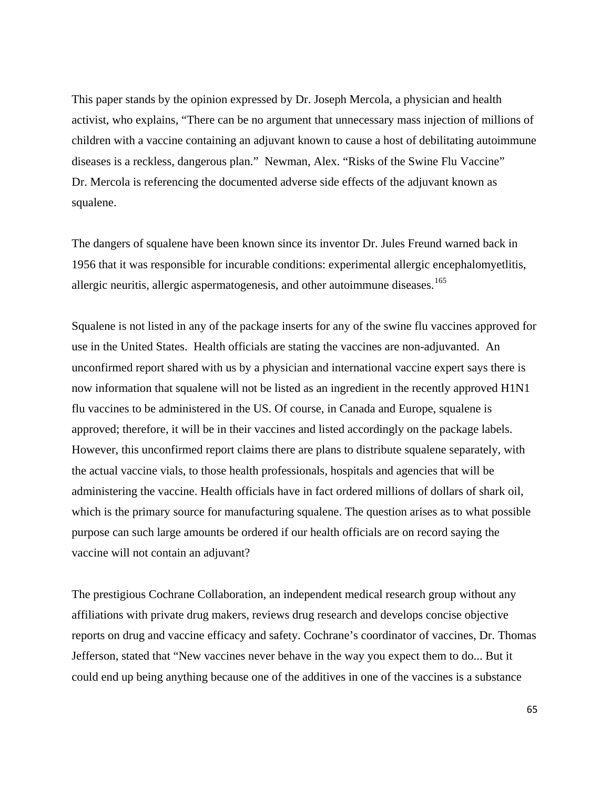This paper stands by the opinion expressed by Dr. Joseph Mercola, a physician and health activist, who explains, "There can be no argument that unnecessary mass injection of millions of children with a vaccine containing an adjuvant known to cause a host of debilitating autoimmune diseases is a reckless, dangerous plan." Newman, Alex. "Risks of the Swine Flu Vaccine" Dr. Mercola is referencing the documented adverse side effects of the adjuvant known as squalene.

The dangers of squalene have been known since its inventor Dr. Jules Freund warned back in 1956 that it was responsible for incurable conditions: experimental allergic encephalomyetlitis, allergic neuritis, allergic aspermatogenesis, and other autoimmune diseases.<sup>[165](#page-90-0)</sup>

Squalene is not listed in any of the package inserts for any of the swine flu vaccines approved for use in the United States. Health officials are stating the vaccines are non-adjuvanted. An unconfirmed report shared with us by a physician and international vaccine expert says there is now information that squalene will not be listed as an ingredient in the recently approved H1N1 flu vaccines to be administered in the US. Of course, in Canada and Europe, squalene is approved; therefore, it will be in their vaccines and listed accordingly on the package labels. However, this unconfirmed report claims there are plans to distribute squalene separately, with the actual vaccine vials, to those health professionals, hospitals and agencies that will be administering the vaccine. Health officials have in fact ordered millions of dollars of shark oil, which is the primary source for manufacturing squalene. The question arises as to what possible purpose can such large amounts be ordered if our health officials are on record saying the vaccine will not contain an adjuvant?

The prestigious Cochrane Collaboration, an independent medical research group without any affiliations with private drug makers, reviews drug research and develops concise objective reports on drug and vaccine efficacy and safety. Cochrane's coordinator of vaccines, Dr. Thomas Jefferson, stated that "New vaccines never behave in the way you expect them to do... But it could end up being anything because one of the additives in one of the vaccines is a substance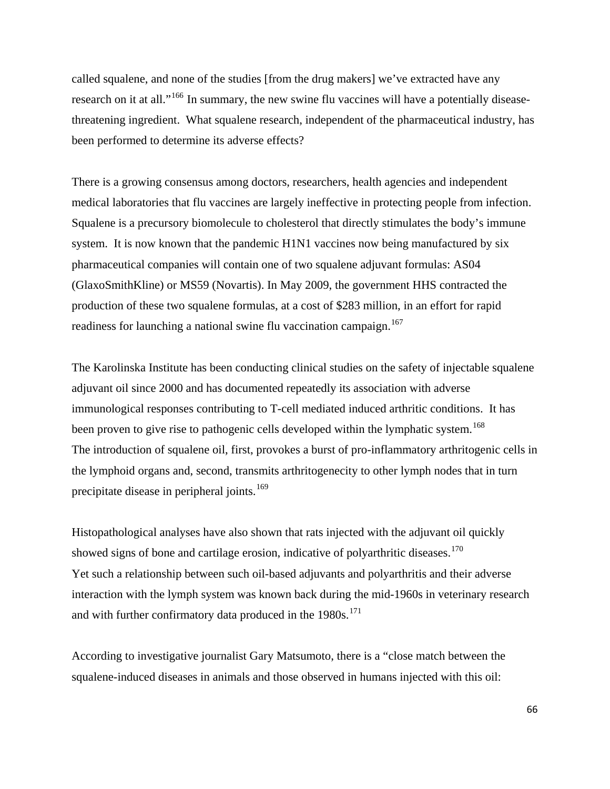called squalene, and none of the studies [from the drug makers] we've extracted have any research on it at all."[166](#page-90-0) In summary, the new swine flu vaccines will have a potentially diseasethreatening ingredient. What squalene research, independent of the pharmaceutical industry, has been performed to determine its adverse effects?

There is a growing consensus among doctors, researchers, health agencies and independent medical laboratories that flu vaccines are largely ineffective in protecting people from infection. Squalene is a precursory biomolecule to cholesterol that directly stimulates the body's immune system. It is now known that the pandemic H1N1 vaccines now being manufactured by six pharmaceutical companies will contain one of two squalene adjuvant formulas: AS04 (GlaxoSmithKline) or MS59 (Novartis). In May 2009, the government HHS contracted the production of these two squalene formulas, at a cost of \$283 million, in an effort for rapid readiness for launching a national swine flu vaccination campaign.<sup>[167](#page-90-0)</sup>

The Karolinska Institute has been conducting clinical studies on the safety of injectable squalene adjuvant oil since 2000 and has documented repeatedly its association with adverse immunological responses contributing to T-cell mediated induced arthritic conditions. It has been proven to give rise to pathogenic cells developed within the lymphatic system.<sup>[168](#page-90-0)</sup> The introduction of squalene oil, first, provokes a burst of pro-inflammatory arthritogenic cells in the lymphoid organs and, second, transmits arthritogenecity to other lymph nodes that in turn precipitate disease in peripheral joints.<sup>[169](#page-90-0)</sup>

Histopathological analyses have also shown that rats injected with the adjuvant oil quickly showed signs of bone and cartilage erosion, indicative of polyarthritic diseases.<sup>[170](#page-90-0)</sup> Yet such a relationship between such oil-based adjuvants and polyarthritis and their adverse interaction with the lymph system was known back during the mid-1960s in veterinary research and with further confirmatory data produced in the  $1980s$ .<sup>[171](#page-90-0)</sup>

According to investigative journalist Gary Matsumoto, there is a "close match between the squalene-induced diseases in animals and those observed in humans injected with this oil: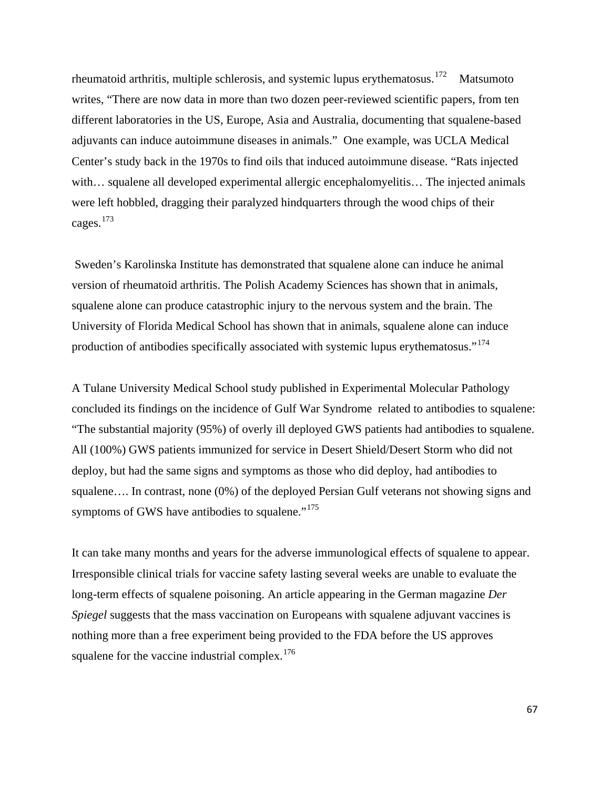rheumatoid arthritis, multiple schlerosis, and systemic lupus erythematosus.<sup>[172](#page-90-0)</sup> Matsumoto writes, "There are now data in more than two dozen peer-reviewed scientific papers, from ten different laboratories in the US, Europe, Asia and Australia, documenting that squalene-based adjuvants can induce autoimmune diseases in animals." One example, was UCLA Medical Center's study back in the 1970s to find oils that induced autoimmune disease. "Rats injected with... squalene all developed experimental allergic encephalomyelitis... The injected animals were left hobbled, dragging their paralyzed hindquarters through the wood chips of their cages.[173](#page-90-0)

 Sweden's Karolinska Institute has demonstrated that squalene alone can induce he animal version of rheumatoid arthritis. The Polish Academy Sciences has shown that in animals, squalene alone can produce catastrophic injury to the nervous system and the brain. The University of Florida Medical School has shown that in animals, squalene alone can induce production of antibodies specifically associated with systemic lupus erythematosus."<sup>[174](#page-90-0)</sup>

A Tulane University Medical School study published in Experimental Molecular Pathology concluded its findings on the incidence of Gulf War Syndrome related to antibodies to squalene: "The substantial majority (95%) of overly ill deployed GWS patients had antibodies to squalene. All (100%) GWS patients immunized for service in Desert Shield/Desert Storm who did not deploy, but had the same signs and symptoms as those who did deploy, had antibodies to squalene.... In contrast, none (0%) of the deployed Persian Gulf veterans not showing signs and symptoms of GWS have antibodies to squalene."<sup>[175](#page-91-0)</sup>

It can take many months and years for the adverse immunological effects of squalene to appear. Irresponsible clinical trials for vaccine safety lasting several weeks are unable to evaluate the long-term effects of squalene poisoning. An article appearing in the German magazine *Der Spiegel* suggests that the mass vaccination on Europeans with squalene adjuvant vaccines is nothing more than a free experiment being provided to the FDA before the US approves squalene for the vaccine industrial complex.<sup>[176](#page-91-0)</sup>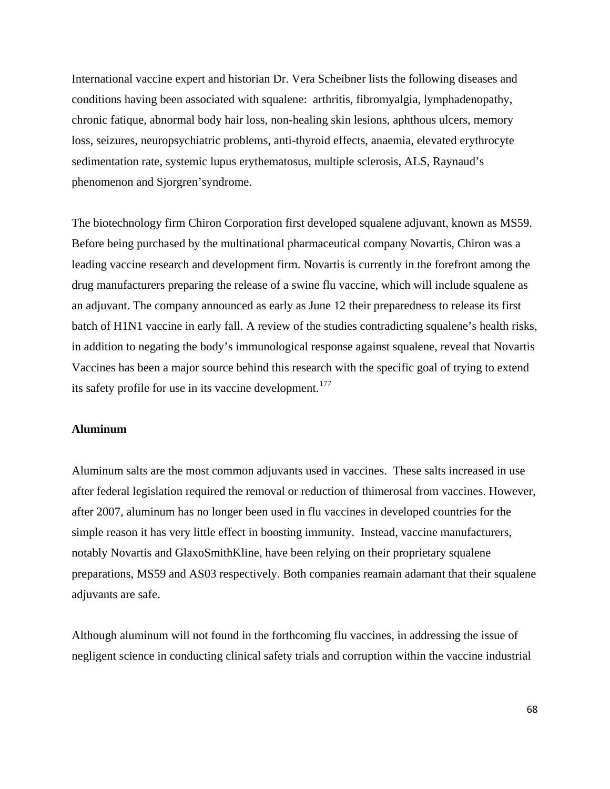International vaccine expert and historian Dr. Vera Scheibner lists the following diseases and conditions having been associated with squalene: arthritis, fibromyalgia, lymphadenopathy, chronic fatique, abnormal body hair loss, non-healing skin lesions, aphthous ulcers, memory loss, seizures, neuropsychiatric problems, anti-thyroid effects, anaemia, elevated erythrocyte sedimentation rate, systemic lupus erythematosus, multiple sclerosis, ALS, Raynaud's phenomenon and Sjorgren'syndrome.

The biotechnology firm Chiron Corporation first developed squalene adjuvant, known as MS59. Before being purchased by the multinational pharmaceutical company Novartis, Chiron was a leading vaccine research and development firm. Novartis is currently in the forefront among the drug manufacturers preparing the release of a swine flu vaccine, which will include squalene as an adjuvant. The company announced as early as June 12 their preparedness to release its first batch of H1N1 vaccine in early fall. A review of the studies contradicting squalene's health risks, in addition to negating the body's immunological response against squalene, reveal that Novartis Vaccines has been a major source behind this research with the specific goal of trying to extend its safety profile for use in its vaccine development.<sup>[177](#page-91-0)</sup>

#### **Aluminum**

Aluminum salts are the most common adjuvants used in vaccines. These salts increased in use after federal legislation required the removal or reduction of thimerosal from vaccines. However, after 2007, aluminum has no longer been used in flu vaccines in developed countries for the simple reason it has very little effect in boosting immunity. Instead, vaccine manufacturers, notably Novartis and GlaxoSmithKline, have been relying on their proprietary squalene preparations, MS59 and AS03 respectively. Both companies reamain adamant that their squalene adjuvants are safe.

Although aluminum will not found in the forthcoming flu vaccines, in addressing the issue of negligent science in conducting clinical safety trials and corruption within the vaccine industrial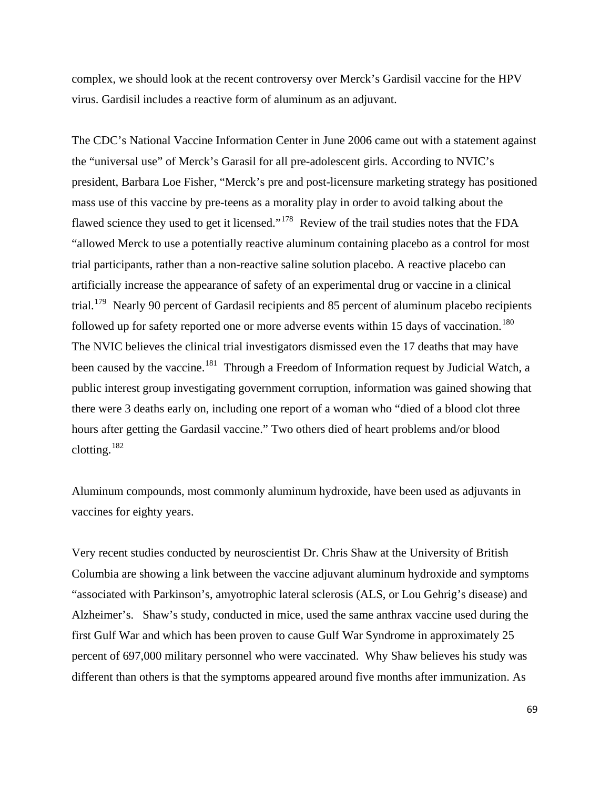complex, we should look at the recent controversy over Merck's Gardisil vaccine for the HPV virus. Gardisil includes a reactive form of aluminum as an adjuvant.

The CDC's National Vaccine Information Center in June 2006 came out with a statement against the "universal use" of Merck's Garasil for all pre-adolescent girls. According to NVIC's president, Barbara Loe Fisher, "Merck's pre and post-licensure marketing strategy has positioned mass use of this vaccine by pre-teens as a morality play in order to avoid talking about the flawed science they used to get it licensed."<sup>[178](#page-91-0)</sup> Review of the trail studies notes that the FDA "allowed Merck to use a potentially reactive aluminum containing placebo as a control for most trial participants, rather than a non-reactive saline solution placebo. A reactive placebo can artificially increase the appearance of safety of an experimental drug or vaccine in a clinical trial.<sup>[179](#page-91-0)</sup> Nearly 90 percent of Gardasil recipients and 85 percent of aluminum placebo recipients followed up for safety reported one or more adverse events within 15 days of vaccination.<sup>[180](#page-91-0)</sup> The NVIC believes the clinical trial investigators dismissed even the 17 deaths that may have been caused by the vaccine.<sup>[181](#page-91-0)</sup> Through a Freedom of Information request by Judicial Watch, a public interest group investigating government corruption, information was gained showing that there were 3 deaths early on, including one report of a woman who "died of a blood clot three hours after getting the Gardasil vaccine." Two others died of heart problems and/or blood clotting.[182](#page-91-0)

Aluminum compounds, most commonly aluminum hydroxide, have been used as adjuvants in vaccines for eighty years.

Very recent studies conducted by neuroscientist Dr. Chris Shaw at the University of British Columbia are showing a link between the vaccine adjuvant aluminum hydroxide and symptoms "associated with Parkinson's, amyotrophic lateral sclerosis (ALS, or Lou Gehrig's disease) and Alzheimer's. Shaw's study, conducted in mice, used the same anthrax vaccine used during the first Gulf War and which has been proven to cause Gulf War Syndrome in approximately 25 percent of 697,000 military personnel who were vaccinated. Why Shaw believes his study was different than others is that the symptoms appeared around five months after immunization. As

69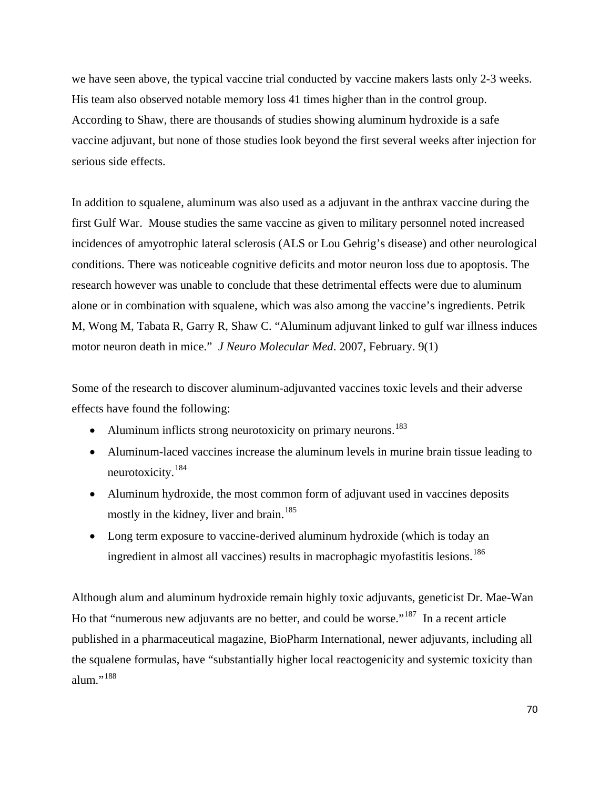we have seen above, the typical vaccine trial conducted by vaccine makers lasts only 2-3 weeks. His team also observed notable memory loss 41 times higher than in the control group. According to Shaw, there are thousands of studies showing aluminum hydroxide is a safe vaccine adjuvant, but none of those studies look beyond the first several weeks after injection for serious side effects.

In addition to squalene, aluminum was also used as a adjuvant in the anthrax vaccine during the first Gulf War. Mouse studies the same vaccine as given to military personnel noted increased incidences of amyotrophic lateral sclerosis (ALS or Lou Gehrig's disease) and other neurological conditions. There was noticeable cognitive deficits and motor neuron loss due to apoptosis. The research however was unable to conclude that these detrimental effects were due to aluminum alone or in combination with squalene, which was also among the vaccine's ingredients. Petrik M, Wong M, Tabata R, Garry R, Shaw C. "Aluminum adjuvant linked to gulf war illness induces motor neuron death in mice." *J Neuro Molecular Med*. 2007, February. 9(1)

Some of the research to discover aluminum-adjuvanted vaccines toxic levels and their adverse effects have found the following:

- Aluminum inflicts strong neurotoxicity on primary neurons.<sup>[183](#page-91-0)</sup>
- Aluminum-laced vaccines increase the aluminum levels in murine brain tissue leading to neurotoxicity.[184](#page-91-0)
- Aluminum hydroxide, the most common form of adjuvant used in vaccines deposits mostly in the kidney, liver and brain.<sup>[185](#page-91-0)</sup>
- Long term exposure to vaccine-derived aluminum hydroxide (which is today an ingredient in almost all vaccines) results in macrophagic myofastitis lesions.<sup>[186](#page-91-0)</sup>

Although alum and aluminum hydroxide remain highly toxic adjuvants, geneticist Dr. Mae-Wan Ho that "numerous new adjuvants are no better, and could be worse."[187](#page-91-0) In a recent article published in a pharmaceutical magazine, BioPharm International, newer adjuvants, including all the squalene formulas, have "substantially higher local reactogenicity and systemic toxicity than alum."<sup>[188](#page-92-0)</sup>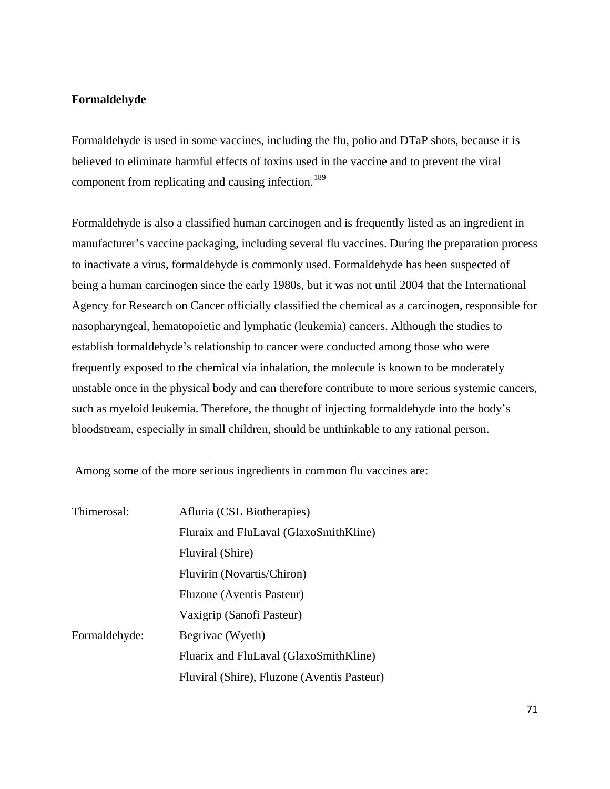## **Formaldehyde**

Formaldehyde is used in some vaccines, including the flu, polio and DTaP shots, because it is believed to eliminate harmful effects of toxins used in the vaccine and to prevent the viral component from replicating and causing infection.<sup>[189](#page-92-0)</sup>

Formaldehyde is also a classified human carcinogen and is frequently listed as an ingredient in manufacturer's vaccine packaging, including several flu vaccines. During the preparation process to inactivate a virus, formaldehyde is commonly used. Formaldehyde has been suspected of being a human carcinogen since the early 1980s, but it was not until 2004 that the International Agency for Research on Cancer officially classified the chemical as a carcinogen, responsible for nasopharyngeal, hematopoietic and lymphatic (leukemia) cancers. Although the studies to establish formaldehyde's relationship to cancer were conducted among those who were frequently exposed to the chemical via inhalation, the molecule is known to be moderately unstable once in the physical body and can therefore contribute to more serious systemic cancers, such as myeloid leukemia. Therefore, the thought of injecting formaldehyde into the body's bloodstream, especially in small children, should be unthinkable to any rational person.

Among some of the more serious ingredients in common flu vaccines are:

| Thimerosal:   | Afluria (CSL Biotherapies)                  |
|---------------|---------------------------------------------|
|               | Fluraix and FluLaval (GlaxoSmithKline)      |
|               | Fluviral (Shire)                            |
|               | Fluvirin (Novartis/Chiron)                  |
|               | Fluzone (Aventis Pasteur)                   |
|               | Vaxigrip (Sanofi Pasteur)                   |
| Formaldehyde: | Begrivac (Wyeth)                            |
|               | Fluarix and FluLaval (GlaxoSmithKline)      |
|               | Fluviral (Shire), Fluzone (Aventis Pasteur) |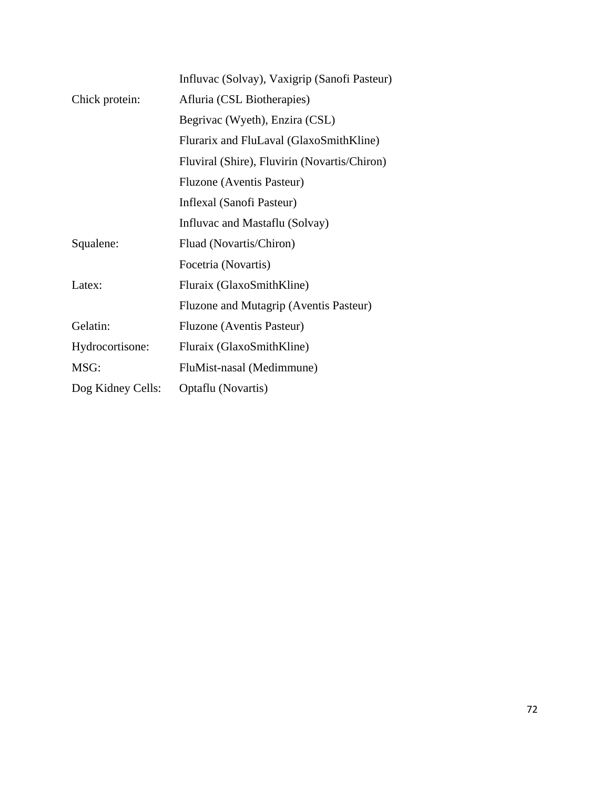|                   | Influvac (Solvay), Vaxigrip (Sanofi Pasteur) |
|-------------------|----------------------------------------------|
| Chick protein:    | Afluria (CSL Biotherapies)                   |
|                   | Begrivac (Wyeth), Enzira (CSL)               |
|                   | Flurarix and FluLaval (GlaxoSmithKline)      |
|                   | Fluviral (Shire), Fluvirin (Novartis/Chiron) |
|                   | Fluzone (Aventis Pasteur)                    |
|                   | Inflexal (Sanofi Pasteur)                    |
|                   | Influvac and Mastaflu (Solvay)               |
| Squalene:         | Fluad (Novartis/Chiron)                      |
|                   | Focetria (Novartis)                          |
| Latex:            | Fluraix (GlaxoSmithKline)                    |
|                   | Fluzone and Mutagrip (Aventis Pasteur)       |
| Gelatin:          | Fluzone (Aventis Pasteur)                    |
| Hydrocortisone:   | Fluraix (GlaxoSmithKline)                    |
| MSG:              | FluMist-nasal (Medimmune)                    |
| Dog Kidney Cells: | Optaflu (Novartis)                           |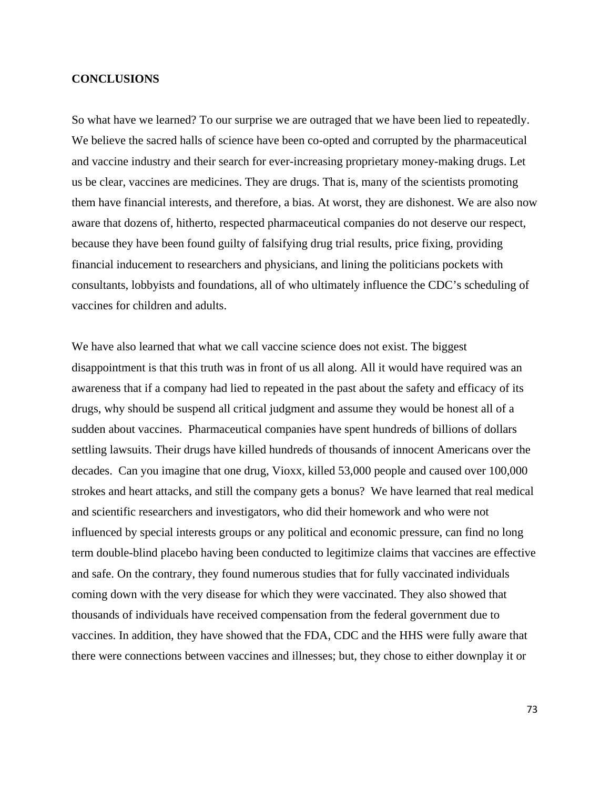## **CONCLUSIONS**

So what have we learned? To our surprise we are outraged that we have been lied to repeatedly. We believe the sacred halls of science have been co-opted and corrupted by the pharmaceutical and vaccine industry and their search for ever-increasing proprietary money-making drugs. Let us be clear, vaccines are medicines. They are drugs. That is, many of the scientists promoting them have financial interests, and therefore, a bias. At worst, they are dishonest. We are also now aware that dozens of, hitherto, respected pharmaceutical companies do not deserve our respect, because they have been found guilty of falsifying drug trial results, price fixing, providing financial inducement to researchers and physicians, and lining the politicians pockets with consultants, lobbyists and foundations, all of who ultimately influence the CDC's scheduling of vaccines for children and adults.

We have also learned that what we call vaccine science does not exist. The biggest disappointment is that this truth was in front of us all along. All it would have required was an awareness that if a company had lied to repeated in the past about the safety and efficacy of its drugs, why should be suspend all critical judgment and assume they would be honest all of a sudden about vaccines. Pharmaceutical companies have spent hundreds of billions of dollars settling lawsuits. Their drugs have killed hundreds of thousands of innocent Americans over the decades. Can you imagine that one drug, Vioxx, killed 53,000 people and caused over 100,000 strokes and heart attacks, and still the company gets a bonus? We have learned that real medical and scientific researchers and investigators, who did their homework and who were not influenced by special interests groups or any political and economic pressure, can find no long term double-blind placebo having been conducted to legitimize claims that vaccines are effective and safe. On the contrary, they found numerous studies that for fully vaccinated individuals coming down with the very disease for which they were vaccinated. They also showed that thousands of individuals have received compensation from the federal government due to vaccines. In addition, they have showed that the FDA, CDC and the HHS were fully aware that there were connections between vaccines and illnesses; but, they chose to either downplay it or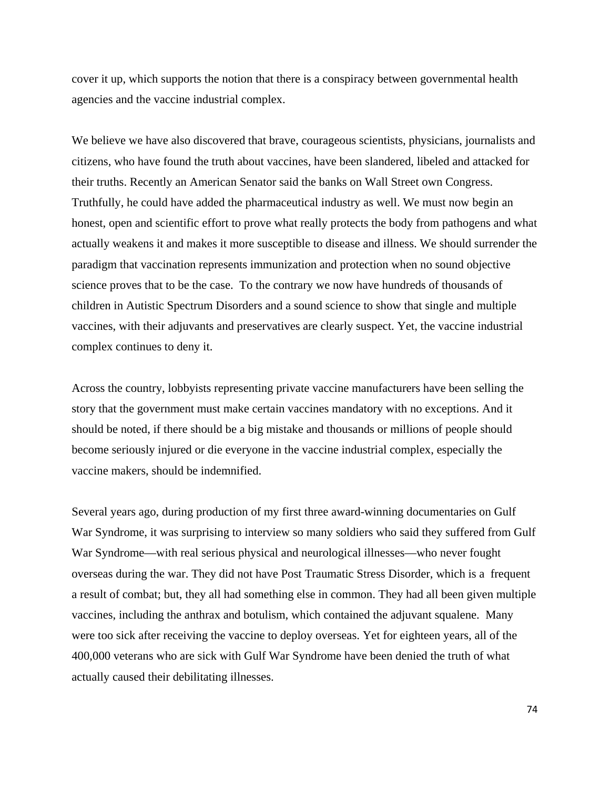cover it up, which supports the notion that there is a conspiracy between governmental health agencies and the vaccine industrial complex.

We believe we have also discovered that brave, courageous scientists, physicians, journalists and citizens, who have found the truth about vaccines, have been slandered, libeled and attacked for their truths. Recently an American Senator said the banks on Wall Street own Congress. Truthfully, he could have added the pharmaceutical industry as well. We must now begin an honest, open and scientific effort to prove what really protects the body from pathogens and what actually weakens it and makes it more susceptible to disease and illness. We should surrender the paradigm that vaccination represents immunization and protection when no sound objective science proves that to be the case. To the contrary we now have hundreds of thousands of children in Autistic Spectrum Disorders and a sound science to show that single and multiple vaccines, with their adjuvants and preservatives are clearly suspect. Yet, the vaccine industrial complex continues to deny it.

Across the country, lobbyists representing private vaccine manufacturers have been selling the story that the government must make certain vaccines mandatory with no exceptions. And it should be noted, if there should be a big mistake and thousands or millions of people should become seriously injured or die everyone in the vaccine industrial complex, especially the vaccine makers, should be indemnified.

Several years ago, during production of my first three award-winning documentaries on Gulf War Syndrome, it was surprising to interview so many soldiers who said they suffered from Gulf War Syndrome—with real serious physical and neurological illnesses—who never fought overseas during the war. They did not have Post Traumatic Stress Disorder, which is a frequent a result of combat; but, they all had something else in common. They had all been given multiple vaccines, including the anthrax and botulism, which contained the adjuvant squalene. Many were too sick after receiving the vaccine to deploy overseas. Yet for eighteen years, all of the 400,000 veterans who are sick with Gulf War Syndrome have been denied the truth of what actually caused their debilitating illnesses.

74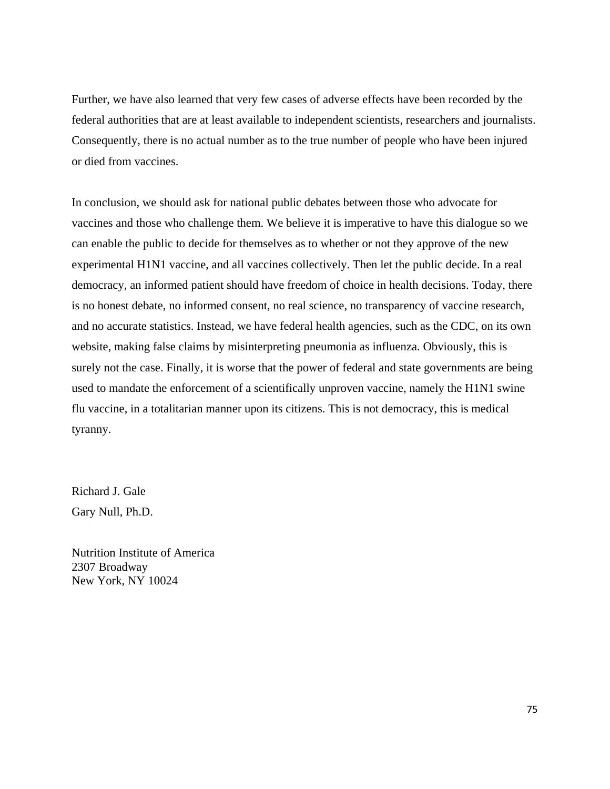Further, we have also learned that very few cases of adverse effects have been recorded by the federal authorities that are at least available to independent scientists, researchers and journalists. Consequently, there is no actual number as to the true number of people who have been injured or died from vaccines.

In conclusion, we should ask for national public debates between those who advocate for vaccines and those who challenge them. We believe it is imperative to have this dialogue so we can enable the public to decide for themselves as to whether or not they approve of the new experimental H1N1 vaccine, and all vaccines collectively. Then let the public decide. In a real democracy, an informed patient should have freedom of choice in health decisions. Today, there is no honest debate, no informed consent, no real science, no transparency of vaccine research, and no accurate statistics. Instead, we have federal health agencies, such as the CDC, on its own website, making false claims by misinterpreting pneumonia as influenza. Obviously, this is surely not the case. Finally, it is worse that the power of federal and state governments are being used to mandate the enforcement of a scientifically unproven vaccine, namely the H1N1 swine flu vaccine, in a totalitarian manner upon its citizens. This is not democracy, this is medical tyranny.

Richard J. Gale Gary Null, Ph.D.

Nutrition Institute of America 2307 Broadway New York, NY 10024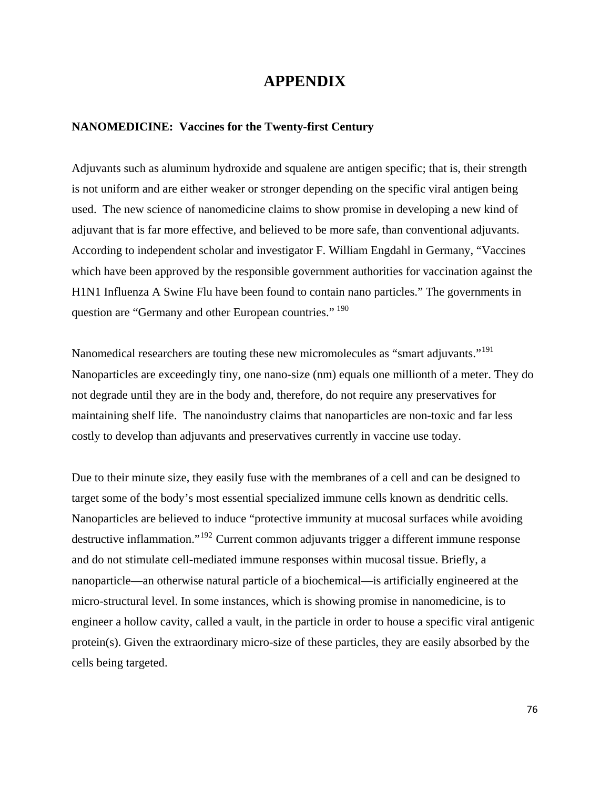## **APPENDIX**

## **NANOMEDICINE: Vaccines for the Twenty-first Century**

Adjuvants such as aluminum hydroxide and squalene are antigen specific; that is, their strength is not uniform and are either weaker or stronger depending on the specific viral antigen being used. The new science of nanomedicine claims to show promise in developing a new kind of adjuvant that is far more effective, and believed to be more safe, than conventional adjuvants. According to independent scholar and investigator F. William Engdahl in Germany, "Vaccines which have been approved by the responsible government authorities for vaccination against the H1N1 Influenza A Swine Flu have been found to contain nano particles." The governments in question are "Germany and other European countries." <sup>[190](#page-92-0)</sup>

Nanomedical researchers are touting these new micromolecules as "smart adjuvants."[191](#page-92-0) Nanoparticles are exceedingly tiny, one nano-size (nm) equals one millionth of a meter. They do not degrade until they are in the body and, therefore, do not require any preservatives for maintaining shelf life. The nanoindustry claims that nanoparticles are non-toxic and far less costly to develop than adjuvants and preservatives currently in vaccine use today.

Due to their minute size, they easily fuse with the membranes of a cell and can be designed to target some of the body's most essential specialized immune cells known as dendritic cells. Nanoparticles are believed to induce "protective immunity at mucosal surfaces while avoiding destructive inflammation."[192](#page-92-0) Current common adjuvants trigger a different immune response and do not stimulate cell-mediated immune responses within mucosal tissue. Briefly, a nanoparticle—an otherwise natural particle of a biochemical—is artificially engineered at the micro-structural level. In some instances, which is showing promise in nanomedicine, is to engineer a hollow cavity, called a vault, in the particle in order to house a specific viral antigenic protein(s). Given the extraordinary micro-size of these particles, they are easily absorbed by the cells being targeted.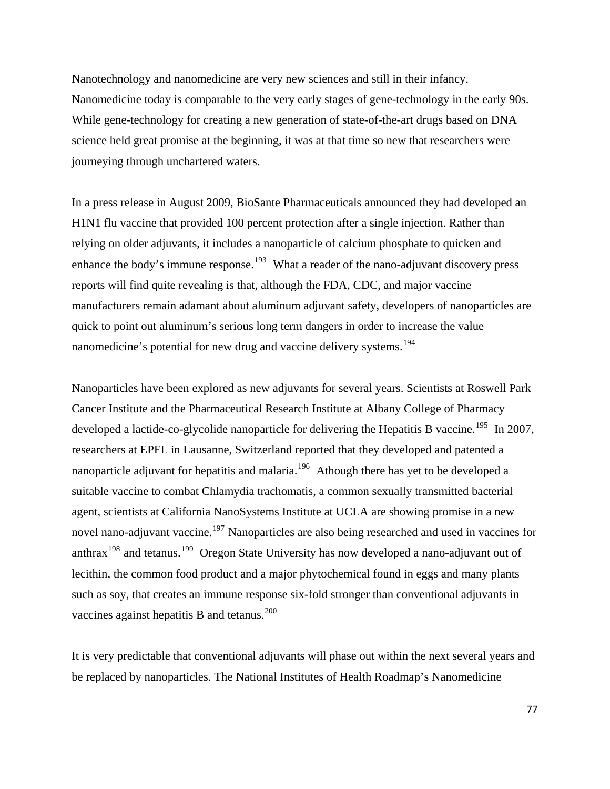Nanotechnology and nanomedicine are very new sciences and still in their infancy. Nanomedicine today is comparable to the very early stages of gene-technology in the early 90s. While gene-technology for creating a new generation of state-of-the-art drugs based on DNA science held great promise at the beginning, it was at that time so new that researchers were journeying through unchartered waters.

In a press release in August 2009, BioSante Pharmaceuticals announced they had developed an H1N1 flu vaccine that provided 100 percent protection after a single injection. Rather than relying on older adjuvants, it includes a nanoparticle of calcium phosphate to quicken and enhance the body's immune response.<sup>[193](#page-92-0)</sup> What a reader of the nano-adjuvant discovery press reports will find quite revealing is that, although the FDA, CDC, and major vaccine manufacturers remain adamant about aluminum adjuvant safety, developers of nanoparticles are quick to point out aluminum's serious long term dangers in order to increase the value nanomedicine's potential for new drug and vaccine delivery systems.<sup>[194](#page-92-0)</sup>

Nanoparticles have been explored as new adjuvants for several years. Scientists at Roswell Park Cancer Institute and the Pharmaceutical Research Institute at Albany College of Pharmacy developed a lactide-co-glycolide nanoparticle for delivering the Hepatitis B vaccine.<sup>[195](#page-92-0)</sup> In 2007, researchers at EPFL in Lausanne, Switzerland reported that they developed and patented a nanoparticle adjuvant for hepatitis and malaria.<sup>[196](#page-92-0)</sup> Athough there has yet to be developed a suitable vaccine to combat Chlamydia trachomatis, a common sexually transmitted bacterial agent, scientists at California NanoSystems Institute at UCLA are showing promise in a new novel nano-adjuvant vaccine.<sup>[197](#page-92-0)</sup> Nanoparticles are also being researched and used in vaccines for anthrax<sup>[198](#page-92-0)</sup> and tetanus.<sup>[199](#page-92-0)</sup> Oregon State University has now developed a nano-adjuvant out of lecithin, the common food product and a major phytochemical found in eggs and many plants such as soy, that creates an immune response six-fold stronger than conventional adjuvants in vaccines against hepatitis B and tetanus.<sup>[200](#page-92-0)</sup>

It is very predictable that conventional adjuvants will phase out within the next several years and be replaced by nanoparticles. The National Institutes of Health Roadmap's Nanomedicine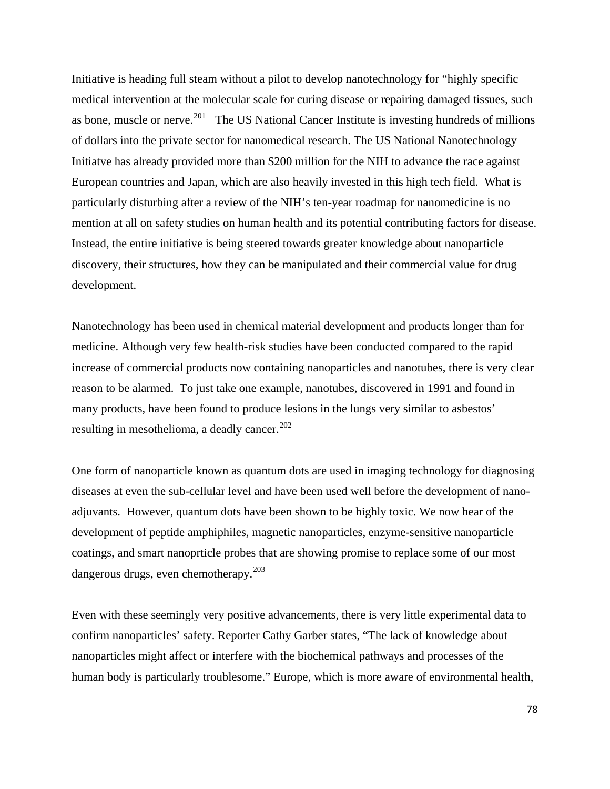Initiative is heading full steam without a pilot to develop nanotechnology for "highly specific medical intervention at the molecular scale for curing disease or repairing damaged tissues, such as bone, muscle or nerve.<sup>[201](#page-92-0)</sup> The US National Cancer Institute is investing hundreds of millions of dollars into the private sector for nanomedical research. The US National Nanotechnology Initiatve has already provided more than \$200 million for the NIH to advance the race against European countries and Japan, which are also heavily invested in this high tech field. What is particularly disturbing after a review of the NIH's ten-year roadmap for nanomedicine is no mention at all on safety studies on human health and its potential contributing factors for disease. Instead, the entire initiative is being steered towards greater knowledge about nanoparticle discovery, their structures, how they can be manipulated and their commercial value for drug development.

Nanotechnology has been used in chemical material development and products longer than for medicine. Although very few health-risk studies have been conducted compared to the rapid increase of commercial products now containing nanoparticles and nanotubes, there is very clear reason to be alarmed. To just take one example, nanotubes, discovered in 1991 and found in many products, have been found to produce lesions in the lungs very similar to asbestos' resulting in mesothelioma, a deadly cancer. $202$ 

One form of nanoparticle known as quantum dots are used in imaging technology for diagnosing diseases at even the sub-cellular level and have been used well before the development of nanoadjuvants. However, quantum dots have been shown to be highly toxic. We now hear of the development of peptide amphiphiles, magnetic nanoparticles, enzyme-sensitive nanoparticle coatings, and smart nanoprticle probes that are showing promise to replace some of our most dangerous drugs, even chemotherapy. $203$ 

Even with these seemingly very positive advancements, there is very little experimental data to confirm nanoparticles' safety. Reporter Cathy Garber states, "The lack of knowledge about nanoparticles might affect or interfere with the biochemical pathways and processes of the human body is particularly troublesome." Europe, which is more aware of environmental health,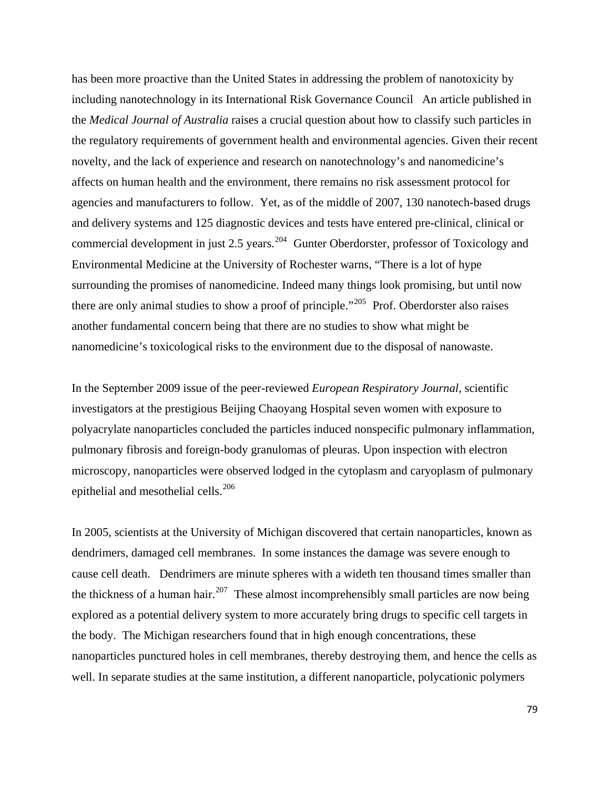has been more proactive than the United States in addressing the problem of nanotoxicity by including nanotechnology in its International Risk Governance Council An article published in the *Medical Journal of Australia* raises a crucial question about how to classify such particles in the regulatory requirements of government health and environmental agencies. Given their recent novelty, and the lack of experience and research on nanotechnology's and nanomedicine's affects on human health and the environment, there remains no risk assessment protocol for agencies and manufacturers to follow. Yet, as of the middle of 2007, 130 nanotech-based drugs and delivery systems and 125 diagnostic devices and tests have entered pre-clinical, clinical or commercial development in just 2.5 years.<sup>[204](#page-93-0)</sup> Gunter Oberdorster, professor of Toxicology and Environmental Medicine at the University of Rochester warns, "There is a lot of hype surrounding the promises of nanomedicine. Indeed many things look promising, but until now there are only animal studies to show a proof of principle."<sup>[205](#page-93-0)</sup> Prof. Oberdorster also raises another fundamental concern being that there are no studies to show what might be nanomedicine's toxicological risks to the environment due to the disposal of nanowaste.

In the September 2009 issue of the peer-reviewed *European Respiratory Journal*, scientific investigators at the prestigious Beijing Chaoyang Hospital seven women with exposure to polyacrylate nanoparticles concluded the particles induced nonspecific pulmonary inflammation, pulmonary fibrosis and foreign-body granulomas of pleuras. Upon inspection with electron microscopy, nanoparticles were observed lodged in the cytoplasm and caryoplasm of pulmonary epithelial and mesothelial cells.<sup>[206](#page-93-0)</sup>

In 2005, scientists at the University of Michigan discovered that certain nanoparticles, known as dendrimers, damaged cell membranes. In some instances the damage was severe enough to cause cell death. Dendrimers are minute spheres with a wideth ten thousand times smaller than the thickness of a human hair.<sup>[207](#page-93-0)</sup> These almost incomprehensibly small particles are now being explored as a potential delivery system to more accurately bring drugs to specific cell targets in the body. The Michigan researchers found that in high enough concentrations, these nanoparticles punctured holes in cell membranes, thereby destroying them, and hence the cells as well. In separate studies at the same institution, a different nanoparticle, polycationic polymers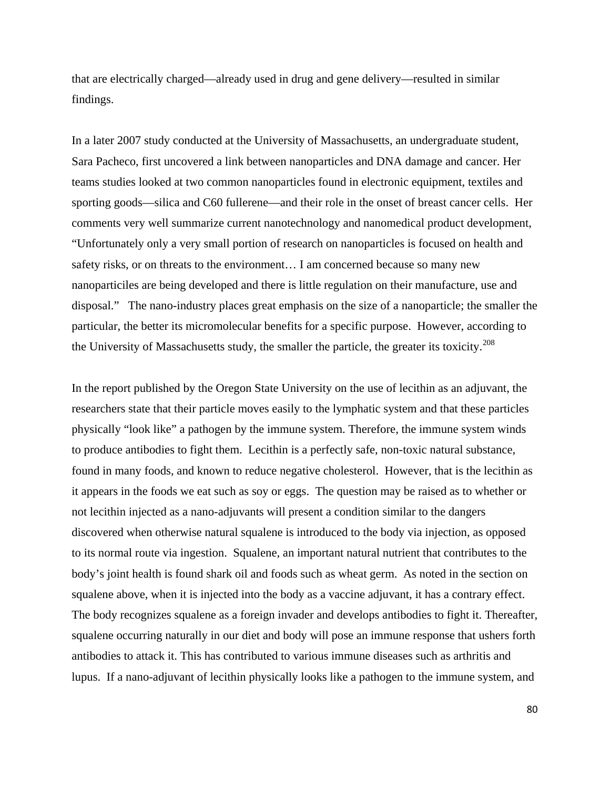that are electrically charged—already used in drug and gene delivery—resulted in similar findings.

In a later 2007 study conducted at the University of Massachusetts, an undergraduate student, Sara Pacheco, first uncovered a link between nanoparticles and DNA damage and cancer. Her teams studies looked at two common nanoparticles found in electronic equipment, textiles and sporting goods—silica and C60 fullerene—and their role in the onset of breast cancer cells. Her comments very well summarize current nanotechnology and nanomedical product development, "Unfortunately only a very small portion of research on nanoparticles is focused on health and safety risks, or on threats to the environment… I am concerned because so many new nanoparticiles are being developed and there is little regulation on their manufacture, use and disposal." The nano-industry places great emphasis on the size of a nanoparticle; the smaller the particular, the better its micromolecular benefits for a specific purpose. However, according to the University of Massachusetts study, the smaller the particle, the greater its toxicity.<sup>[208](#page-93-0)</sup>

In the report published by the Oregon State University on the use of lecithin as an adjuvant, the researchers state that their particle moves easily to the lymphatic system and that these particles physically "look like" a pathogen by the immune system. Therefore, the immune system winds to produce antibodies to fight them. Lecithin is a perfectly safe, non-toxic natural substance, found in many foods, and known to reduce negative cholesterol. However, that is the lecithin as it appears in the foods we eat such as soy or eggs. The question may be raised as to whether or not lecithin injected as a nano-adjuvants will present a condition similar to the dangers discovered when otherwise natural squalene is introduced to the body via injection, as opposed to its normal route via ingestion. Squalene, an important natural nutrient that contributes to the body's joint health is found shark oil and foods such as wheat germ. As noted in the section on squalene above, when it is injected into the body as a vaccine adjuvant, it has a contrary effect. The body recognizes squalene as a foreign invader and develops antibodies to fight it. Thereafter, squalene occurring naturally in our diet and body will pose an immune response that ushers forth antibodies to attack it. This has contributed to various immune diseases such as arthritis and lupus. If a nano-adjuvant of lecithin physically looks like a pathogen to the immune system, and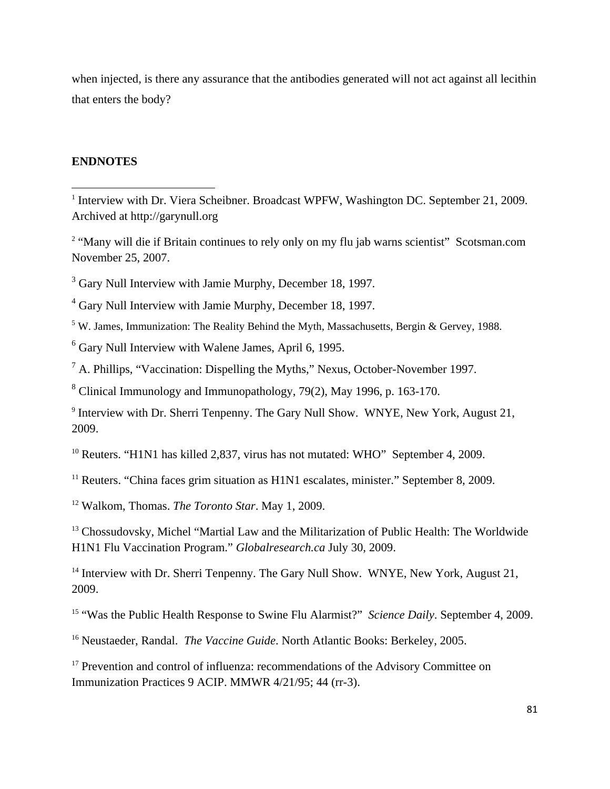when injected, is there any assurance that the antibodies generated will not act against all lecithin that enters the body?

## **ENDNOTES**

<sup>3</sup> Gary Null Interview with Jamie Murphy, December 18, 1997.

<sup>4</sup> Gary Null Interview with Jamie Murphy, December 18, 1997.

<sup>5</sup> W. James, Immunization: The Reality Behind the Myth, Massachusetts, Bergin & Gervey, 1988.

<sup>6</sup> Gary Null Interview with Walene James, April 6, 1995.

 $<sup>7</sup>$  A. Phillips, "Vaccination: Dispelling the Myths," Nexus, October-November 1997.</sup>

<sup>8</sup> Clinical Immunology and Immunopathology, 79(2), May 1996, p. 163-170.

<sup>9</sup> Interview with Dr. Sherri Tenpenny. The Gary Null Show. WNYE, New York, August 21, 2009.

<sup>10</sup> Reuters. "H1N1 has killed 2,837, virus has not mutated: WHO" September 4, 2009.

<sup>11</sup> Reuters. "China faces grim situation as  $H1N1$  escalates, minister." September 8, 2009.

<sup>12</sup> Walkom, Thomas. *The Toronto Star*. May 1, 2009.

<sup>13</sup> Chossudovsky, Michel "Martial Law and the Militarization of Public Health: The Worldwide H1N1 Flu Vaccination Program." *Globalresearch.ca* July 30, 2009.

<sup>14</sup> Interview with Dr. Sherri Tenpenny. The Gary Null Show. WNYE, New York, August 21, 2009.

<sup>15</sup> "Was the Public Health Response to Swine Flu Alarmist?" *Science Daily*. September 4, 2009.

<sup>16</sup> Neustaeder, Randal. *The Vaccine Guide*. North Atlantic Books: Berkeley, 2005.

<sup>17</sup> Prevention and control of influenza: recommendations of the Advisory Committee on Immunization Practices 9 ACIP. MMWR 4/21/95; 44 (rr-3).

<sup>&</sup>lt;sup>1</sup> Interview with Dr. Viera Scheibner. Broadcast WPFW, Washington DC. September 21, 2009. Archived at http://garynull.org

<sup>&</sup>lt;sup>2</sup> "Many will die if Britain continues to rely only on my flu jab warns scientist" Scotsman.com November 25, 2007.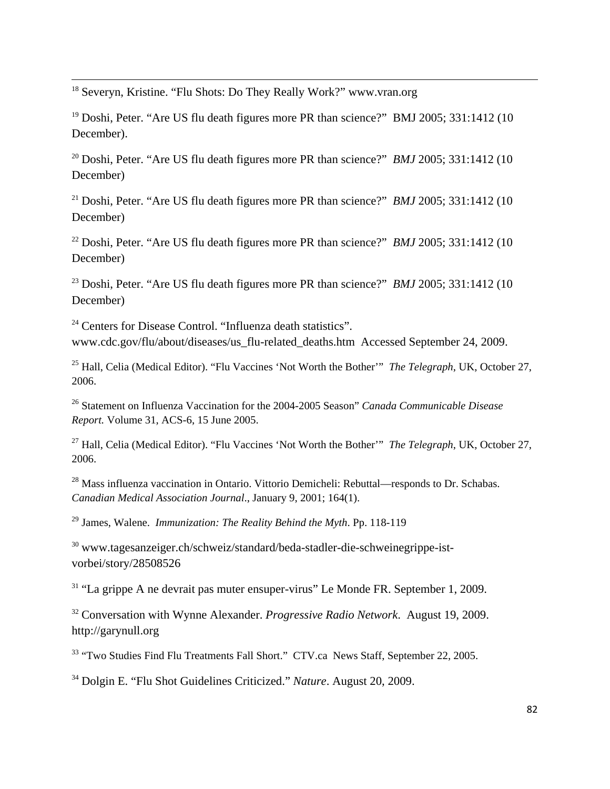<sup>18</sup> Severyn, Kristine. "Flu Shots: Do They Really Work?" www.vran.org

<sup>19</sup> Doshi, Peter. "Are US flu death figures more PR than science?" BMJ 2005; 331:1412 (10 December).

<u> Andrewski politika (za obrazu za obrazu za obrazu za obrazu za obrazu za obrazu za obrazu za obrazu za obrazu</u>

<sup>20</sup> Doshi, Peter. "Are US flu death figures more PR than science?" *BMJ* 2005; 331:1412 (10) December)

<sup>21</sup> Doshi, Peter. "Are US flu death figures more PR than science?" *BMJ* 2005; 331:1412 (10) December)

<sup>22</sup> Doshi, Peter. "Are US flu death figures more PR than science?" *BMJ* 2005; 331:1412 (10) December)

<sup>23</sup> Doshi, Peter. "Are US flu death figures more PR than science?" *BMJ* 2005; 331:1412 (10) December)

<sup>24</sup> Centers for Disease Control. "Influenza death statistics". www.cdc.gov/flu/about/diseases/us\_flu-related\_deaths.htm Accessed September 24, 2009.

25 Hall, Celia (Medical Editor). "Flu Vaccines 'Not Worth the Bother'" *The Telegraph*, UK, October 27, 2006.

26 Statement on Influenza Vaccination for the 2004-2005 Season" *Canada Communicable Disease Report.* Volume 31, ACS-6, 15 June 2005.

27 Hall, Celia (Medical Editor). "Flu Vaccines 'Not Worth the Bother'" *The Telegraph*, UK, October 27, 2006.

<sup>28</sup> Mass influenza vaccination in Ontario. Vittorio Demicheli: Rebuttal—responds to Dr. Schabas. *Canadian Medical Association Journal*., January 9, 2001; 164(1).

29 James, Walene. *Immunization: The Reality Behind the Myth*. Pp. 118-119

<sup>30</sup> www.tagesanzeiger.ch/schweiz/standard/beda-stadler-die-schweinegrippe-istvorbei/story/28508526

 $31$  "La grippe A ne devrait pas muter ensuper-virus" Le Monde FR. September 1, 2009.

<sup>32</sup> Conversation with Wynne Alexander. *Progressive Radio Network*. August 19, 2009. http://garynull.org

<sup>33</sup> "Two Studies Find Flu Treatments Fall Short." CTV.ca News Staff, September 22, 2005.

<sup>34</sup> Dolgin E. "Flu Shot Guidelines Criticized." *Nature*. August 20, 2009.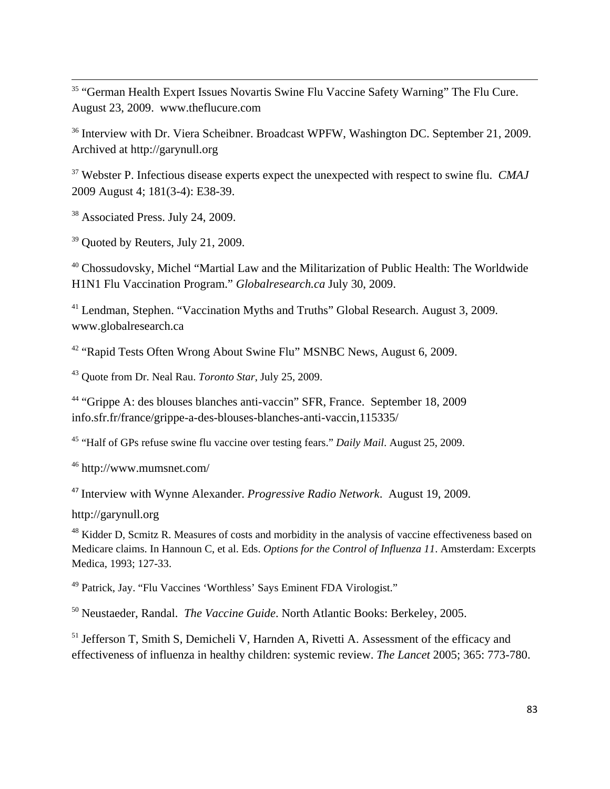<sup>35</sup> "German Health Expert Issues Novartis Swine Flu Vaccine Safety Warning" The Flu Cure. August 23, 2009. www.theflucure.com

<u> Andrewski politika (za obrazu za obrazu za obrazu za obrazu za obrazu za obrazu za obrazu za obrazu za obrazu</u>

<sup>36</sup> Interview with Dr. Viera Scheibner. Broadcast WPFW, Washington DC. September 21, 2009. Archived at http://garynull.org

<sup>37</sup> Webster P. Infectious disease experts expect the unexpected with respect to swine flu. *CMAJ* 2009 August 4; 181(3-4): E38-39.

<sup>38</sup> Associated Press. July 24, 2009.

<sup>39</sup> Quoted by Reuters, July 21, 2009.

<sup>40</sup> Chossudovsky, Michel "Martial Law and the Militarization of Public Health: The Worldwide H1N1 Flu Vaccination Program." *Globalresearch.ca* July 30, 2009.

<sup>41</sup> Lendman, Stephen. "Vaccination Myths and Truths" Global Research. August 3, 2009. www.globalresearch.ca

<sup>42</sup> "Rapid Tests Often Wrong About Swine Flu" MSNBC News, August 6, 2009.

43 Quote from Dr. Neal Rau. *Toronto Star*, July 25, 2009.

<sup>44</sup> "Grippe A: des blouses blanches anti-vaccin" SFR, France. September 18, 2009 info.sfr.fr/france/grippe-a-des-blouses-blanches-anti-vaccin,115335/

45 "Half of GPs refuse swine flu vaccine over testing fears." *Daily Mail*. August 25, 2009.

<sup>46</sup> <http://www.mumsnet.com/>

<sup>47</sup> Interview with Wynne Alexander. *Progressive Radio Network*. August 19, 2009.

[http://garynull.org](http://garynull.org/) 

<sup>48</sup> Kidder D, Scmitz R. Measures of costs and morbidity in the analysis of vaccine effectiveness based on Medicare claims. In Hannoun C, et al. Eds. *Options for the Control of Influenza 11*. Amsterdam: Excerpts Medica, 1993; 127-33.

49 Patrick, Jay. "Flu Vaccines 'Worthless' Says Eminent FDA Virologist."

<sup>50</sup> Neustaeder, Randal. *The Vaccine Guide*. North Atlantic Books: Berkeley, 2005.

 $<sup>51</sup>$  Jefferson T, Smith S, Demicheli V, Harnden A, Rivetti A. Assessment of the efficacy and</sup> effectiveness of influenza in healthy children: systemic review. *The Lancet* 2005; 365: 773-780.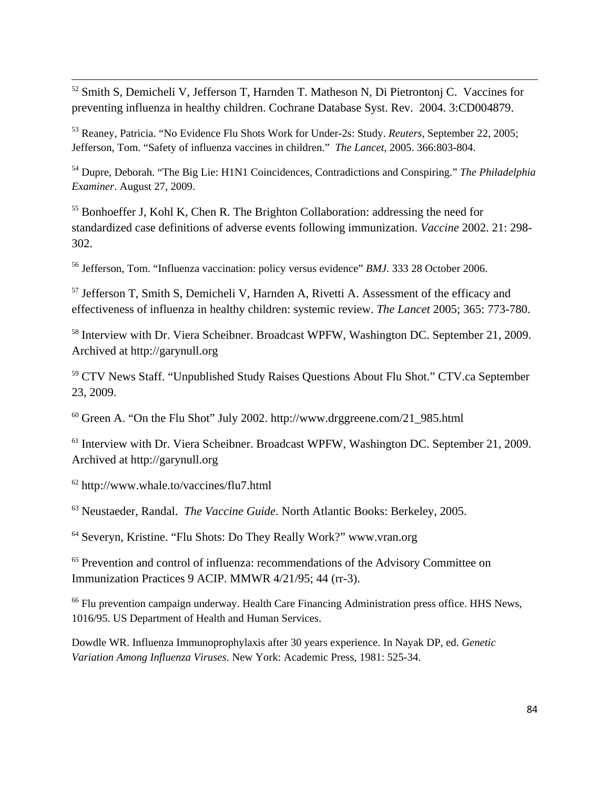$52$  Smith S, Demicheli V, Jefferson T, Harnden T. Matheson N, Di Pietrontonj C. Vaccines for preventing influenza in healthy children. Cochrane Database Syst. Rev. 2004. 3:CD004879.

<u> Andrewski politika (za obrazu za obrazu za obrazu za obrazu za obrazu za obrazu za obrazu za obrazu za obrazu</u>

53 Reaney, Patricia. "No Evidence Flu Shots Work for Under-2s: Study. *Reuters*, September 22, 2005; Jefferson, Tom. "Safety of influenza vaccines in children." *The Lancet*, 2005. 366:803-804.

54 Dupre, Deborah. "The Big Lie: H1N1 Coincidences, Contradictions and Conspiring." *The Philadelphia Examiner*. August 27, 2009.

<sup>55</sup> Bonhoeffer J, Kohl K, Chen R. The Brighton Collaboration: addressing the need for standardized case definitions of adverse events following immunization. *Vaccine* 2002. 21: 298- 302.

56 Jefferson, Tom. "Influenza vaccination: policy versus evidence" *BMJ*. 333 28 October 2006.

<sup>57</sup> Jefferson T, Smith S, Demicheli V, Harnden A, Rivetti A. Assessment of the efficacy and effectiveness of influenza in healthy children: systemic review. *The Lancet* 2005; 365: 773-780.

<sup>58</sup> Interview with Dr. Viera Scheibner. Broadcast WPFW, Washington DC. September 21, 2009. Archived at [http://garynull.org](http://garynull.org/)

<sup>59</sup> CTV News Staff. "Unpublished Study Raises Questions About Flu Shot." CTV.ca September 23, 2009.

 $60$  Green A. "On the Flu Shot" July 2002. [http://www.drggreene.com/21\\_985.html](http://www.drggreene.com/21_985.html)

<sup>61</sup> Interview with Dr. Viera Scheibner. Broadcast WPFW, Washington DC. September 21, 2009. Archived at [http://garynull.org](http://garynull.org/)

<sup>62</sup> http://www.whale.to/vaccines/flu7.html

<sup>63</sup> Neustaeder, Randal. *The Vaccine Guide*. North Atlantic Books: Berkeley, 2005.

<sup>64</sup> Severyn, Kristine. "Flu Shots: Do They Really Work?" www.vran.org

<sup>65</sup> Prevention and control of influenza: recommendations of the Advisory Committee on Immunization Practices 9 ACIP. MMWR 4/21/95; 44 (rr-3).

<sup>66</sup> Flu prevention campaign underway. Health Care Financing Administration press office. HHS News, 1016/95. US Department of Health and Human Services.

Dowdle WR. Influenza Immunoprophylaxis after 30 years experience. In Nayak DP, ed. *Genetic Variation Among Influenza Viruses*. New York: Academic Press, 1981: 525-34.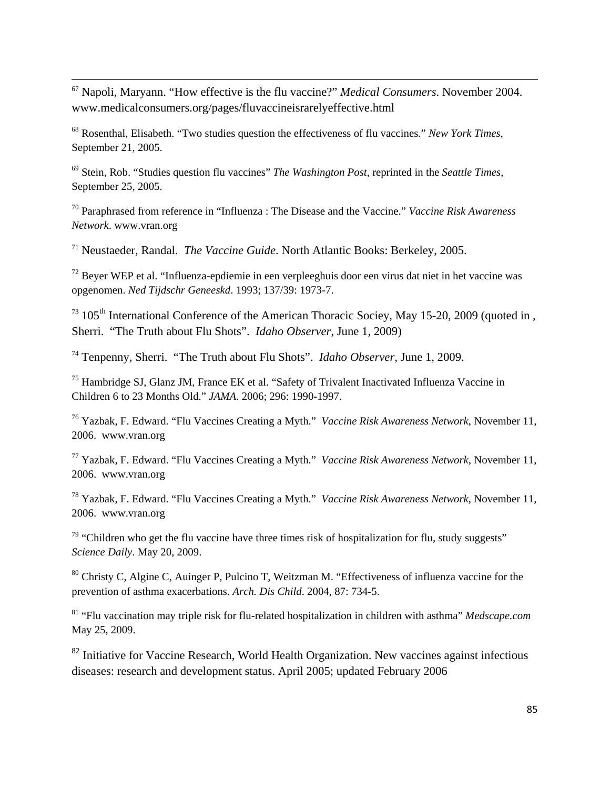<sup>67</sup> Napoli, Maryann. "How effective is the flu vaccine?" *Medical Consumers*. November 2004. www.medicalconsumers.org/pages/fluvaccineisrarelyeffective.html

<u> Andrewski politika (za obrazu za obrazu za obrazu za obrazu za obrazu za obrazu za obrazu za obrazu za obrazu</u>

68 Rosenthal, Elisabeth. "Two studies question the effectiveness of flu vaccines." *New York Times*, September 21, 2005.

69 Stein, Rob. "Studies question flu vaccines" *The Washington Post*, reprinted in the *Seattle Times*, September 25, 2005.

70 Paraphrased from reference in "Influenza : The Disease and the Vaccine." *Vaccine Risk Awareness Network*. www.vran.org

<sup>71</sup> Neustaeder, Randal. *The Vaccine Guide*. North Atlantic Books: Berkeley, 2005.

 $72$  Beyer WEP et al. "Influenza-epdiemie in een verpleeghuis door een virus dat niet in het vaccine was opgenomen. *Ned Tijdschr Geneeskd*. 1993; 137/39: 1973-7.

 $^{73}$  105<sup>th</sup> International Conference of the American Thoracic Sociey, May 15-20, 2009 (quoted in , Sherri. "The Truth about Flu Shots". *Idaho Observer*, June 1, 2009)

<sup>74</sup> Tenpenny, Sherri. "The Truth about Flu Shots". *Idaho Observer*, June 1, 2009.

<sup>75</sup> Hambridge SJ, Glanz JM, France EK et al. "Safety of Trivalent Inactivated Influenza Vaccine in Children 6 to 23 Months Old." *JAMA*. 2006; 296: 1990-1997.

76 Yazbak, F. Edward. "Flu Vaccines Creating a Myth." *Vaccine Risk Awareness Network*, November 11, 2006. www.vran.org

77 Yazbak, F. Edward. "Flu Vaccines Creating a Myth." *Vaccine Risk Awareness Network*, November 11, 2006. www.vran.org

78 Yazbak, F. Edward. "Flu Vaccines Creating a Myth." *Vaccine Risk Awareness Network*, November 11, 2006. www.vran.org

 $79$  "Children who get the flu vaccine have three times risk of hospitalization for flu, study suggests" *Science Daily*. May 20, 2009.

80 Christy C, Algine C, Auinger P, Pulcino T, Weitzman M. "Effectiveness of influenza vaccine for the prevention of asthma exacerbations. *Arch. Dis Child*. 2004, 87: 734-5.

81 "Flu vaccination may triple risk for flu-related hospitalization in children with asthma" *Medscape.com* May 25, 2009.

 $82$  Initiative for Vaccine Research, World Health Organization. New vaccines against infectious diseases: research and development status. April 2005; updated February 2006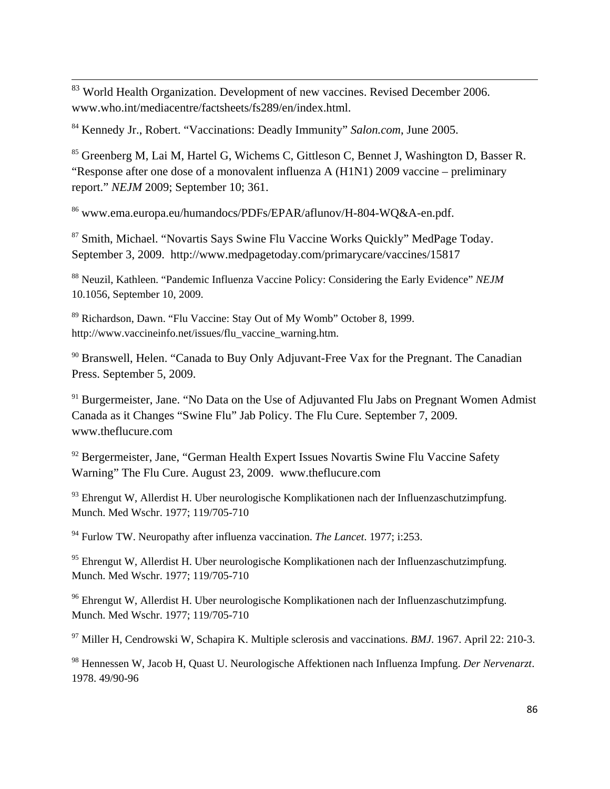$83$  World Health Organization. Development of new vaccines. Revised December 2006. www.who.int/mediacentre/factsheets/fs289/en/index.html.

<sup>84</sup> Kennedy Jr., Robert. "Vaccinations: Deadly Immunity" *Salon.com*, June 2005.

<sup>85</sup> Greenberg M, Lai M, Hartel G, Wichems C, Gittleson C, Bennet J, Washington D, Basser R. "Response after one dose of a monovalent influenza A (H1N1) 2009 vaccine – preliminary report." *NEJM* 2009; September 10; 361.

<u> Andrewski politika (za obrazu za obrazu za obrazu za obrazu za obrazu za obrazu za obrazu za obrazu za obrazu</u>

<sup>86</sup> www.ema.europa.eu/humandocs/PDFs/EPAR/aflunov/H-804-WQ&A-en.pdf.

<sup>87</sup> Smith, Michael. "Novartis Says Swine Flu Vaccine Works Quickly" MedPage Today. September 3, 2009. <http://www.medpagetoday.com/primarycare/vaccines/15817>

88 Neuzil, Kathleen. "Pandemic Influenza Vaccine Policy: Considering the Early Evidence" *NEJM* 10.1056, September 10, 2009.

89 Richardson, Dawn. "Flu Vaccine: Stay Out of My Womb" October 8, 1999. http://www.vaccineinfo.net/issues/flu\_vaccine\_warning.htm.

<sup>90</sup> Branswell, Helen. "Canada to Buy Only Adjuvant-Free Vax for the Pregnant. The Canadian Press. September 5, 2009.

 $91$  Burgermeister, Jane. "No Data on the Use of Adjuvanted Flu Jabs on Pregnant Women Admist Canada as it Changes "Swine Flu" Jab Policy. The Flu Cure. September 7, 2009. [www.theflucure.com](http://www.theflucure.com/)

<sup>92</sup> Bergermeister, Jane, "German Health Expert Issues Novartis Swine Flu Vaccine Safety Warning" The Flu Cure. August 23, 2009. www.theflucure.com

93 Ehrengut W, Allerdist H. Uber neurologische Komplikationen nach der Influenzaschutzimpfung. Munch. Med Wschr. 1977; 119/705-710

94 Furlow TW. Neuropathy after influenza vaccination. *The Lancet*. 1977; i:253.

 $95$  Ehrengut W, Allerdist H. Uber neurologische Komplikationen nach der Influenzaschutzimpfung. Munch. Med Wschr. 1977; 119/705-710

96 Ehrengut W, Allerdist H. Uber neurologische Komplikationen nach der Influenzaschutzimpfung. Munch. Med Wschr. 1977; 119/705-710

97 Miller H, Cendrowski W, Schapira K. Multiple sclerosis and vaccinations. *BMJ*. 1967. April 22: 210-3.

98 Hennessen W, Jacob H, Quast U. Neurologische Affektionen nach Influenza Impfung. *Der Nervenarzt*. 1978. 49/90-96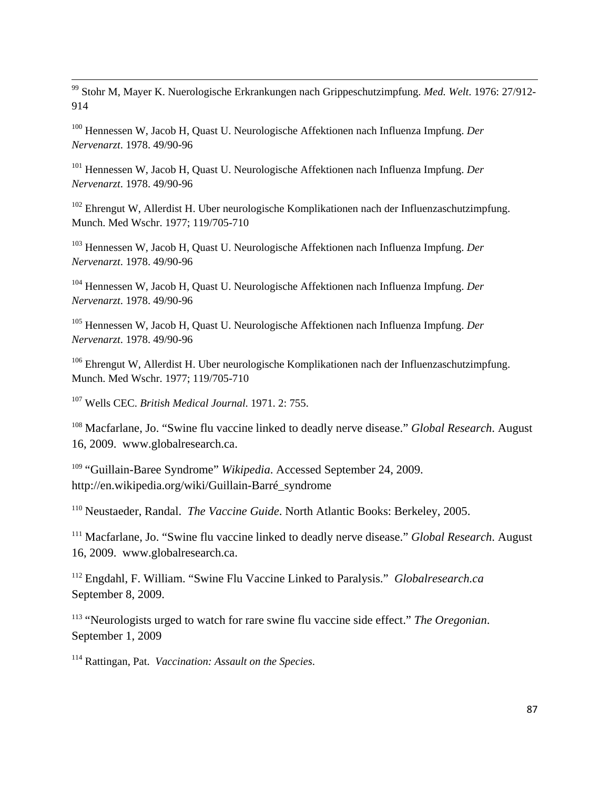99 Stohr M, Mayer K. Nuerologische Erkrankungen nach Grippeschutzimpfung. *Med. Welt*. 1976: 27/912- 914

<u> Andrewski politika (za obrazu za obrazu za obrazu za obrazu za obrazu za obrazu za obrazu za obrazu za obrazu</u>

100 Hennessen W, Jacob H, Quast U. Neurologische Affektionen nach Influenza Impfung. *Der Nervenarzt*. 1978. 49/90-96

101 Hennessen W, Jacob H, Quast U. Neurologische Affektionen nach Influenza Impfung. *Der Nervenarzt*. 1978. 49/90-96

 $102$  Ehrengut W, Allerdist H. Uber neurologische Komplikationen nach der Influenzaschutzimpfung. Munch. Med Wschr. 1977; 119/705-710

103 Hennessen W, Jacob H, Quast U. Neurologische Affektionen nach Influenza Impfung. *Der Nervenarzt*. 1978. 49/90-96

104 Hennessen W, Jacob H, Quast U. Neurologische Affektionen nach Influenza Impfung. *Der Nervenarzt*. 1978. 49/90-96

105 Hennessen W, Jacob H, Quast U. Neurologische Affektionen nach Influenza Impfung. *Der Nervenarzt*. 1978. 49/90-96

106 Ehrengut W, Allerdist H. Uber neurologische Komplikationen nach der Influenzaschutzimpfung. Munch. Med Wschr. 1977; 119/705-710

107 Wells CEC. *British Medical Journal*. 1971. 2: 755.

<sup>108</sup> Macfarlane, Jo. "Swine flu vaccine linked to deadly nerve disease." *Global Research*. August 16, 2009. www.globalresearch.ca.

<sup>109</sup> "Guillain-Baree Syndrome" *Wikipedia*. Accessed September 24, 2009. [http://en.wikipedia.org/wiki/Guillain-Barré\\_syndrome](http://en.wikipedia.org/wiki/Guillain-Barr%C3%A9_syndrome)

<sup>110</sup> Neustaeder, Randal. *The Vaccine Guide*. North Atlantic Books: Berkeley, 2005.

<sup>111</sup> Macfarlane, Jo. "Swine flu vaccine linked to deadly nerve disease." *Global Research*. August 16, 2009. www.globalresearch.ca.

<sup>112</sup> Engdahl, F. William. "Swine Flu Vaccine Linked to Paralysis." *Globalresearch.ca* September 8, 2009.

<sup>113</sup> "Neurologists urged to watch for rare swine flu vaccine side effect." *The Oregonian*. September 1, 2009

114 Rattingan, Pat. *Vaccination: Assault on the Species*.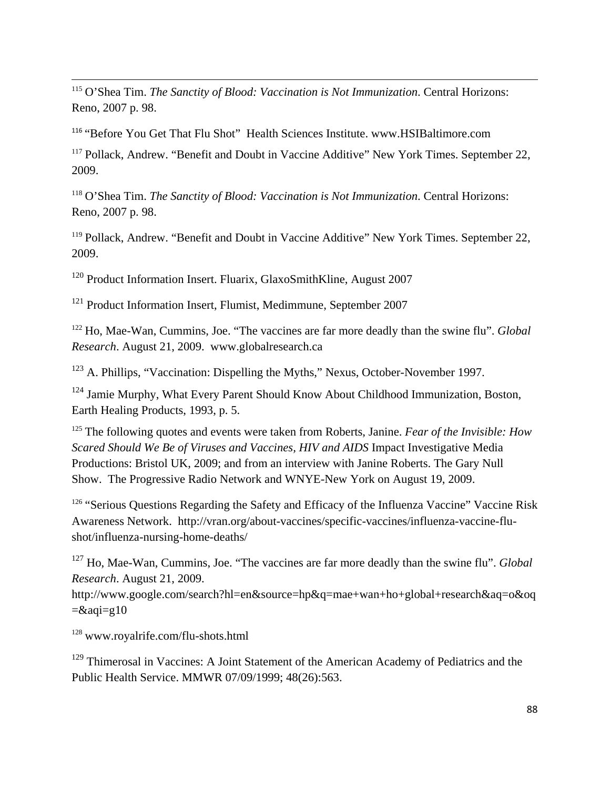<sup>115</sup> O'Shea Tim. *The Sanctity of Blood: Vaccination is Not Immunization*. Central Horizons: Reno, 2007 p. 98.

<u> Andrewski politika (za obrazu za obrazu za obrazu za obrazu za obrazu za obrazu za obrazu za obrazu za obrazu</u>

<sup>116</sup> "Before You Get That Flu Shot" Health Sciences Institute. www.HSIBaltimore.com

<sup>117</sup> Pollack, Andrew. "Benefit and Doubt in Vaccine Additive" New York Times. September 22, 2009.

<sup>118</sup> O'Shea Tim. *The Sanctity of Blood: Vaccination is Not Immunization*. Central Horizons: Reno, 2007 p. 98.

<sup>119</sup> Pollack, Andrew. "Benefit and Doubt in Vaccine Additive" New York Times. September 22, 2009.

120 Product Information Insert. Fluarix, GlaxoSmithKline, August 2007

121 Product Information Insert, Flumist, Medimmune, September 2007

<sup>122</sup> Ho, Mae-Wan, Cummins, Joe. "The vaccines are far more deadly than the swine flu". *Global Research*. August 21, 2009. www.globalresearch.ca

123 A. Phillips, "Vaccination: Dispelling the Myths," Nexus, October-November 1997.

<sup>124</sup> Jamie Murphy, What Every Parent Should Know About Childhood Immunization, Boston, Earth Healing Products, 1993, p. 5.

<sup>125</sup> The following quotes and events were taken from Roberts, Janine. *Fear of the Invisible: How Scared Should We Be of Viruses and Vaccines, HIV and AIDS* Impact Investigative Media Productions: Bristol UK, 2009; and from an interview with Janine Roberts. The Gary Null Show. The Progressive Radio Network and WNYE-New York on August 19, 2009.

<sup>126</sup> "Serious Questions Regarding the Safety and Efficacy of the Influenza Vaccine" Vaccine Risk Awareness Network. [http://vran.org/about-vaccines/specific-vaccines/influenza-vaccine-flu](http://vran.org/about-vaccines/specific-vaccines/influenza-vaccine-flu-shot/influenza-nursing-home-deaths/)[shot/influenza-nursing-home-deaths/](http://vran.org/about-vaccines/specific-vaccines/influenza-vaccine-flu-shot/influenza-nursing-home-deaths/) 

127 Ho, Mae-Wan, Cummins, Joe. "The vaccines are far more deadly than the swine flu". *Global Research*. August 21, 2009.

[http://www.google.com/search?hl=en&source=hp&q=mae+wan+ho+global+research&aq=o&oq](http://www.google.com/search?hl=en&source=hp&q=mae+wan+ho+global+research&aq=o&oq=&aqi=g10)  $=\&aqi=g10$ 

<sup>128</sup> www.royalrife.com/flu-shots.html

<sup>129</sup> Thimerosal in Vaccines: A Joint Statement of the American Academy of Pediatrics and the Public Health Service. MMWR 07/09/1999; 48(26):563.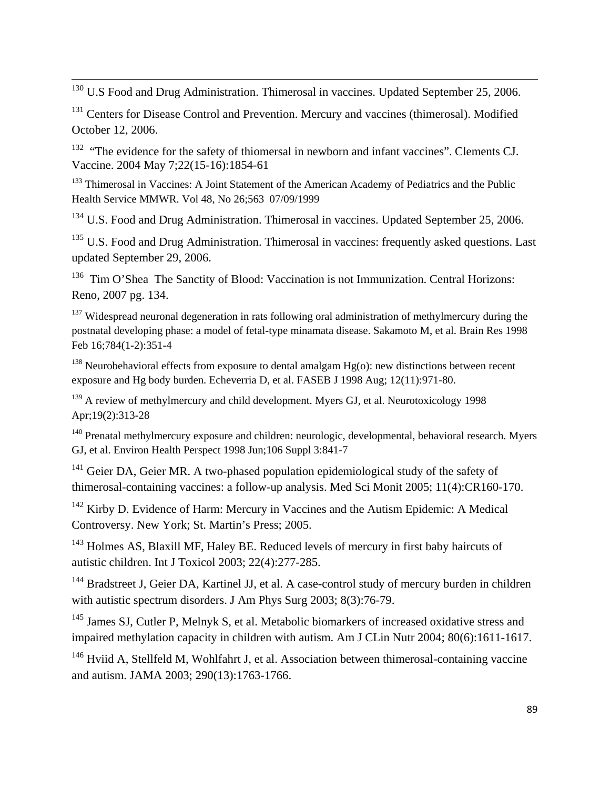$130$  U.S Food and Drug Administration. Thimerosal in vaccines. Updated September 25, 2006.

<u> Andrewski politika (za obrazu za obrazu za obrazu za obrazu za obrazu za obrazu za obrazu za obrazu za obrazu</u>

<sup>131</sup> Centers for Disease Control and Prevention. Mercury and vaccines (thimerosal). Modified October 12, 2006.

 $132$  "The evidence for the safety of thiomersal in newborn and infant vaccines". [Clements CJ.](http://www.ncbi.nlm.nih.gov/sites/entrez?Db=pubmed&Cmd=Search&Term=%22Clements%20CJ%22%5BAuthor%5D&itool=EntrezSystem2.PEntrez.Pubmed.Pubmed_ResultsPanel.Pubmed_RVAbstractPlus) [Vaccine.](javascript:AL_get(this,%20) 2004 May 7;22(15-16):1854-61

<sup>133</sup> Thimerosal in Vaccines: A Joint Statement of the American Academy of Pediatrics and the Public Health Service MMWR. Vol 48, No 26;563 07/09/1999

<sup>134</sup> U.S. Food and Drug Administration. Thimerosal in vaccines. Updated September 25, 2006.

<sup>135</sup> U.S. Food and Drug Administration. Thimerosal in vaccines: frequently asked questions. Last updated September 29, 2006.

<sup>136</sup> Tim O'Shea The Sanctity of Blood: Vaccination is not Immunization. Central Horizons: Reno, 2007 pg. 134.

<sup>137</sup> Widespread neuronal degeneration in rats following oral administration of methylmercury during the postnatal developing phase: a model of fetal-type minamata disease. Sakamoto M, et al. Brain Res 1998 Feb 16;784(1-2):351-4

<sup>138</sup> Neurobehavioral effects from exposure to dental amalgam  $Hg$ (o): new distinctions between recent exposure and Hg body burden. Echeverria D, et al. FASEB J 1998 Aug; 12(11):971-80.

<sup>139</sup> A review of methylmercury and child development. Myers GJ, et al. Neurotoxicology 1998 Apr;19(2):313-28

140 Prenatal methylmercury exposure and children: neurologic, developmental, behavioral research. Myers GJ, et al. Environ Health Perspect 1998 Jun;106 Suppl 3:841-7

<sup>141</sup> Geier DA, Geier MR. A two-phased population epidemiological study of the safety of thimerosal-containing vaccines: a follow-up analysis. Med Sci Monit 2005; 11(4):CR160-170.

142 Kirby D. Evidence of Harm: Mercury in Vaccines and the Autism Epidemic: A Medical Controversy. New York; St. Martin's Press; 2005.

<sup>143</sup> Holmes AS, Blaxill MF, Haley BE. Reduced levels of mercury in first baby haircuts of autistic children. Int J Toxicol 2003; 22(4):277-285.

<sup>144</sup> Bradstreet J, Geier DA, Kartinel JJ, et al. A case-control study of mercury burden in children with autistic spectrum disorders. J Am Phys Surg 2003; 8(3):76-79.

<sup>145</sup> James SJ, Cutler P, Melnyk S, et al. Metabolic biomarkers of increased oxidative stress and impaired methylation capacity in children with autism. Am J CLin Nutr 2004; 80(6):1611-1617.

<sup>146</sup> Hviid A, Stellfeld M, Wohlfahrt J, et al. Association between thimerosal-containing vaccine and autism. JAMA 2003; 290(13):1763-1766.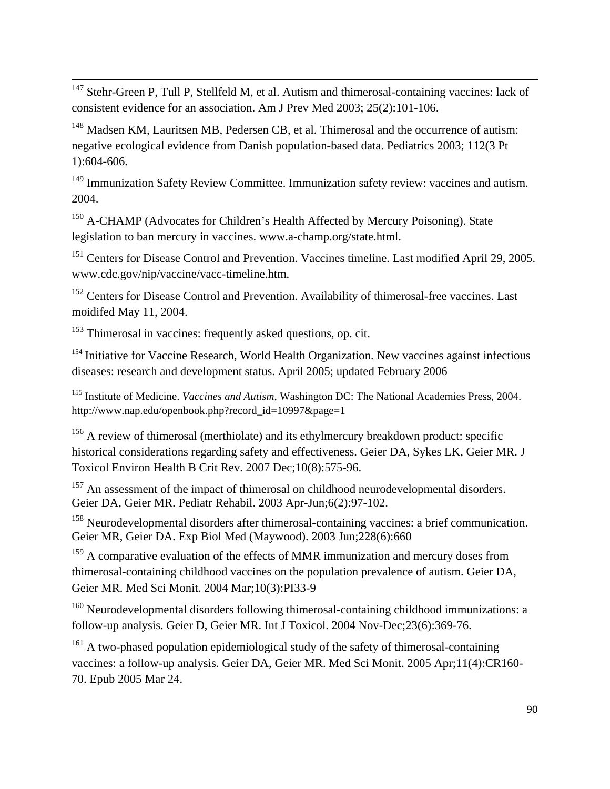$147$  Stehr-Green P, Tull P, Stellfeld M, et al. Autism and thimerosal-containing vaccines: lack of consistent evidence for an association. Am J Prev Med 2003; 25(2):101-106.

<u> Andrewski politika (za obrazu za obrazu za obrazu za obrazu za obrazu za obrazu za obrazu za obrazu za obrazu</u>

<sup>148</sup> Madsen KM, Lauritsen MB, Pedersen CB, et al. Thimerosal and the occurrence of autism: negative ecological evidence from Danish population-based data. Pediatrics 2003; 112(3 Pt 1):604-606.

<sup>149</sup> Immunization Safety Review Committee. Immunization safety review: vaccines and autism. 2004.

<sup>150</sup> A-CHAMP (Advocates for Children's Health Affected by Mercury Poisoning). State legislation to ban mercury in vaccines. www.a-champ.org/state.html.

<sup>151</sup> Centers for Disease Control and Prevention. Vaccines timeline. Last modified April 29, 2005. [www.cdc.gov/nip/vaccine/vacc-timeline.htm.](http://www.cdc.gov/nip/vaccine/vacc-timeline.htm)

<sup>152</sup> Centers for Disease Control and Prevention. Availability of thimerosal-free vaccines. Last moidifed May 11, 2004.

<sup>153</sup> Thimerosal in vaccines: frequently asked questions, op. cit.

<sup>154</sup> Initiative for Vaccine Research, World Health Organization. New vaccines against infectious diseases: research and development status. April 2005; updated February 2006

155 Institute of Medicine. *Vaccines and Autism*, Washington DC: The National Academies Press, 2004. [http://www.nap.edu/openbook.php?record\\_id=10997&page=1](http://www.nap.edu/openbook.php?record_id=10997&page=1) 

<sup>156</sup> A review of thimerosal (merthiolate) and its ethylmercury breakdown product: specific historical considerations regarding safety and effectiveness. [Geier DA,](http://www.ncbi.nlm.nih.gov/sites/entrez?Db=pubmed&Cmd=Search&Term=%22Geier%20DA%22%5BAuthor%5D&itool=EntrezSystem2.PEntrez.Pubmed.Pubmed_ResultsPanel.Pubmed_RVAbstractPlus) [Sykes LK](http://www.ncbi.nlm.nih.gov/sites/entrez?Db=pubmed&Cmd=Search&Term=%22Sykes%20LK%22%5BAuthor%5D&itool=EntrezSystem2.PEntrez.Pubmed.Pubmed_ResultsPanel.Pubmed_RVAbstractPlus), [Geier MR.](http://www.ncbi.nlm.nih.gov/sites/entrez?Db=pubmed&Cmd=Search&Term=%22Geier%20MR%22%5BAuthor%5D&itool=EntrezSystem2.PEntrez.Pubmed.Pubmed_ResultsPanel.Pubmed_RVAbstractPlus) [J](javascript:AL_get(this,%20)  [Toxicol Environ Health B Crit Rev.](javascript:AL_get(this,%20) 2007 Dec;10(8):575-96.

<sup>157</sup> An assessment of the impact of thimerosal on childhood neurodevelopmental disorders. [Geier DA,](http://www.ncbi.nlm.nih.gov/sites/entrez?Db=pubmed&Cmd=Search&Term=%22Geier%20DA%22%5BAuthor%5D&itool=EntrezSystem2.PEntrez.Pubmed.Pubmed_ResultsPanel.Pubmed_RVAbstractPlus) [Geier MR](http://www.ncbi.nlm.nih.gov/sites/entrez?Db=pubmed&Cmd=Search&Term=%22Geier%20MR%22%5BAuthor%5D&itool=EntrezSystem2.PEntrez.Pubmed.Pubmed_ResultsPanel.Pubmed_RVAbstractPlus). [Pediatr Rehabil.](javascript:AL_get(this,%20) 2003 Apr-Jun;6(2):97-102.

<sup>158</sup> Neurodevelopmental disorders after thimerosal-containing vaccines: a brief communication. [Geier MR](http://www.ncbi.nlm.nih.gov/sites/entrez?Db=pubmed&Cmd=Search&Term=%22Geier%20MR%22%5BAuthor%5D&itool=EntrezSystem2.PEntrez.Pubmed.Pubmed_ResultsPanel.Pubmed_RVAbstractPlus), [Geier DA](http://www.ncbi.nlm.nih.gov/sites/entrez?Db=pubmed&Cmd=Search&Term=%22Geier%20DA%22%5BAuthor%5D&itool=EntrezSystem2.PEntrez.Pubmed.Pubmed_ResultsPanel.Pubmed_RVAbstractPlus). [Exp Biol Med \(Maywood\).](javascript:AL_get(this,%20) 2003 Jun;228(6):660

<sup>159</sup> A comparative evaluation of the effects of MMR immunization and mercury doses from thimerosal-containing childhood vaccines on the population prevalence of autism. [Geier DA,](http://www.ncbi.nlm.nih.gov/sites/entrez?Db=pubmed&Cmd=Search&Term=%22Geier%20DA%22%5BAuthor%5D&itool=EntrezSystem2.PEntrez.Pubmed.Pubmed_ResultsPanel.Pubmed_RVAbstractPlus) [Geier MR](http://www.ncbi.nlm.nih.gov/sites/entrez?Db=pubmed&Cmd=Search&Term=%22Geier%20MR%22%5BAuthor%5D&itool=EntrezSystem2.PEntrez.Pubmed.Pubmed_ResultsPanel.Pubmed_RVAbstractPlus). [Med Sci Monit.](javascript:AL_get(this,%20) 2004 Mar;10(3):PI33-9

<sup>160</sup> Neurodevelopmental disorders following thimerosal-containing childhood immunizations: a follow-up analysis. [Geier D](http://www.ncbi.nlm.nih.gov/sites/entrez?Db=pubmed&Cmd=Search&Term=%22Geier%20D%22%5BAuthor%5D&itool=EntrezSystem2.PEntrez.Pubmed.Pubmed_ResultsPanel.Pubmed_RVAbstractPlus), [Geier MR.](http://www.ncbi.nlm.nih.gov/sites/entrez?Db=pubmed&Cmd=Search&Term=%22Geier%20MR%22%5BAuthor%5D&itool=EntrezSystem2.PEntrez.Pubmed.Pubmed_ResultsPanel.Pubmed_RVAbstractPlus) [Int J Toxicol.](javascript:AL_get(this,%20) 2004 Nov-Dec;23(6):369-76.

<sup>161</sup> A two-phased population epidemiological study of the safety of thimerosal-containing vaccines: a follow-up analysis. [Geier DA,](http://www.ncbi.nlm.nih.gov/sites/entrez?Db=pubmed&Cmd=Search&Term=%22Geier%20DA%22%5BAuthor%5D&itool=EntrezSystem2.PEntrez.Pubmed.Pubmed_ResultsPanel.Pubmed_RVAbstractPlus) [Geier MR](http://www.ncbi.nlm.nih.gov/sites/entrez?Db=pubmed&Cmd=Search&Term=%22Geier%20MR%22%5BAuthor%5D&itool=EntrezSystem2.PEntrez.Pubmed.Pubmed_ResultsPanel.Pubmed_RVAbstractPlus). [Med Sci Monit.](javascript:AL_get(this,%20) 2005 Apr;11(4):CR160- 70. Epub 2005 Mar 24.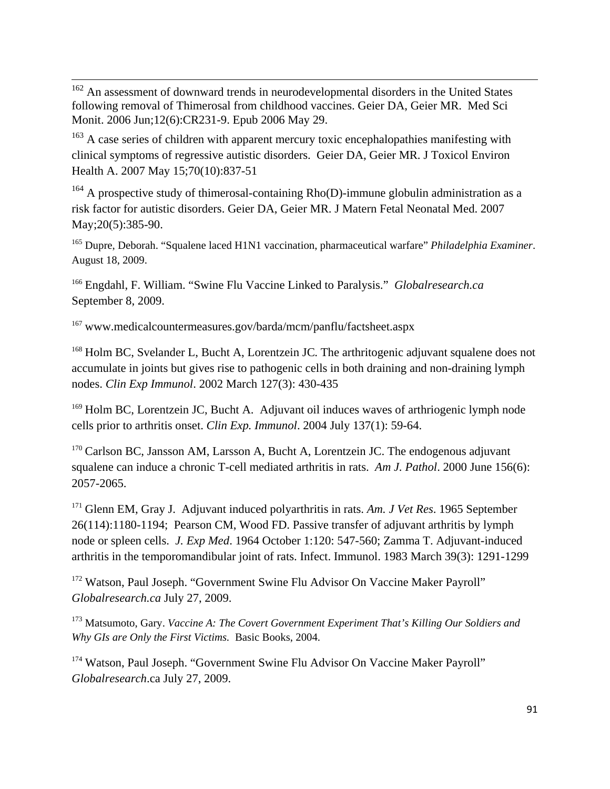<u> Andrewski politika (za obrazu za obrazu za obrazu za obrazu za obrazu za obrazu za obrazu za obrazu za obrazu</u> <sup>162</sup> An assessment of downward trends in neurodevelopmental disorders in the United States following removal of Thimerosal from childhood vaccines. [Geier DA](http://www.ncbi.nlm.nih.gov/sites/entrez?Db=pubmed&Cmd=Search&Term=%22Geier%20DA%22%5BAuthor%5D&itool=EntrezSystem2.PEntrez.Pubmed.Pubmed_ResultsPanel.Pubmed_RVAbstractPlus), [Geier MR.](http://www.ncbi.nlm.nih.gov/sites/entrez?Db=pubmed&Cmd=Search&Term=%22Geier%20MR%22%5BAuthor%5D&itool=EntrezSystem2.PEntrez.Pubmed.Pubmed_ResultsPanel.Pubmed_RVAbstractPlus) [Med Sci](javascript:AL_get(this,%20)  [Monit.](javascript:AL_get(this,%20) 2006 Jun;12(6):CR231-9. Epub 2006 May 29.

<sup>163</sup> A case series of children with apparent mercury toxic encephalopathies manifesting with clinical symptoms of regressive autistic disorders. [Geier DA,](http://www.ncbi.nlm.nih.gov/sites/entrez?Db=pubmed&Cmd=Search&Term=%22Geier%20DA%22%5BAuthor%5D&itool=EntrezSystem2.PEntrez.Pubmed.Pubmed_ResultsPanel.Pubmed_RVAbstractPlus) [Geier MR](http://www.ncbi.nlm.nih.gov/sites/entrez?Db=pubmed&Cmd=Search&Term=%22Geier%20MR%22%5BAuthor%5D&itool=EntrezSystem2.PEntrez.Pubmed.Pubmed_ResultsPanel.Pubmed_RVAbstractPlus). [J Toxicol Environ](javascript:AL_get(this,%20)  [Health A.](javascript:AL_get(this,%20) 2007 May 15;70(10):837-51

 $164$  A prospective study of thimerosal-containing Rho(D)-immune globulin administration as a risk factor for autistic disorders. [Geier DA,](http://www.ncbi.nlm.nih.gov/sites/entrez?Db=pubmed&Cmd=Search&Term=%22Geier%20DA%22%5BAuthor%5D&itool=EntrezSystem2.PEntrez.Pubmed.Pubmed_ResultsPanel.Pubmed_RVAbstractPlus) [Geier MR.](http://www.ncbi.nlm.nih.gov/sites/entrez?Db=pubmed&Cmd=Search&Term=%22Geier%20MR%22%5BAuthor%5D&itool=EntrezSystem2.PEntrez.Pubmed.Pubmed_ResultsPanel.Pubmed_RVAbstractPlus) [J Matern Fetal Neonatal Med.](javascript:AL_get(this,%20) 2007 May; 20(5): 385-90.

165 Dupre, Deborah. "Squalene laced H1N1 vaccination, pharmaceutical warfare" *Philadelphia Examiner*. August 18, 2009.

<sup>166</sup> Engdahl, F. William. "Swine Flu Vaccine Linked to Paralysis." *Globalresearch.ca* September 8, 2009.

<sup>167</sup> www.medicalcountermeasures.gov/barda/mcm/panflu/factsheet.aspx

<sup>168</sup> Holm BC, Svelander L, Bucht A, Lorentzein JC. The arthritogenic adjuvant squalene does not accumulate in joints but gives rise to pathogenic cells in both draining and non-draining lymph nodes. *Clin Exp Immunol*. 2002 March 127(3): 430-435

<sup>169</sup> Holm BC, Lorentzein JC, Bucht A. Adjuvant oil induces waves of arthriogenic lymph node cells prior to arthritis onset. *Clin Exp. Immunol*. 2004 July 137(1): 59-64.

<sup>170</sup> Carlson BC, Jansson AM, Larsson A, Bucht A, Lorentzein JC. The endogenous adjuvant squalene can induce a chronic T-cell mediated arthritis in rats. *Am J. Pathol*. 2000 June 156(6): 2057-2065.

<sup>171</sup> Glenn EM, Gray J. Adjuvant induced polyarthritis in rats. *Am. J Vet Res*. 1965 September 26(114):1180-1194; Pearson CM, Wood FD. Passive transfer of adjuvant arthritis by lymph node or spleen cells. *J. Exp Med*. 1964 October 1:120: 547-560; Zamma T. Adjuvant-induced arthritis in the temporomandibular joint of rats. Infect. Immunol. 1983 March 39(3): 1291-1299

<sup>172</sup> Watson, Paul Joseph. "Government Swine Flu Advisor On Vaccine Maker Payroll" *Globalresearch.ca* July 27, 2009.

173 Matsumoto, Gary. *Vaccine A: The Covert Government Experiment That's Killing Our Soldiers and Why GIs are Only the First Victims.* Basic Books, 2004.

<sup>174</sup> Watson, Paul Joseph. "Government Swine Flu Advisor On Vaccine Maker Payroll" *Globalresearch*.ca July 27, 2009.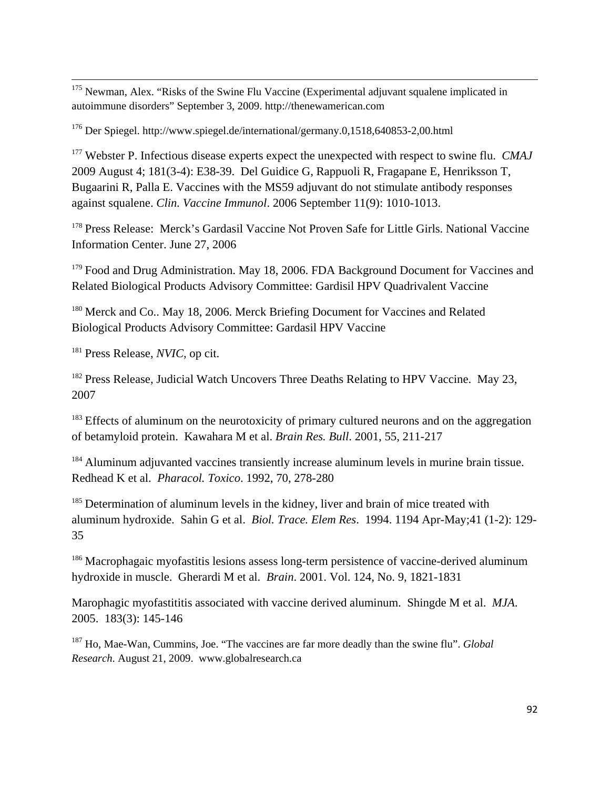<u> Andrewski politika (za obrazu za obrazu za obrazu za obrazu za obrazu za obrazu za obrazu za obrazu za obrazu</u> <sup>175</sup> Newman, Alex. "Risks of the Swine Flu Vaccine (Experimental adjuvant squalene implicated in autoimmune disorders" September 3, 2009. http://thenewamerican.com

176 Der Spiegel. http://www.spiegel.de/international/germany.0,1518,640853-2,00.html

<sup>177</sup> Webster P. Infectious disease experts expect the unexpected with respect to swine flu. *CMAJ* 2009 August 4; 181(3-4): E38-39. Del Guidice G, Rappuoli R, Fragapane E, Henriksson T, Bugaarini R, Palla E. Vaccines with the MS59 adjuvant do not stimulate antibody responses against squalene. *Clin. Vaccine Immunol*. 2006 September 11(9): 1010-1013.

<sup>178</sup> Press Release: Merck's Gardasil Vaccine Not Proven Safe for Little Girls. National Vaccine Information Center. June 27, 2006

<sup>179</sup> Food and Drug Administration. May 18, 2006. FDA Background Document for Vaccines and Related Biological Products Advisory Committee: Gardisil HPV Quadrivalent Vaccine

<sup>180</sup> Merck and Co.. May 18, 2006. Merck Briefing Document for Vaccines and Related Biological Products Advisory Committee: Gardasil HPV Vaccine

<sup>181</sup> Press Release, *NVIC*, op cit.

<sup>182</sup> Press Release, Judicial Watch Uncovers Three Deaths Relating to HPV Vaccine. May 23, 2007

<sup>183</sup> Effects of aluminum on the neurotoxicity of primary cultured neurons and on the aggregation of betamyloid protein. Kawahara M et al. *Brain Res. Bull*. 2001, 55, 211-217

<sup>184</sup> Aluminum adjuvanted vaccines transiently increase aluminum levels in murine brain tissue. Redhead K et al. *Pharacol. Toxico*. 1992, 70, 278-280

<sup>185</sup> Determination of aluminum levels in the kidney, liver and brain of mice treated with aluminum hydroxide. Sahin G et al. *Biol. Trace. Elem Res*. 1994. 1194 Apr-May;41 (1-2): 129- 35

<sup>186</sup> Macrophagaic myofastitis lesions assess long-term persistence of vaccine-derived aluminum hydroxide in muscle. Gherardi M et al. *Brain*. 2001. Vol. 124, No. 9, 1821-1831

Marophagic myofastititis associated with vaccine derived aluminum. Shingde M et al. *MJA*. 2005. 183(3): 145-146

187 Ho, Mae-Wan, Cummins, Joe. "The vaccines are far more deadly than the swine flu". *Global Research*. August 21, 2009. www.globalresearch.ca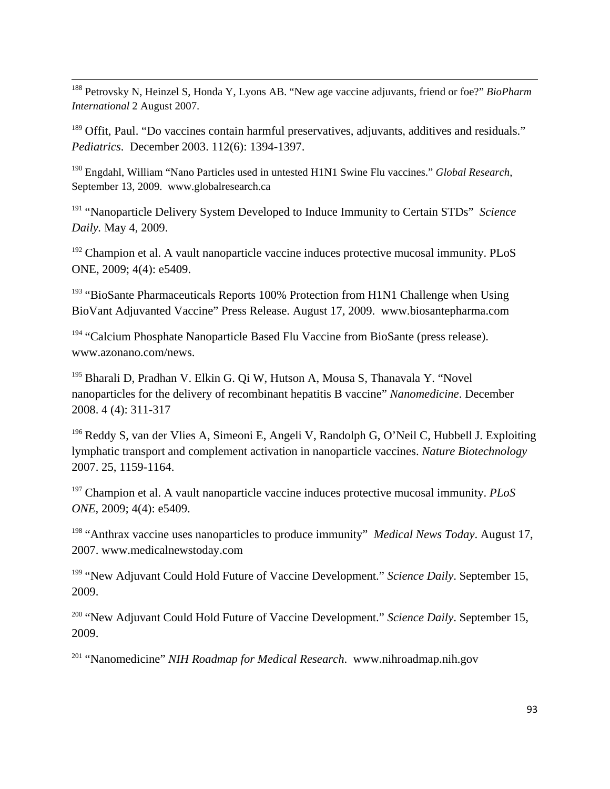<span id="page-92-0"></span><u> Andrewski politika (za obrazu za obrazu za obrazu za obrazu za obrazu za obrazu za obrazu za obrazu za obrazu</u> 188 Petrovsky N, Heinzel S, Honda Y, Lyons AB. "New age vaccine adjuvants, friend or foe?" *BioPharm International* 2 August 2007.

<sup>189</sup> Offit, Paul. "Do vaccines contain harmful preservatives, adjuvants, additives and residuals." *Pediatrics*. December 2003. 112(6): 1394-1397.

190 Engdahl, William "Nano Particles used in untested H1N1 Swine Flu vaccines." *Global Research*, September 13, 2009. www.globalresearch.ca

<sup>191</sup> "Nanoparticle Delivery System Developed to Induce Immunity to Certain STDs" *Science Daily.* May 4, 2009.

 $192$  Champion et al. A vault nanoparticle vaccine induces protective mucosal immunity. PLoS ONE, 2009; 4(4): e5409.

<sup>193</sup> "BioSante Pharmaceuticals Reports 100% Protection from H1N1 Challenge when Using BioVant Adjuvanted Vaccine" Press Release. August 17, 2009. www.biosantepharma.com

<sup>194</sup> "Calcium Phosphate Nanoparticle Based Flu Vaccine from BioSante (press release). www.azonano.com/news.

<sup>195</sup> Bharali D, Pradhan V. Elkin G. Qi W, Hutson A, Mousa S, Thanavala Y. "Novel nanoparticles for the delivery of recombinant hepatitis B vaccine" *Nanomedicine*. December 2008. 4 (4): 311-317

 $196$  Reddy S, van der Vlies A, Simeoni E, Angeli V, Randolph G, O'Neil C, Hubbell J. Exploiting lymphatic transport and complement activation in nanoparticle vaccines. *Nature Biotechnology* 2007. 25, 1159-1164.

<sup>197</sup> Champion et al. A vault nanoparticle vaccine induces protective mucosal immunity. *PLoS ONE,* 2009; 4(4): e5409.

<sup>198</sup> "Anthrax vaccine uses nanoparticles to produce immunity" *Medical News Today*. August 17, 2007. www.medicalnewstoday.com

<sup>199</sup> "New Adjuvant Could Hold Future of Vaccine Development." *Science Daily*. September 15, 2009.

<sup>200</sup> "New Adjuvant Could Hold Future of Vaccine Development." *Science Daily*. September 15, 2009.

<sup>201</sup> "Nanomedicine" *NIH Roadmap for Medical Research*. www.nihroadmap.nih.gov